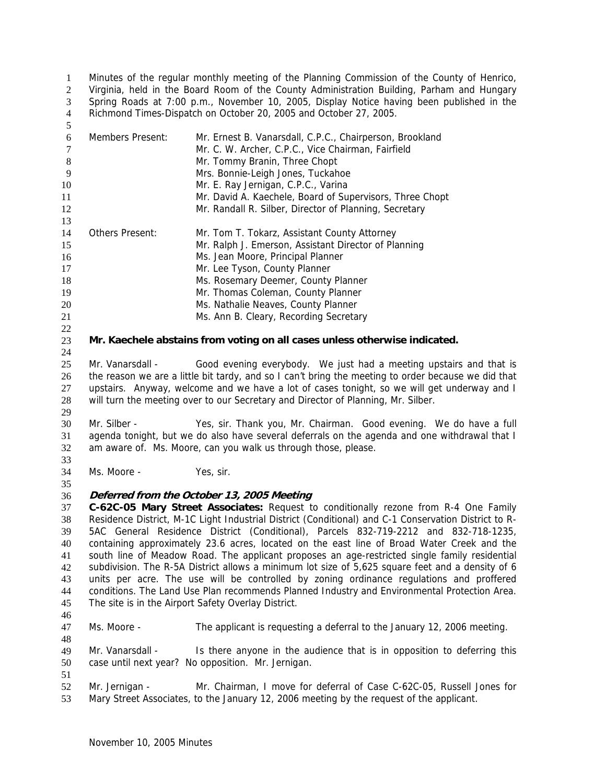Minutes of the regular monthly meeting of the Planning Commission of the County of Henrico, Virginia, held in the Board Room of the County Administration Building, Parham and Hungary Spring Roads at 7:00 p.m., November 10, 2005, Display Notice having been published in the Richmond Times-Dispatch on October 20, 2005 and October 27, 2005. 1  $2<sup>2</sup>$ 3 4

| 6  | Members Present: | Mr. Ernest B. Vanarsdall, C.P.C., Chairperson, Brookland<br>Mr. C. W. Archer, C.P.C., Vice Chairman, Fairfield |
|----|------------------|----------------------------------------------------------------------------------------------------------------|
| 8  |                  | Mr. Tommy Branin, Three Chopt                                                                                  |
| 9  |                  | Mrs. Bonnie-Leigh Jones, Tuckahoe                                                                              |
| 10 |                  | Mr. E. Ray Jernigan, C.P.C., Varina                                                                            |
| 11 |                  | Mr. David A. Kaechele, Board of Supervisors, Three Chopt                                                       |
| 12 |                  | Mr. Randall R. Silber, Director of Planning, Secretary                                                         |
| 13 |                  |                                                                                                                |
| 14 | Others Present:  | Mr. Tom T. Tokarz, Assistant County Attorney                                                                   |
| 15 |                  | Mr. Ralph J. Emerson, Assistant Director of Planning                                                           |
| 16 |                  | Ms. Jean Moore, Principal Planner                                                                              |
| 17 |                  | Mr. Lee Tyson, County Planner                                                                                  |
| 18 |                  | Ms. Rosemary Deemer, County Planner                                                                            |
| 19 |                  | Mr. Thomas Coleman, County Planner                                                                             |
| 20 |                  | Ms. Nathalie Neaves, County Planner                                                                            |
| 21 |                  | Ms. Ann B. Cleary, Recording Secretary                                                                         |
| 22 |                  |                                                                                                                |
| 23 |                  | Mr. Kaechele abstains from voting on all cases unless otherwise indicated.                                     |

25 26 27 28 29 Mr. Vanarsdall - Good evening everybody. We just had a meeting upstairs and that is the reason we are a little bit tardy, and so I can't bring the meeting to order because we did that upstairs. Anyway, welcome and we have a lot of cases tonight, so we will get underway and I will turn the meeting over to our Secretary and Director of Planning, Mr. Silber.

30 31 32 Mr. Silber - Yes, sir. Thank you, Mr. Chairman. Good evening. We do have a full agenda tonight, but we do also have several deferrals on the agenda and one withdrawal that I am aware of. Ms. Moore, can you walk us through those, please.

34 Ms. Moore - Yes, sir.

### 36 **Deferred from the October 13, 2005 Meeting**

37 38 39 40 41 42 43 44 45 **C-62C-05 Mary Street Associates:** Request to conditionally rezone from R-4 One Family Residence District, M-1C Light Industrial District (Conditional) and C-1 Conservation District to R-5AC General Residence District (Conditional), Parcels 832-719-2212 and 832-718-1235, containing approximately 23.6 acres, located on the east line of Broad Water Creek and the south line of Meadow Road. The applicant proposes an age-restricted single family residential subdivision. The R-5A District allows a minimum lot size of 5,625 square feet and a density of 6 units per acre. The use will be controlled by zoning ordinance regulations and proffered conditions. The Land Use Plan recommends Planned Industry and Environmental Protection Area. The site is in the Airport Safety Overlay District.

46

5

24

33

35

47 48 Ms. Moore - The applicant is requesting a deferral to the January 12, 2006 meeting.

49 50 Mr. Vanarsdall - Is there anyone in the audience that is in opposition to deferring this case until next year? No opposition. Mr. Jernigan.

51 52 53 Mr. Jernigan - Mr. Chairman, I move for deferral of Case C-62C-05, Russell Jones for Mary Street Associates, to the January 12, 2006 meeting by the request of the applicant.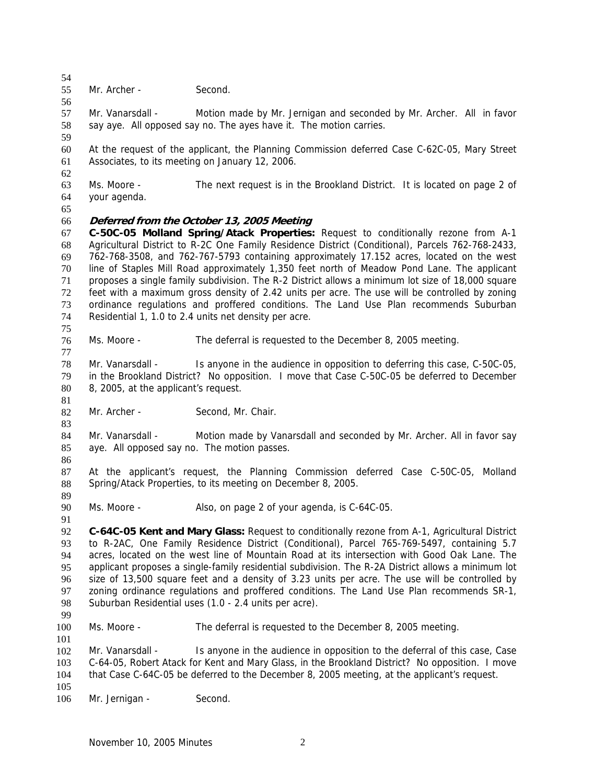54 55 Mr. Archer - Second.

56 57 58 Mr. Vanarsdall - Motion made by Mr. Jernigan and seconded by Mr. Archer. All in favor say aye. All opposed say no. The ayes have it. The motion carries.

60 61 At the request of the applicant, the Planning Commission deferred Case C-62C-05, Mary Street Associates, to its meeting on January 12, 2006.

63 64 Ms. Moore - The next request is in the Brookland District. It is located on page 2 of your agenda.

65

59

62

### 66 **Deferred from the October 13, 2005 Meeting**

67 68 69 70 71 72 73 74 75 **C-50C-05 Molland Spring/Atack Properties:** Request to conditionally rezone from A-1 Agricultural District to R-2C One Family Residence District (Conditional), Parcels 762-768-2433, 762-768-3508, and 762-767-5793 containing approximately 17.152 acres, located on the west line of Staples Mill Road approximately 1,350 feet north of Meadow Pond Lane. The applicant proposes a single family subdivision. The R-2 District allows a minimum lot size of 18,000 square feet with a maximum gross density of 2.42 units per acre. The use will be controlled by zoning ordinance regulations and proffered conditions. The Land Use Plan recommends Suburban Residential 1, 1.0 to 2.4 units net density per acre.

76 Ms. Moore - The deferral is requested to the December 8, 2005 meeting.

78 79 80 Mr. Vanarsdall - Is anyone in the audience in opposition to deferring this case, C-50C-05, in the Brookland District? No opposition. I move that Case C-50C-05 be deferred to December 8, 2005, at the applicant's request.

81

83

77

82 Mr. Archer - Second, Mr. Chair.

84 85 Mr. Vanarsdall - Motion made by Vanarsdall and seconded by Mr. Archer. All in favor say aye. All opposed say no. The motion passes.

86

89

91

87 88 At the applicant's request, the Planning Commission deferred Case C-50C-05, Molland Spring/Atack Properties, to its meeting on December 8, 2005.

90 Ms. Moore - Also, on page 2 of your agenda, is C-64C-05.

92 93 94 95 96 97 98 **C-64C-05 Kent and Mary Glass:** Request to conditionally rezone from A-1, Agricultural District to R-2AC, One Family Residence District (Conditional), Parcel 765-769-5497, containing 5.7 acres, located on the west line of Mountain Road at its intersection with Good Oak Lane. The applicant proposes a single-family residential subdivision. The R-2A District allows a minimum lot size of 13,500 square feet and a density of 3.23 units per acre. The use will be controlled by zoning ordinance regulations and proffered conditions. The Land Use Plan recommends SR-1, Suburban Residential uses (1.0 - 2.4 units per acre).

99

100 101 Ms. Moore - The deferral is requested to the December 8, 2005 meeting.

102 103 104 105 Mr. Vanarsdall - Is anyone in the audience in opposition to the deferral of this case, Case C-64-05, Robert Atack for Kent and Mary Glass, in the Brookland District? No opposition. I move that Case C-64C-05 be deferred to the December 8, 2005 meeting, at the applicant's request.

106 Mr. Jernigan - Second.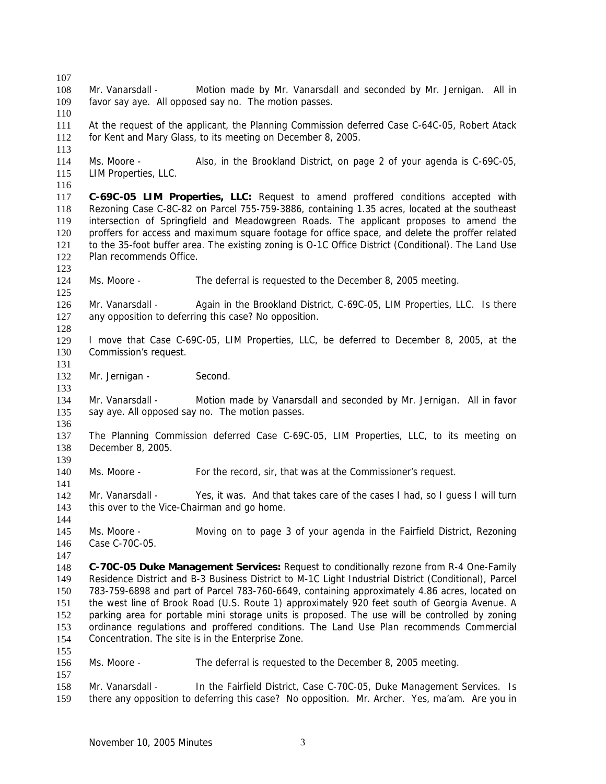107 108 109 110 111 112 113 114 115 116 117 118 119 120 121 122 123 124 125 126 127 128 129 130 131 132 133 134 135 136 137 138 139 140 141 142 143 144 145 146 147 148 149 150 151 152 153 154 155 156 157 158 159 Mr. Vanarsdall - Motion made by Mr. Vanarsdall and seconded by Mr. Jernigan. All in favor say aye. All opposed say no. The motion passes. At the request of the applicant, the Planning Commission deferred Case C-64C-05, Robert Atack for Kent and Mary Glass, to its meeting on December 8, 2005. Ms. Moore - Also, in the Brookland District, on page 2 of your agenda is C-69C-05, LIM Properties, LLC. **C-69C-05 LIM Properties, LLC:** Request to amend proffered conditions accepted with Rezoning Case C-8C-82 on Parcel 755-759-3886, containing 1.35 acres, located at the southeast intersection of Springfield and Meadowgreen Roads. The applicant proposes to amend the proffers for access and maximum square footage for office space, and delete the proffer related to the 35-foot buffer area. The existing zoning is O-1C Office District (Conditional). The Land Use Plan recommends Office. Ms. Moore - The deferral is requested to the December 8, 2005 meeting. Mr. Vanarsdall - Again in the Brookland District, C-69C-05, LIM Properties, LLC. Is there any opposition to deferring this case? No opposition. I move that Case C-69C-05, LIM Properties, LLC, be deferred to December 8, 2005, at the Commission's request. Mr. Jernigan - Second. Mr. Vanarsdall - Motion made by Vanarsdall and seconded by Mr. Jernigan. All in favor say aye. All opposed say no. The motion passes. The Planning Commission deferred Case C-69C-05, LIM Properties, LLC, to its meeting on December 8, 2005. Ms. Moore - For the record, sir, that was at the Commissioner's request. Mr. Vanarsdall - Yes, it was. And that takes care of the cases I had, so I guess I will turn this over to the Vice-Chairman and go home. Ms. Moore - Moving on to page 3 of your agenda in the Fairfield District, Rezoning Case C-70C-05. **C-70C-05 Duke Management Services:** Request to conditionally rezone from R-4 One-Family Residence District and B-3 Business District to M-1C Light Industrial District (Conditional), Parcel 783-759-6898 and part of Parcel 783-760-6649, containing approximately 4.86 acres, located on the west line of Brook Road (U.S. Route 1) approximately 920 feet south of Georgia Avenue. A parking area for portable mini storage units is proposed. The use will be controlled by zoning ordinance regulations and proffered conditions. The Land Use Plan recommends Commercial Concentration. The site is in the Enterprise Zone. Ms. Moore - The deferral is requested to the December 8, 2005 meeting. Mr. Vanarsdall - In the Fairfield District, Case C-70C-05, Duke Management Services. Is there any opposition to deferring this case? No opposition. Mr. Archer. Yes, ma'am. Are you in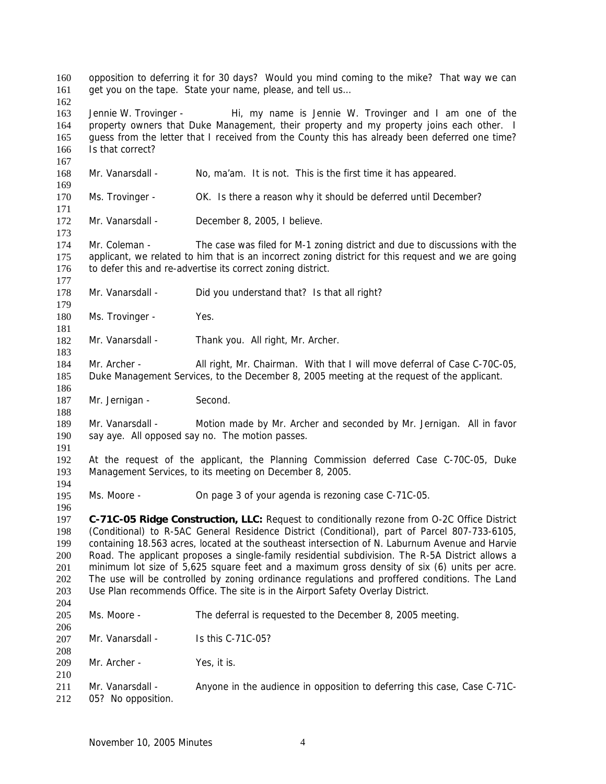opposition to deferring it for 30 days? Would you mind coming to the mike? That way we can get you on the tape. State your name, please, and tell us… 160 161 162 163 164 165 166 167 168 169 170 171 172 173 174 175 176 177 178 179 180 181 182 183 184 185 186 187 188 189 190 191 192 193 194 195 196 197 198 199 200 201 202 203 204 205 206 207 208 209 210 211 212 Jennie W. Trovinger - Hi, my name is Jennie W. Trovinger and I am one of the property owners that Duke Management, their property and my property joins each other. I guess from the letter that I received from the County this has already been deferred one time? Is that correct? Mr. Vanarsdall - No, ma'am. It is not. This is the first time it has appeared. Ms. Trovinger - OK. Is there a reason why it should be deferred until December? Mr. Vanarsdall - December 8, 2005, I believe. Mr. Coleman - The case was filed for M-1 zoning district and due to discussions with the applicant, we related to him that is an incorrect zoning district for this request and we are going to defer this and re-advertise its correct zoning district. Mr. Vanarsdall - Did you understand that? Is that all right? Ms. Trovinger - Yes. Mr. Vanarsdall - Thank you. All right, Mr. Archer. Mr. Archer - All right, Mr. Chairman. With that I will move deferral of Case C-70C-05, Duke Management Services, to the December 8, 2005 meeting at the request of the applicant. Mr. Jernigan - Second. Mr. Vanarsdall - Motion made by Mr. Archer and seconded by Mr. Jernigan. All in favor say aye. All opposed say no. The motion passes. At the request of the applicant, the Planning Commission deferred Case C-70C-05, Duke Management Services, to its meeting on December 8, 2005. Ms. Moore - **On page 3 of your agenda is rezoning case C-71C-05. C-71C-05 Ridge Construction, LLC:** Request to conditionally rezone from O-2C Office District (Conditional) to R-5AC General Residence District (Conditional), part of Parcel 807-733-6105, containing 18.563 acres, located at the southeast intersection of N. Laburnum Avenue and Harvie Road. The applicant proposes a single-family residential subdivision. The R-5A District allows a minimum lot size of 5,625 square feet and a maximum gross density of six (6) units per acre. The use will be controlled by zoning ordinance regulations and proffered conditions. The Land Use Plan recommends Office. The site is in the Airport Safety Overlay District. Ms. Moore - The deferral is requested to the December 8, 2005 meeting. Mr. Vanarsdall - Is this C-71C-05? Mr. Archer - Yes, it is. Mr. Vanarsdall - Anyone in the audience in opposition to deferring this case, Case C-71C-05? No opposition.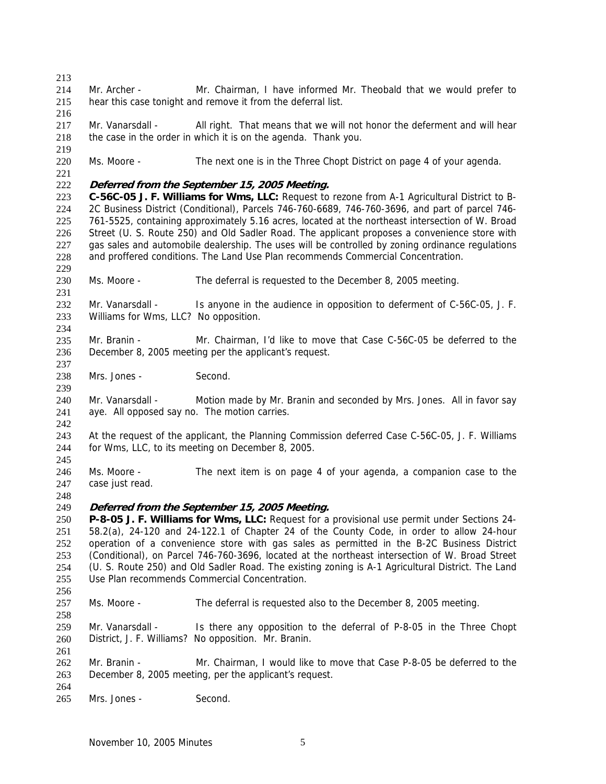213

216

219

221

229

231

237

239

214 215 Mr. Archer - Mr. Chairman, I have informed Mr. Theobald that we would prefer to hear this case tonight and remove it from the deferral list.

217 218 Mr. Vanarsdall - All right. That means that we will not honor the deferment and will hear the case in the order in which it is on the agenda. Thank you.

220 Ms. Moore - The next one is in the Three Chopt District on page 4 of your agenda.

#### 222 **Deferred from the September 15, 2005 Meeting.**

223 224 225 226 227 228 **C-56C-05 J. F. Williams for Wms, LLC:** Request to rezone from A-1 Agricultural District to B-2C Business District (Conditional), Parcels 746-760-6689, 746-760-3696, and part of parcel 746- 761-5525, containing approximately 5.16 acres, located at the northeast intersection of W. Broad Street (U. S. Route 250) and Old Sadler Road. The applicant proposes a convenience store with gas sales and automobile dealership. The uses will be controlled by zoning ordinance regulations and proffered conditions. The Land Use Plan recommends Commercial Concentration.

230 Ms. Moore - The deferral is requested to the December 8, 2005 meeting.

232 233 234 Mr. Vanarsdall - Is anyone in the audience in opposition to deferment of C-56C-05, J. F. Williams for Wms, LLC? No opposition.

235 236 Mr. Branin - Mr. Chairman, I'd like to move that Case C-56C-05 be deferred to the December 8, 2005 meeting per the applicant's request.

238 Mrs. Jones - Second.

240 241 Mr. Vanarsdall - Motion made by Mr. Branin and seconded by Mrs. Jones. All in favor say aye. All opposed say no. The motion carries.

242 243 244 At the request of the applicant, the Planning Commission deferred Case C-56C-05, J. F. Williams for Wms, LLC, to its meeting on December 8, 2005.

245

246 247 Ms. Moore - The next item is on page 4 of your agenda, a companion case to the case just read.

248

#### 249 **Deferred from the September 15, 2005 Meeting.**

250 251 252 253 254 255 **P-8-05 J. F. Williams for Wms, LLC:** Request for a provisional use permit under Sections 24- 58.2(a), 24-120 and 24-122.1 of Chapter 24 of the County Code, in order to allow 24-hour operation of a convenience store with gas sales as permitted in the B-2C Business District (Conditional), on Parcel 746-760-3696, located at the northeast intersection of W. Broad Street (U. S. Route 250) and Old Sadler Road. The existing zoning is A-1 Agricultural District. The Land Use Plan recommends Commercial Concentration.

256 257

258

261

Ms. Moore - The deferral is requested also to the December 8, 2005 meeting.

259 260 Mr. Vanarsdall - Is there any opposition to the deferral of P-8-05 in the Three Chopt District, J. F. Williams? No opposition. Mr. Branin.

262 263 Mr. Branin - Mr. Chairman, I would like to move that Case P-8-05 be deferred to the December 8, 2005 meeting, per the applicant's request.

264 265 Mrs. Jones - Second.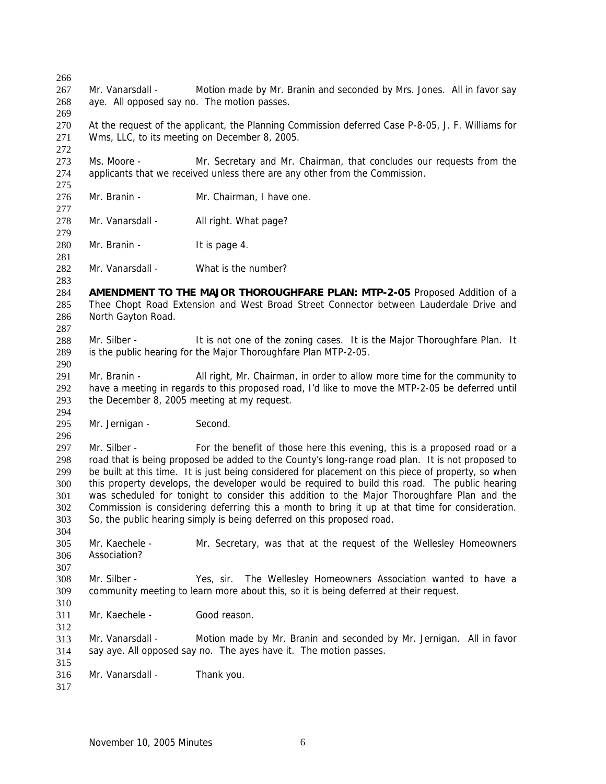266 267 268 269 270 271 272 273 274 275 276 277 278 279 280 281 282 283 284 285 286 287 288 289 290 291 292 293 294 295 296 297 298 299 300 301 302 303 304 305 306 307 308 309 310 311 312 313 314 315 316 317 Mr. Vanarsdall - Motion made by Mr. Branin and seconded by Mrs. Jones. All in favor say aye. All opposed say no. The motion passes. At the request of the applicant, the Planning Commission deferred Case P-8-05, J. F. Williams for Wms, LLC, to its meeting on December 8, 2005. Ms. Moore - Mr. Secretary and Mr. Chairman, that concludes our requests from the applicants that we received unless there are any other from the Commission. Mr. Branin - Mr. Chairman, I have one. Mr. Vanarsdall - All right. What page? Mr. Branin - It is page 4. Mr. Vanarsdall - What is the number? **AMENDMENT TO THE MAJOR THOROUGHFARE PLAN: MTP-2-05** Proposed Addition of a Thee Chopt Road Extension and West Broad Street Connector between Lauderdale Drive and North Gayton Road. Mr. Silber - It is not one of the zoning cases. It is the Major Thoroughfare Plan. It is the public hearing for the Major Thoroughfare Plan MTP-2-05. Mr. Branin - All right, Mr. Chairman, in order to allow more time for the community to have a meeting in regards to this proposed road, I'd like to move the MTP-2-05 be deferred until the December 8, 2005 meeting at my request. Mr. Jernigan - Second. Mr. Silber - For the benefit of those here this evening, this is a proposed road or a road that is being proposed be added to the County's long-range road plan. It is not proposed to be built at this time. It is just being considered for placement on this piece of property, so when this property develops, the developer would be required to build this road. The public hearing was scheduled for tonight to consider this addition to the Major Thoroughfare Plan and the Commission is considering deferring this a month to bring it up at that time for consideration. So, the public hearing simply is being deferred on this proposed road. Mr. Kaechele - Mr. Secretary, was that at the request of the Wellesley Homeowners Association? Mr. Silber - Yes, sir. The Wellesley Homeowners Association wanted to have a community meeting to learn more about this, so it is being deferred at their request. Mr. Kaechele - Good reason. Mr. Vanarsdall - Motion made by Mr. Branin and seconded by Mr. Jernigan. All in favor say aye. All opposed say no. The ayes have it. The motion passes. Mr. Vanarsdall - Thank you.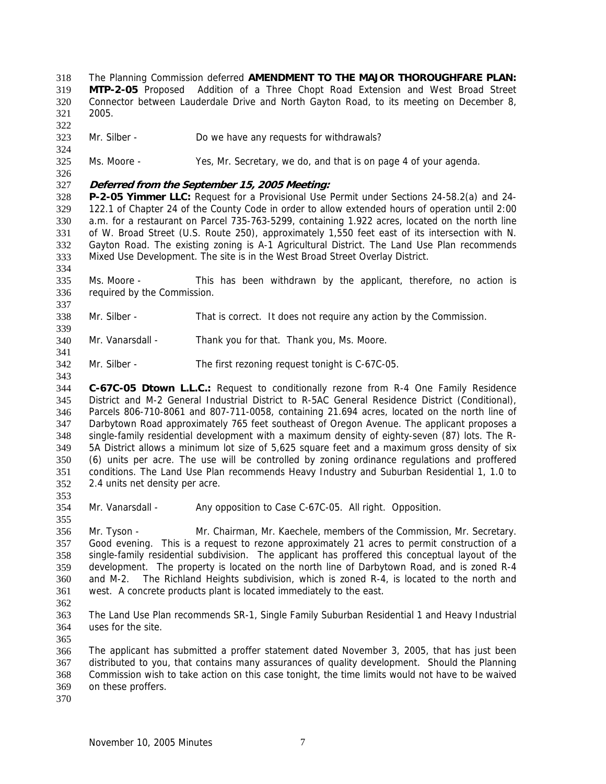The Planning Commission deferred **AMENDMENT TO THE MAJOR THOROUGHFARE PLAN: MTP-2-05** Proposed Addition of a Three Chopt Road Extension and West Broad Street Connector between Lauderdale Drive and North Gayton Road, to its meeting on December 8, 2005. 318 319 320

321 322

324

326

334

337

339

341

343

- 323 Mr. Silber - Do we have any requests for withdrawals?
- 325 Ms. Moore - Yes, Mr. Secretary, we do, and that is on page 4 of your agenda.

### 327 **Deferred from the September 15, 2005 Meeting:**

328 329 330 331 332 333 **P-2-05 Yimmer LLC:** Request for a Provisional Use Permit under Sections 24-58.2(a) and 24- 122.1 of Chapter 24 of the County Code in order to allow extended hours of operation until 2:00 a.m. for a restaurant on Parcel 735-763-5299, containing 1.922 acres, located on the north line of W. Broad Street (U.S. Route 250), approximately 1,550 feet east of its intersection with N. Gayton Road. The existing zoning is A-1 Agricultural District. The Land Use Plan recommends Mixed Use Development. The site is in the West Broad Street Overlay District.

- 335 336 Ms. Moore - This has been withdrawn by the applicant, therefore, no action is required by the Commission.
- 338 Mr. Silber - That is correct. It does not require any action by the Commission.
- 340 Mr. Vanarsdall - Thank you for that. Thank you, Ms. Moore.
- 342 Mr. Silber - The first rezoning request tonight is C-67C-05.

344 345 346 347 348 349 350 351 352 353 **C-67C-05 Dtown L.L.C.:** Request to conditionally rezone from R-4 One Family Residence District and M-2 General Industrial District to R-5AC General Residence District (Conditional), Parcels 806-710-8061 and 807-711-0058, containing 21.694 acres, located on the north line of Darbytown Road approximately 765 feet southeast of Oregon Avenue. The applicant proposes a single-family residential development with a maximum density of eighty-seven (87) lots. The R-5A District allows a minimum lot size of 5,625 square feet and a maximum gross density of six (6) units per acre. The use will be controlled by zoning ordinance regulations and proffered conditions. The Land Use Plan recommends Heavy Industry and Suburban Residential 1, 1.0 to 2.4 units net density per acre.

- 354 Mr. Vanarsdall - Any opposition to Case C-67C-05. All right. Opposition.
- 356 357 358 359 360 361 Mr. Tyson - Mr. Chairman, Mr. Kaechele, members of the Commission, Mr. Secretary. Good evening. This is a request to rezone approximately 21 acres to permit construction of a single-family residential subdivision. The applicant has proffered this conceptual layout of the development. The property is located on the north line of Darbytown Road, and is zoned R-4 and M-2. The Richland Heights subdivision, which is zoned R-4, is located to the north and west. A concrete products plant is located immediately to the east.
- 362

355

- 363 364 The Land Use Plan recommends SR-1, Single Family Suburban Residential 1 and Heavy Industrial uses for the site.
- 365

366 367 368 369 The applicant has submitted a proffer statement dated November 3, 2005, that has just been distributed to you, that contains many assurances of quality development. Should the Planning Commission wish to take action on this case tonight, the time limits would not have to be waived on these proffers.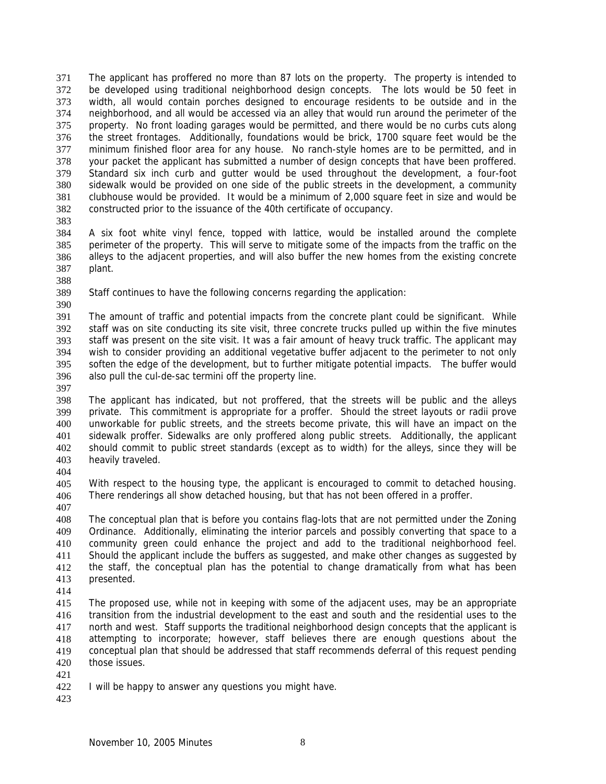The applicant has proffered no more than 87 lots on the property. The property is intended to be developed using traditional neighborhood design concepts. The lots would be 50 feet in width, all would contain porches designed to encourage residents to be outside and in the neighborhood, and all would be accessed via an alley that would run around the perimeter of the property. No front loading garages would be permitted, and there would be no curbs cuts along the street frontages. Additionally, foundations would be brick, 1700 square feet would be the minimum finished floor area for any house. No ranch-style homes are to be permitted, and in your packet the applicant has submitted a number of design concepts that have been proffered. Standard six inch curb and gutter would be used throughout the development, a four-foot sidewalk would be provided on one side of the public streets in the development, a community clubhouse would be provided. It would be a minimum of 2,000 square feet in size and would be constructed prior to the issuance of the 40th certificate of occupancy. 371 372 373 374 375 376 377 378 379 380 381 382

383

384 385 386 387 A six foot white vinyl fence, topped with lattice, would be installed around the complete perimeter of the property. This will serve to mitigate some of the impacts from the traffic on the alleys to the adjacent properties, and will also buffer the new homes from the existing concrete plant.

388

389 390

Staff continues to have the following concerns regarding the application:

391 392 393 394 395 396 The amount of traffic and potential impacts from the concrete plant could be significant. While staff was on site conducting its site visit, three concrete trucks pulled up within the five minutes staff was present on the site visit. It was a fair amount of heavy truck traffic. The applicant may wish to consider providing an additional vegetative buffer adjacent to the perimeter to not only soften the edge of the development, but to further mitigate potential impacts. The buffer would also pull the cul-de-sac termini off the property line.

397

398 399 400 401 402 403 The applicant has indicated, but not proffered, that the streets will be public and the alleys private. This commitment is appropriate for a proffer. Should the street layouts or radii prove unworkable for public streets, and the streets become private, this will have an impact on the sidewalk proffer. Sidewalks are only proffered along public streets. Additionally, the applicant should commit to public street standards (except as to width) for the alleys, since they will be heavily traveled.

404

405 406 With respect to the housing type, the applicant is encouraged to commit to detached housing. There renderings all show detached housing, but that has not been offered in a proffer.

407

408 409 410 411 412 413 The conceptual plan that is before you contains flag-lots that are not permitted under the Zoning Ordinance. Additionally, eliminating the interior parcels and possibly converting that space to a community green could enhance the project and add to the traditional neighborhood feel. Should the applicant include the buffers as suggested, and make other changes as suggested by the staff, the conceptual plan has the potential to change dramatically from what has been presented.

414

415 416 417 418 419 420 The proposed use, while not in keeping with some of the adjacent uses, may be an appropriate transition from the industrial development to the east and south and the residential uses to the north and west. Staff supports the traditional neighborhood design concepts that the applicant is attempting to incorporate; however, staff believes there are enough questions about the conceptual plan that should be addressed that staff recommends deferral of this request pending those issues.

421

<sup>422</sup>  I will be happy to answer any questions you might have.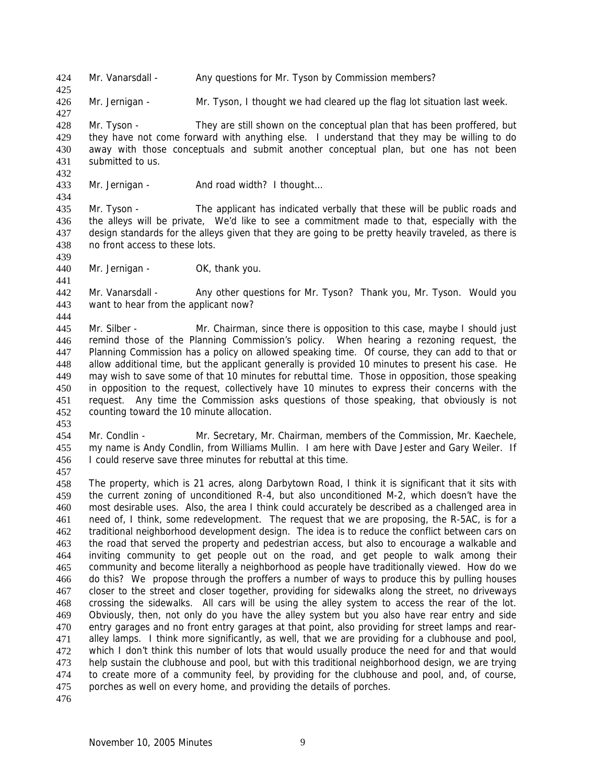424 Mr. Vanarsdall - Any questions for Mr. Tyson by Commission members?

426 Mr. Jernigan - Mr. Tyson, I thought we had cleared up the flag lot situation last week.

428 429 430 431 Mr. Tyson - They are still shown on the conceptual plan that has been proffered, but they have not come forward with anything else. I understand that they may be willing to do away with those conceptuals and submit another conceptual plan, but one has not been submitted to us.

433 Mr. Jernigan - And road width? I thought...

435 436 437 438 Mr. Tyson - The applicant has indicated verbally that these will be public roads and the alleys will be private, We'd like to see a commitment made to that, especially with the design standards for the alleys given that they are going to be pretty heavily traveled, as there is no front access to these lots.

440 Mr. Jernigan - OK, thank you.

442 443 Mr. Vanarsdall - Any other questions for Mr. Tyson? Thank you, Mr. Tyson. Would you want to hear from the applicant now?

445 446 447 448 449 450 451 452 Mr. Silber - Mr. Chairman, since there is opposition to this case, maybe I should just remind those of the Planning Commission's policy. When hearing a rezoning request, the Planning Commission has a policy on allowed speaking time. Of course, they can add to that or allow additional time, but the applicant generally is provided 10 minutes to present his case. He may wish to save some of that 10 minutes for rebuttal time. Those in opposition, those speaking in opposition to the request, collectively have 10 minutes to express their concerns with the request. Any time the Commission asks questions of those speaking, that obviously is not counting toward the 10 minute allocation.

- 454 455 456 Mr. Condlin - Mr. Secretary, Mr. Chairman, members of the Commission, Mr. Kaechele, my name is Andy Condlin, from Williams Mullin. I am here with Dave Jester and Gary Weiler. If I could reserve save three minutes for rebuttal at this time.
- 457

453

425

427

432

434

439

441

444

458 459 460 461 462 463 464 465 466 467 468 469 470 471 472 473 474 475 The property, which is 21 acres, along Darbytown Road, I think it is significant that it sits with the current zoning of unconditioned R-4, but also unconditioned M-2, which doesn't have the most desirable uses. Also, the area I think could accurately be described as a challenged area in need of, I think, some redevelopment. The request that we are proposing, the R-5AC, is for a traditional neighborhood development design. The idea is to reduce the conflict between cars on the road that served the property and pedestrian access, but also to encourage a walkable and inviting community to get people out on the road, and get people to walk among their community and become literally a neighborhood as people have traditionally viewed. How do we do this? We propose through the proffers a number of ways to produce this by pulling houses closer to the street and closer together, providing for sidewalks along the street, no driveways crossing the sidewalks. All cars will be using the alley system to access the rear of the lot. Obviously, then, not only do you have the alley system but you also have rear entry and side entry garages and no front entry garages at that point, also providing for street lamps and rearalley lamps. I think more significantly, as well, that we are providing for a clubhouse and pool, which I don't think this number of lots that would usually produce the need for and that would help sustain the clubhouse and pool, but with this traditional neighborhood design, we are trying to create more of a community feel, by providing for the clubhouse and pool, and, of course, porches as well on every home, and providing the details of porches.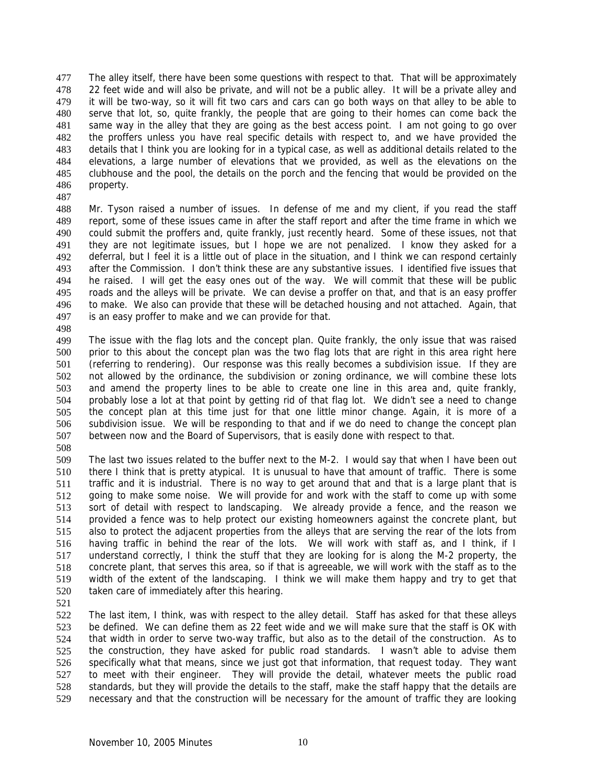The alley itself, there have been some questions with respect to that. That will be approximately 22 feet wide and will also be private, and will not be a public alley. It will be a private alley and it will be two-way, so it will fit two cars and cars can go both ways on that alley to be able to serve that lot, so, quite frankly, the people that are going to their homes can come back the same way in the alley that they are going as the best access point. I am not going to go over the proffers unless you have real specific details with respect to, and we have provided the details that I think you are looking for in a typical case, as well as additional details related to the elevations, a large number of elevations that we provided, as well as the elevations on the clubhouse and the pool, the details on the porch and the fencing that would be provided on the property. 477 478 479 480 481 482 483 484 485 486

487

488 489 490 491 492 493 494 495 496 497 Mr. Tyson raised a number of issues. In defense of me and my client, if you read the staff report, some of these issues came in after the staff report and after the time frame in which we could submit the proffers and, quite frankly, just recently heard. Some of these issues, not that they are not legitimate issues, but I hope we are not penalized. I know they asked for a deferral, but I feel it is a little out of place in the situation, and I think we can respond certainly after the Commission. I don't think these are any substantive issues. I identified five issues that he raised. I will get the easy ones out of the way. We will commit that these will be public roads and the alleys will be private. We can devise a proffer on that, and that is an easy proffer to make. We also can provide that these will be detached housing and not attached. Again, that is an easy proffer to make and we can provide for that.

498

499 500 501 502 503 504 505 506 507 The issue with the flag lots and the concept plan. Quite frankly, the only issue that was raised prior to this about the concept plan was the two flag lots that are right in this area right here (referring to rendering). Our response was this really becomes a subdivision issue. If they are not allowed by the ordinance, the subdivision or zoning ordinance, we will combine these lots and amend the property lines to be able to create one line in this area and, quite frankly, probably lose a lot at that point by getting rid of that flag lot. We didn't see a need to change the concept plan at this time just for that one little minor change. Again, it is more of a subdivision issue. We will be responding to that and if we do need to change the concept plan between now and the Board of Supervisors, that is easily done with respect to that.

508

509 510 511 512 513 514 515 516 517 518 519 520 The last two issues related to the buffer next to the M-2. I would say that when I have been out there I think that is pretty atypical. It is unusual to have that amount of traffic. There is some traffic and it is industrial. There is no way to get around that and that is a large plant that is going to make some noise. We will provide for and work with the staff to come up with some sort of detail with respect to landscaping. We already provide a fence, and the reason we provided a fence was to help protect our existing homeowners against the concrete plant, but also to protect the adjacent properties from the alleys that are serving the rear of the lots from having traffic in behind the rear of the lots. We will work with staff as, and I think, if I understand correctly, I think the stuff that they are looking for is along the M-2 property, the concrete plant, that serves this area, so if that is agreeable, we will work with the staff as to the width of the extent of the landscaping. I think we will make them happy and try to get that taken care of immediately after this hearing.

521

522 523 524 525 526 527 528 529 The last item, I think, was with respect to the alley detail. Staff has asked for that these alleys be defined. We can define them as 22 feet wide and we will make sure that the staff is OK with that width in order to serve two-way traffic, but also as to the detail of the construction. As to the construction, they have asked for public road standards. I wasn't able to advise them specifically what that means, since we just got that information, that request today. They want to meet with their engineer. They will provide the detail, whatever meets the public road standards, but they will provide the details to the staff, make the staff happy that the details are necessary and that the construction will be necessary for the amount of traffic they are looking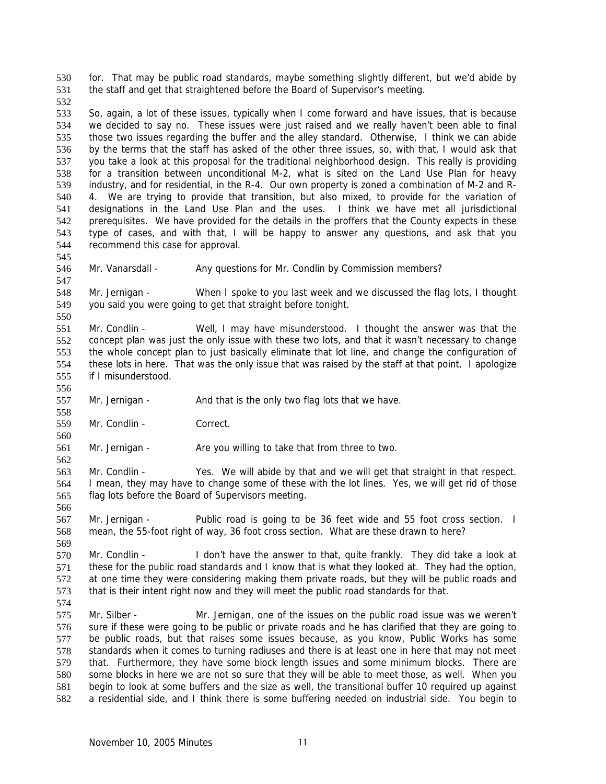for. That may be public road standards, maybe something slightly different, but we'd abide by the staff and get that straightened before the Board of Supervisor's meeting. 530 531

532

545

547

556

558

560

562

566

533 534 535 536 537 538 539 540 541 542 543 544 So, again, a lot of these issues, typically when I come forward and have issues, that is because we decided to say no. These issues were just raised and we really haven't been able to final those two issues regarding the buffer and the alley standard. Otherwise, I think we can abide by the terms that the staff has asked of the other three issues, so, with that, I would ask that you take a look at this proposal for the traditional neighborhood design. This really is providing for a transition between unconditional M-2, what is sited on the Land Use Plan for heavy industry, and for residential, in the R-4. Our own property is zoned a combination of M-2 and R-4. We are trying to provide that transition, but also mixed, to provide for the variation of designations in the Land Use Plan and the uses. I think we have met all jurisdictional prerequisites. We have provided for the details in the proffers that the County expects in these type of cases, and with that, I will be happy to answer any questions, and ask that you recommend this case for approval.

546 Mr. Vanarsdall - Any questions for Mr. Condlin by Commission members?

548 549 550 Mr. Jernigan - When I spoke to you last week and we discussed the flag lots, I thought you said you were going to get that straight before tonight.

551 552 553 554 555 Mr. Condlin - Well, I may have misunderstood. I thought the answer was that the concept plan was just the only issue with these two lots, and that it wasn't necessary to change the whole concept plan to just basically eliminate that lot line, and change the configuration of these lots in here. That was the only issue that was raised by the staff at that point. I apologize if I misunderstood.

557 Mr. Jernigan - And that is the only two flag lots that we have.

559 Mr. Condlin - Correct.

561 Mr. Jernigan - Are you willing to take that from three to two.

563 564 565 Mr. Condlin - Yes. We will abide by that and we will get that straight in that respect. I mean, they may have to change some of these with the lot lines. Yes, we will get rid of those flag lots before the Board of Supervisors meeting.

567 568 Mr. Jernigan - Public road is going to be 36 feet wide and 55 foot cross section. I mean, the 55-foot right of way, 36 foot cross section. What are these drawn to here?

569 570 571 572 573 574 Mr. Condlin - I don't have the answer to that, quite frankly. They did take a look at these for the public road standards and I know that is what they looked at. They had the option, at one time they were considering making them private roads, but they will be public roads and that is their intent right now and they will meet the public road standards for that.

575 576 577 578 579 580 581 582 Mr. Silber - Mr. Jernigan, one of the issues on the public road issue was we weren't sure if these were going to be public or private roads and he has clarified that they are going to be public roads, but that raises some issues because, as you know, Public Works has some standards when it comes to turning radiuses and there is at least one in here that may not meet that. Furthermore, they have some block length issues and some minimum blocks. There are some blocks in here we are not so sure that they will be able to meet those, as well. When you begin to look at some buffers and the size as well, the transitional buffer 10 required up against a residential side, and I think there is some buffering needed on industrial side. You begin to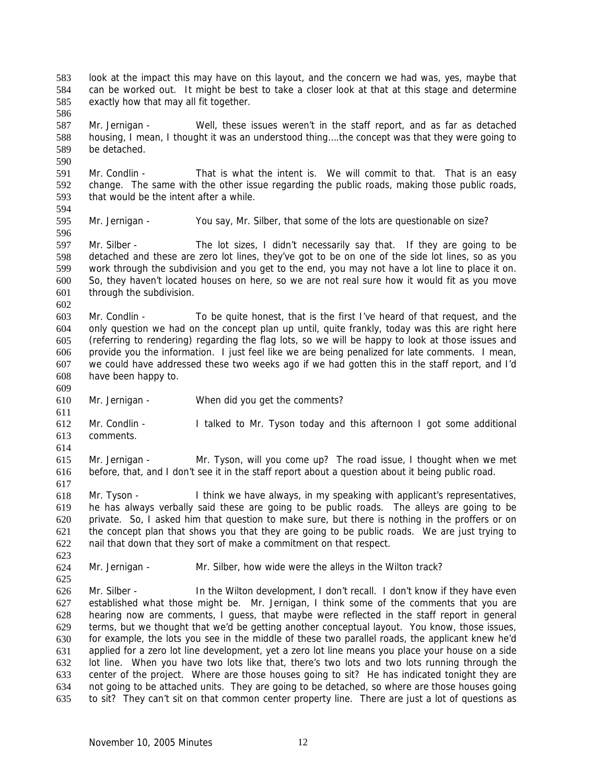look at the impact this may have on this layout, and the concern we had was, yes, maybe that can be worked out. It might be best to take a closer look at that at this stage and determine exactly how that may all fit together. 583 584 585

587 588 589 Mr. Jernigan - Well, these issues weren't in the staff report, and as far as detached housing, I mean, I thought it was an understood thing….the concept was that they were going to be detached.

591 592 593 594 Mr. Condlin - That is what the intent is. We will commit to that. That is an easy change. The same with the other issue regarding the public roads, making those public roads, that would be the intent after a while.

595 Mr. Jernigan - You say, Mr. Silber, that some of the lots are questionable on size?

597 598 599 600 601 602 Mr. Silber - The lot sizes, I didn't necessarily say that. If they are going to be detached and these are zero lot lines, they've got to be on one of the side lot lines, so as you work through the subdivision and you get to the end, you may not have a lot line to place it on. So, they haven't located houses on here, so we are not real sure how it would fit as you move through the subdivision.

603 604 605 606 607 608 Mr. Condlin - To be quite honest, that is the first I've heard of that request, and the only question we had on the concept plan up until, quite frankly, today was this are right here (referring to rendering) regarding the flag lots, so we will be happy to look at those issues and provide you the information. I just feel like we are being penalized for late comments. I mean, we could have addressed these two weeks ago if we had gotten this in the staff report, and I'd have been happy to.

610 Mr. Jernigan - When did you get the comments?

612 613 Mr. Condlin - I talked to Mr. Tyson today and this afternoon I got some additional comments.

614

623

609

611

586

590

596

615 616 617 Mr. Jernigan - Mr. Tyson, will you come up? The road issue, I thought when we met before, that, and I don't see it in the staff report about a question about it being public road.

618 619 620 621 622 Mr. Tyson - I think we have always, in my speaking with applicant's representatives, he has always verbally said these are going to be public roads. The alleys are going to be private. So, I asked him that question to make sure, but there is nothing in the proffers or on the concept plan that shows you that they are going to be public roads. We are just trying to nail that down that they sort of make a commitment on that respect.

624 Mr. Jernigan - Mr. Silber, how wide were the alleys in the Wilton track?

625 626 627 628 629 630 631 632 633 634 635 Mr. Silber - **In the Wilton development, I don't recall.** I don't know if they have even established what those might be. Mr. Jernigan, I think some of the comments that you are hearing now are comments, I guess, that maybe were reflected in the staff report in general terms, but we thought that we'd be getting another conceptual layout. You know, those issues, for example, the lots you see in the middle of these two parallel roads, the applicant knew he'd applied for a zero lot line development, yet a zero lot line means you place your house on a side lot line. When you have two lots like that, there's two lots and two lots running through the center of the project. Where are those houses going to sit? He has indicated tonight they are not going to be attached units. They are going to be detached, so where are those houses going to sit? They can't sit on that common center property line. There are just a lot of questions as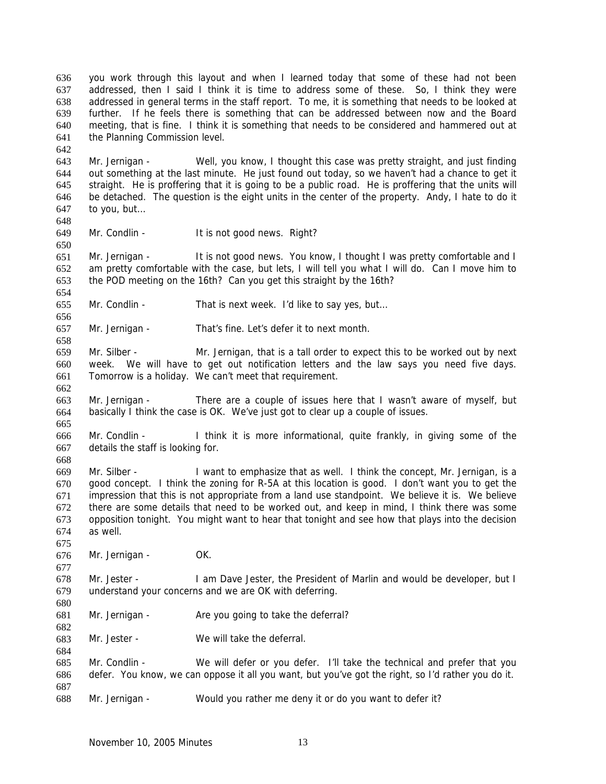you work through this layout and when I learned today that some of these had not been addressed, then I said I think it is time to address some of these. So, I think they were addressed in general terms in the staff report. To me, it is something that needs to be looked at further. If he feels there is something that can be addressed between now and the Board meeting, that is fine. I think it is something that needs to be considered and hammered out at the Planning Commission level. 636 637 638 639 640 641

643 644 645 646 647 Mr. Jernigan - Well, you know, I thought this case was pretty straight, and just finding out something at the last minute. He just found out today, so we haven't had a chance to get it straight. He is proffering that it is going to be a public road. He is proffering that the units will be detached. The question is the eight units in the center of the property. Andy, I hate to do it to you, but…

649 Mr. Condlin - It is not good news. Right?

642

648

650

654

656

658

662

665

668

675

677

680

682

684

651 652 653 Mr. Jernigan - It is not good news. You know, I thought I was pretty comfortable and I am pretty comfortable with the case, but lets, I will tell you what I will do. Can I move him to the POD meeting on the 16th? Can you get this straight by the 16th?

- 655 Mr. Condlin - That is next week. I'd like to say yes, but...
- 657 Mr. Jernigan - That's fine. Let's defer it to next month.

659 660 661 Mr. Silber - Mr. Jernigan, that is a tall order to expect this to be worked out by next week. We will have to get out notification letters and the law says you need five days. Tomorrow is a holiday. We can't meet that requirement.

- 663 664 Mr. Jernigan - There are a couple of issues here that I wasn't aware of myself, but basically I think the case is OK. We've just got to clear up a couple of issues.
- 666 667 Mr. Condlin - I think it is more informational, quite frankly, in giving some of the details the staff is looking for.

669 670 671 672 673 674 Mr. Silber - I want to emphasize that as well. I think the concept, Mr. Jernigan, is a good concept. I think the zoning for R-5A at this location is good. I don't want you to get the impression that this is not appropriate from a land use standpoint. We believe it is. We believe there are some details that need to be worked out, and keep in mind, I think there was some opposition tonight. You might want to hear that tonight and see how that plays into the decision as well.

- 676 Mr. Jernigan - OK.
- 678 679 Mr. Jester - I am Dave Jester, the President of Marlin and would be developer, but I understand your concerns and we are OK with deferring.
- 681 Mr. Jernigan - Are you going to take the deferral?
- 683 Mr. Jester - We will take the deferral.

685 686 687 688 Mr. Condlin - We will defer or you defer. I'll take the technical and prefer that you defer. You know, we can oppose it all you want, but you've got the right, so I'd rather you do it.

Mr. Jernigan - Would you rather me deny it or do you want to defer it?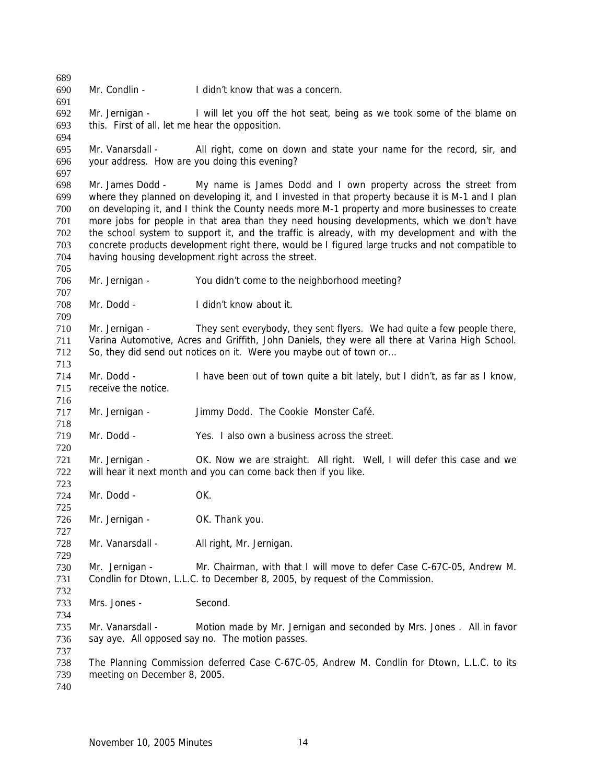Mr. Condlin - I didn't know that was a concern Mr. Jernigan - I will let you off the hot seat, being as we took some of the blame on this. First of all, let me hear the opposition. Mr. Vanarsdall - All right, come on down and state your name for the record, sir, and your address. How are you doing this evening? Mr. James Dodd - My name is James Dodd and I own property across the street from where they planned on developing it, and I invested in that property because it is M-1 and I plan on developing it, and I think the County needs more M-1 property and more businesses to create more jobs for people in that area than they need housing developments, which we don't have the school system to support it, and the traffic is already, with my development and with the concrete products development right there, would be I figured large trucks and not compatible to having housing development right across the street. Mr. Jernigan - You didn't come to the neighborhood meeting? Mr. Dodd - I didn't know about it. Mr. Jernigan - They sent everybody, they sent flyers. We had quite a few people there, Varina Automotive, Acres and Griffith, John Daniels, they were all there at Varina High School. So, they did send out notices on it. Were you maybe out of town or… Mr. Dodd - I have been out of town quite a bit lately, but I didn't, as far as I know, receive the notice. Mr. Jernigan - Jimmy Dodd. The Cookie Monster Café. Mr. Dodd - Yes. I also own a business across the street. Mr. Jernigan - OK. Now we are straight. All right. Well, I will defer this case and we will hear it next month and you can come back then if you like. Mr. Dodd - OK. Mr. Jernigan - **OK. Thank you.** Mr. Vanarsdall - All right, Mr. Jernigan. Mr. Jernigan - Mr. Chairman, with that I will move to defer Case C-67C-05, Andrew M. Condlin for Dtown, L.L.C. to December 8, 2005, by request of the Commission. Mrs. Jones - Second. Mr. Vanarsdall - Motion made by Mr. Jernigan and seconded by Mrs. Jones . All in favor say aye. All opposed say no. The motion passes. The Planning Commission deferred Case C-67C-05, Andrew M. Condlin for Dtown, L.L.C. to its meeting on December 8, 2005.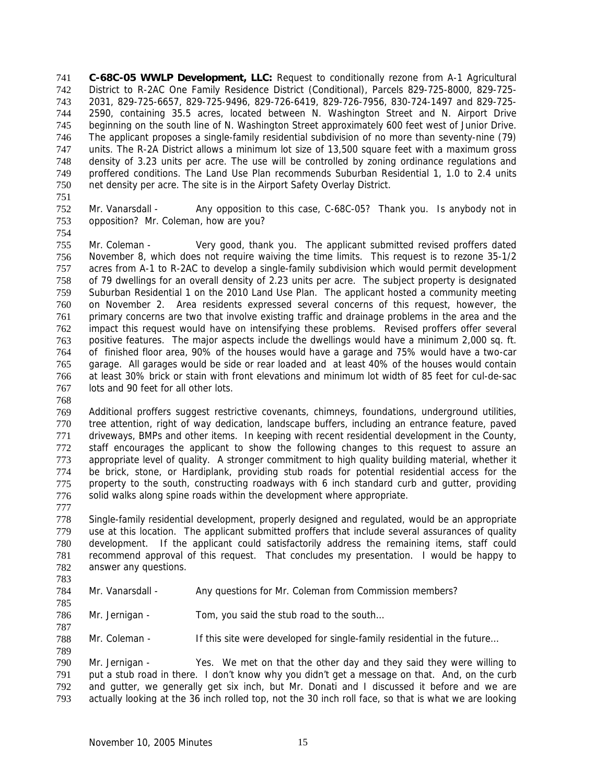**C-68C-05 WWLP Development, LLC:** Request to conditionally rezone from A-1 Agricultural District to R-2AC One Family Residence District (Conditional), Parcels 829-725-8000, 829-725- 2031, 829-725-6657, 829-725-9496, 829-726-6419, 829-726-7956, 830-724-1497 and 829-725- 2590, containing 35.5 acres, located between N. Washington Street and N. Airport Drive beginning on the south line of N. Washington Street approximately 600 feet west of Junior Drive. The applicant proposes a single-family residential subdivision of no more than seventy-nine (79) units. The R-2A District allows a minimum lot size of 13,500 square feet with a maximum gross density of 3.23 units per acre. The use will be controlled by zoning ordinance regulations and proffered conditions. The Land Use Plan recommends Suburban Residential 1, 1.0 to 2.4 units net density per acre. The site is in the Airport Safety Overlay District. 741 742 743 744 745 746 747 748 749 750

751

754

752 753 Mr. Vanarsdall - Any opposition to this case, C-68C-05? Thank you. Is anybody not in opposition? Mr. Coleman, how are you?

755 756 757 758 759 760 761 762 763 764 765 766 767 Mr. Coleman - Very good, thank you. The applicant submitted revised proffers dated November 8, which does not require waiving the time limits. This request is to rezone 35-1/2 acres from A-1 to R-2AC to develop a single-family subdivision which would permit development of 79 dwellings for an overall density of 2.23 units per acre. The subject property is designated Suburban Residential 1 on the 2010 Land Use Plan. The applicant hosted a community meeting on November 2. Area residents expressed several concerns of this request, however, the primary concerns are two that involve existing traffic and drainage problems in the area and the impact this request would have on intensifying these problems. Revised proffers offer several positive features. The major aspects include the dwellings would have a minimum 2,000 sq. ft. of finished floor area, 90% of the houses would have a garage and 75% would have a two-car garage. All garages would be side or rear loaded and at least 40% of the houses would contain at least 30% brick or stain with front elevations and minimum lot width of 85 feet for cul-de-sac lots and 90 feet for all other lots.

768

769 770 771 772 773 774 775 776 Additional proffers suggest restrictive covenants, chimneys, foundations, underground utilities, tree attention, right of way dedication, landscape buffers, including an entrance feature, paved driveways, BMPs and other items. In keeping with recent residential development in the County, staff encourages the applicant to show the following changes to this request to assure an appropriate level of quality. A stronger commitment to high quality building material, whether it be brick, stone, or Hardiplank, providing stub roads for potential residential access for the property to the south, constructing roadways with 6 inch standard curb and gutter, providing solid walks along spine roads within the development where appropriate.

777

783

785

787

789

778 779 780 781 782 Single-family residential development, properly designed and regulated, would be an appropriate use at this location. The applicant submitted proffers that include several assurances of quality development. If the applicant could satisfactorily address the remaining items, staff could recommend approval of this request. That concludes my presentation. I would be happy to answer any questions.

- 784 Mr. Vanarsdall - Any questions for Mr. Coleman from Commission members?
- 786 Mr. Jernigan - Tom, you said the stub road to the south...

788 Mr. Coleman - If this site were developed for single-family residential in the future...

790 791 792 793 Mr. Jernigan - Yes. We met on that the other day and they said they were willing to put a stub road in there. I don't know why you didn't get a message on that. And, on the curb and gutter, we generally get six inch, but Mr. Donati and I discussed it before and we are actually looking at the 36 inch rolled top, not the 30 inch roll face, so that is what we are looking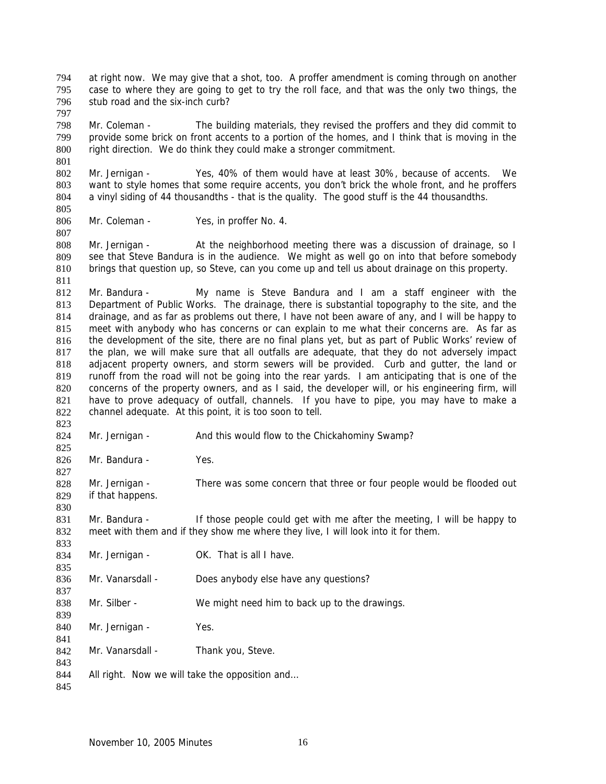at right now. We may give that a shot, too. A proffer amendment is coming through on another case to where they are going to get to try the roll face, and that was the only two things, the stub road and the six-inch curb? 794 795 796

798 799 800 Mr. Coleman - The building materials, they revised the proffers and they did commit to provide some brick on front accents to a portion of the homes, and I think that is moving in the right direction. We do think they could make a stronger commitment.

802 803 804 805 Mr. Jernigan - Yes, 40% of them would have at least 30%, because of accents. We want to style homes that some require accents, you don't brick the whole front, and he proffers a vinyl siding of 44 thousandths - that is the quality. The good stuff is the 44 thousandths.

806 Mr. Coleman - Yes, in proffer No. 4.

797

801

807

823

825

827

830

808 809 810 811 Mr. Jernigan - At the neighborhood meeting there was a discussion of drainage, so I see that Steve Bandura is in the audience. We might as well go on into that before somebody brings that question up, so Steve, can you come up and tell us about drainage on this property.

812 813 814 815 816 817 818 819 820 821 822 Mr. Bandura - My name is Steve Bandura and I am a staff engineer with the Department of Public Works. The drainage, there is substantial topography to the site, and the drainage, and as far as problems out there, I have not been aware of any, and I will be happy to meet with anybody who has concerns or can explain to me what their concerns are. As far as the development of the site, there are no final plans yet, but as part of Public Works' review of the plan, we will make sure that all outfalls are adequate, that they do not adversely impact adjacent property owners, and storm sewers will be provided. Curb and gutter, the land or runoff from the road will not be going into the rear yards. I am anticipating that is one of the concerns of the property owners, and as I said, the developer will, or his engineering firm, will have to prove adequacy of outfall, channels. If you have to pipe, you may have to make a channel adequate. At this point, it is too soon to tell.

824 Mr. Jernigan - And this would flow to the Chickahominy Swamp?

826 Mr. Bandura - Yes.

828 829 Mr. Jernigan - There was some concern that three or four people would be flooded out if that happens.

831 832 Mr. Bandura - If those people could get with me after the meeting, I will be happy to meet with them and if they show me where they live, I will look into it for them.

| 833 |                  |                                               |
|-----|------------------|-----------------------------------------------|
| 834 | Mr. Jernigan -   | OK. That is all I have.                       |
| 835 |                  |                                               |
| 836 | Mr. Vanarsdall - | Does anybody else have any questions?         |
| 837 |                  |                                               |
| 838 | Mr. Silber -     | We might need him to back up to the drawings. |
| 839 |                  |                                               |
| 840 | Mr. Jernigan -   | Yes.                                          |
| 841 |                  |                                               |
| 842 | Mr. Vanarsdall - | Thank you, Steve.                             |
| 843 |                  |                                               |

844 All right. Now we will take the opposition and…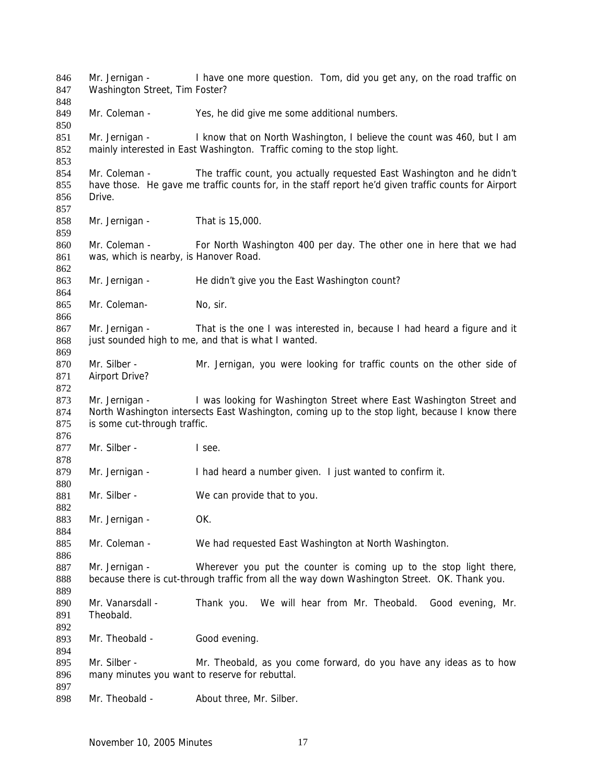Mr. Jernigan - I have one more question. Tom, did you get any, on the road traffic on Washington Street, Tim Foster? Mr. Coleman - Yes, he did give me some additional numbers. Mr. Jernigan - I know that on North Washington, I believe the count was 460, but I am mainly interested in East Washington. Traffic coming to the stop light. Mr. Coleman - The traffic count, you actually requested East Washington and he didn't have those. He gave me traffic counts for, in the staff report he'd given traffic counts for Airport Drive. Mr. Jernigan - That is 15,000. Mr. Coleman - For North Washington 400 per day. The other one in here that we had was, which is nearby, is Hanover Road. Mr. Jernigan - He didn't give you the East Washington count? Mr. Coleman- No, sir. Mr. Jernigan - That is the one I was interested in, because I had heard a figure and it just sounded high to me, and that is what I wanted. Mr. Silber - Mr. Jernigan, you were looking for traffic counts on the other side of Airport Drive? Mr. Jernigan - I was looking for Washington Street where East Washington Street and North Washington intersects East Washington, coming up to the stop light, because I know there is some cut-through traffic. Mr. Silber - I see. Mr. Jernigan - I had heard a number given. I just wanted to confirm it. Mr. Silber - We can provide that to you. Mr. Jernigan - **OK.** Mr. Coleman - We had requested East Washington at North Washington. Mr. Jernigan - Wherever you put the counter is coming up to the stop light there, because there is cut-through traffic from all the way down Washington Street. OK. Thank you. Mr. Vanarsdall - Thank you. We will hear from Mr. Theobald. Good evening, Mr. Theobald. Mr. Theobald - Good evening. Mr. Silber - Mr. Theobald, as you come forward, do you have any ideas as to how many minutes you want to reserve for rebuttal. Mr. Theobald - About three, Mr. Silber.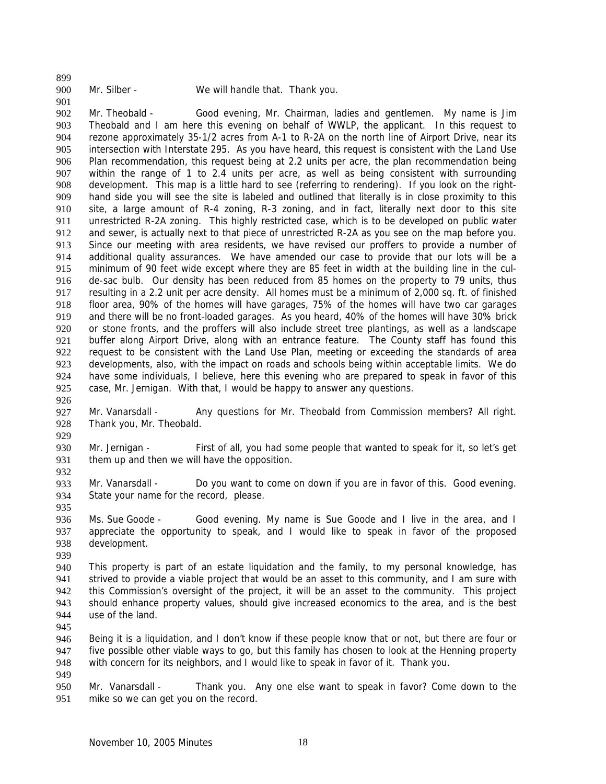899

900

## Mr. Silber - We will handle that. Thank you.

901 902 903 904 905 906 907 908 909 910 911 912 913 914 915 916 917 918 919 920 921 922 923 924 925 Mr. Theobald - Good evening, Mr. Chairman, ladies and gentlemen. My name is Jim Theobald and I am here this evening on behalf of WWLP, the applicant. In this request to rezone approximately 35-1/2 acres from A-1 to R-2A on the north line of Airport Drive, near its intersection with Interstate 295. As you have heard, this request is consistent with the Land Use Plan recommendation, this request being at 2.2 units per acre, the plan recommendation being within the range of 1 to 2.4 units per acre, as well as being consistent with surrounding development. This map is a little hard to see (referring to rendering). If you look on the righthand side you will see the site is labeled and outlined that literally is in close proximity to this site, a large amount of R-4 zoning, R-3 zoning, and in fact, literally next door to this site unrestricted R-2A zoning. This highly restricted case, which is to be developed on public water and sewer, is actually next to that piece of unrestricted R-2A as you see on the map before you. Since our meeting with area residents, we have revised our proffers to provide a number of additional quality assurances. We have amended our case to provide that our lots will be a minimum of 90 feet wide except where they are 85 feet in width at the building line in the culde-sac bulb. Our density has been reduced from 85 homes on the property to 79 units, thus resulting in a 2.2 unit per acre density. All homes must be a minimum of 2,000 sq. ft. of finished floor area, 90% of the homes will have garages, 75% of the homes will have two car garages and there will be no front-loaded garages. As you heard, 40% of the homes will have 30% brick or stone fronts, and the proffers will also include street tree plantings, as well as a landscape buffer along Airport Drive, along with an entrance feature. The County staff has found this request to be consistent with the Land Use Plan, meeting or exceeding the standards of area developments, also, with the impact on roads and schools being within acceptable limits. We do have some individuals, I believe, here this evening who are prepared to speak in favor of this case, Mr. Jernigan. With that, I would be happy to answer any questions.

926

929

932

935

927 928 Mr. Vanarsdall - Any questions for Mr. Theobald from Commission members? All right. Thank you, Mr. Theobald.

930 931 Mr. Jernigan - First of all, you had some people that wanted to speak for it, so let's get them up and then we will have the opposition.

933 934 Mr. Vanarsdall - Do you want to come on down if you are in favor of this. Good evening. State your name for the record, please.

936 937 938 Ms. Sue Goode - Good evening. My name is Sue Goode and I live in the area, and I appreciate the opportunity to speak, and I would like to speak in favor of the proposed development.

939

940 941 942 943 944 This property is part of an estate liquidation and the family, to my personal knowledge, has strived to provide a viable project that would be an asset to this community, and I am sure with this Commission's oversight of the project, it will be an asset to the community. This project should enhance property values, should give increased economics to the area, and is the best use of the land.

945

946 947 948 949 Being it is a liquidation, and I don't know if these people know that or not, but there are four or five possible other viable ways to go, but this family has chosen to look at the Henning property with concern for its neighbors, and I would like to speak in favor of it. Thank you.

950 951 Mr. Vanarsdall - Thank you. Any one else want to speak in favor? Come down to the mike so we can get you on the record.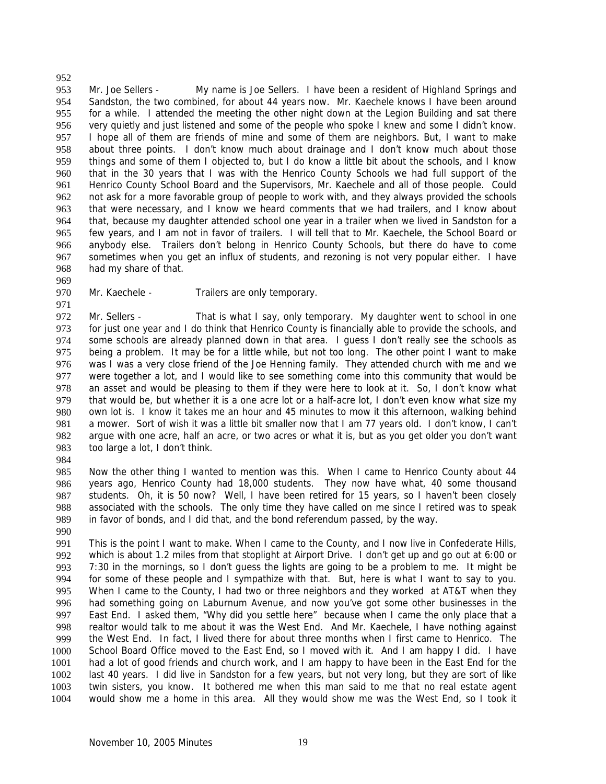953 954 955 956 957 958 959 960 961 962 963 964 965 966 967 968 Mr. Joe Sellers - My name is Joe Sellers. I have been a resident of Highland Springs and Sandston, the two combined, for about 44 years now. Mr. Kaechele knows I have been around for a while. I attended the meeting the other night down at the Legion Building and sat there very quietly and just listened and some of the people who spoke I knew and some I didn't know. I hope all of them are friends of mine and some of them are neighbors. But, I want to make about three points. I don't know much about drainage and I don't know much about those things and some of them I objected to, but I do know a little bit about the schools, and I know that in the 30 years that I was with the Henrico County Schools we had full support of the Henrico County School Board and the Supervisors, Mr. Kaechele and all of those people. Could not ask for a more favorable group of people to work with, and they always provided the schools that were necessary, and I know we heard comments that we had trailers, and I know about that, because my daughter attended school one year in a trailer when we lived in Sandston for a few years, and I am not in favor of trailers. I will tell that to Mr. Kaechele, the School Board or anybody else. Trailers don't belong in Henrico County Schools, but there do have to come sometimes when you get an influx of students, and rezoning is not very popular either. I have had my share of that.

969

952

970

### Mr. Kaechele - Trailers are only temporary.

971 972 973 974 975 976 977 978 979 980 981 982 983 Mr. Sellers - That is what I say, only temporary. My daughter went to school in one for just one year and I do think that Henrico County is financially able to provide the schools, and some schools are already planned down in that area. I guess I don't really see the schools as being a problem. It may be for a little while, but not too long. The other point I want to make was I was a very close friend of the Joe Henning family. They attended church with me and we were together a lot, and I would like to see something come into this community that would be an asset and would be pleasing to them if they were here to look at it. So, I don't know what that would be, but whether it is a one acre lot or a half-acre lot, I don't even know what size my own lot is. I know it takes me an hour and 45 minutes to mow it this afternoon, walking behind a mower. Sort of wish it was a little bit smaller now that I am 77 years old. I don't know, I can't argue with one acre, half an acre, or two acres or what it is, but as you get older you don't want too large a lot, I don't think.

984

985 986 987 988 989 Now the other thing I wanted to mention was this. When I came to Henrico County about 44 years ago, Henrico County had 18,000 students. They now have what, 40 some thousand students. Oh, it is 50 now? Well, I have been retired for 15 years, so I haven't been closely associated with the schools. The only time they have called on me since I retired was to speak in favor of bonds, and I did that, and the bond referendum passed, by the way.

990

991 992 993 994 995 996 997 998 999 1000 1001 1002 1003 1004 This is the point I want to make. When I came to the County, and I now live in Confederate Hills, which is about 1.2 miles from that stoplight at Airport Drive. I don't get up and go out at 6:00 or 7:30 in the mornings, so I don't guess the lights are going to be a problem to me. It might be for some of these people and I sympathize with that. But, here is what I want to say to you. When I came to the County, I had two or three neighbors and they worked at AT&T when they had something going on Laburnum Avenue, and now you've got some other businesses in the East End. I asked them, "Why did you settle here" because when I came the only place that a realtor would talk to me about it was the West End. And Mr. Kaechele, I have nothing against the West End. In fact, I lived there for about three months when I first came to Henrico. The School Board Office moved to the East End, so I moved with it. And I am happy I did. I have had a lot of good friends and church work, and I am happy to have been in the East End for the last 40 years. I did live in Sandston for a few years, but not very long, but they are sort of like twin sisters, you know. It bothered me when this man said to me that no real estate agent would show me a home in this area. All they would show me was the West End, so I took it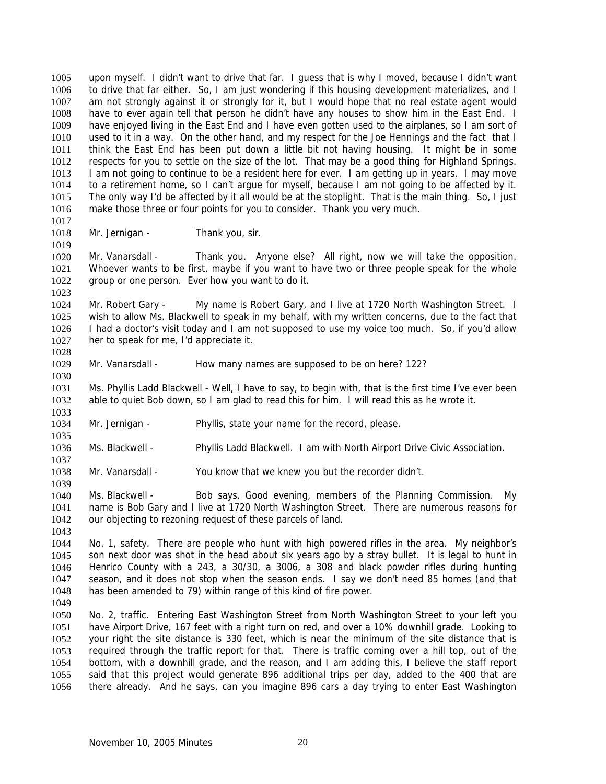upon myself. I didn't want to drive that far. I guess that is why I moved, because I didn't want to drive that far either. So, I am just wondering if this housing development materializes, and I am not strongly against it or strongly for it, but I would hope that no real estate agent would have to ever again tell that person he didn't have any houses to show him in the East End. I have enjoyed living in the East End and I have even gotten used to the airplanes, so I am sort of used to it in a way. On the other hand, and my respect for the Joe Hennings and the fact that I think the East End has been put down a little bit not having housing. It might be in some respects for you to settle on the size of the lot. That may be a good thing for Highland Springs. I am not going to continue to be a resident here for ever. I am getting up in years. I may move to a retirement home, so I can't argue for myself, because I am not going to be affected by it. The only way I'd be affected by it all would be at the stoplight. That is the main thing. So, I just make those three or four points for you to consider. Thank you very much. 1005 1006 1007 1008 1009 1010 1011 1012 1013 1014 1015 1016

1017 1018

1019

1023

1035

1037

1039

1043

Mr. Jernigan - Thank you, sir.

1020 1021 1022 Mr. Vanarsdall - Thank you. Anyone else? All right, now we will take the opposition. Whoever wants to be first, maybe if you want to have two or three people speak for the whole group or one person. Ever how you want to do it.

1024 1025 1026 1027 1028 Mr. Robert Gary - My name is Robert Gary, and I live at 1720 North Washington Street. I wish to allow Ms. Blackwell to speak in my behalf, with my written concerns, due to the fact that I had a doctor's visit today and I am not supposed to use my voice too much. So, if you'd allow her to speak for me, I'd appreciate it.

1029 1030 Mr. Vanarsdall - How many names are supposed to be on here? 122?

1031 1032 1033 Ms. Phyllis Ladd Blackwell - Well, I have to say, to begin with, that is the first time I've ever been able to quiet Bob down, so I am glad to read this for him. I will read this as he wrote it.

- 1034 Mr. Jernigan - Phyllis, state your name for the record, please.
- 1036 Ms. Blackwell - Phyllis Ladd Blackwell. I am with North Airport Drive Civic Association.

1038 Mr. Vanarsdall - You know that we knew you but the recorder didn't.

1040 1041 1042 Ms. Blackwell - Bob says, Good evening, members of the Planning Commission. My name is Bob Gary and I live at 1720 North Washington Street. There are numerous reasons for our objecting to rezoning request of these parcels of land.

1044 1045 1046 1047 1048 No. 1, safety. There are people who hunt with high powered rifles in the area. My neighbor's son next door was shot in the head about six years ago by a stray bullet. It is legal to hunt in Henrico County with a 243, a 30/30, a 3006, a 308 and black powder rifles during hunting season, and it does not stop when the season ends. I say we don't need 85 homes (and that has been amended to 79) within range of this kind of fire power.

1049

1050 1051 1052 1053 1054 1055 1056 No. 2, traffic. Entering East Washington Street from North Washington Street to your left you have Airport Drive, 167 feet with a right turn on red, and over a 10% downhill grade. Looking to your right the site distance is 330 feet, which is near the minimum of the site distance that is required through the traffic report for that. There is traffic coming over a hill top, out of the bottom, with a downhill grade, and the reason, and I am adding this, I believe the staff report said that this project would generate 896 additional trips per day, added to the 400 that are there already. And he says, can you imagine 896 cars a day trying to enter East Washington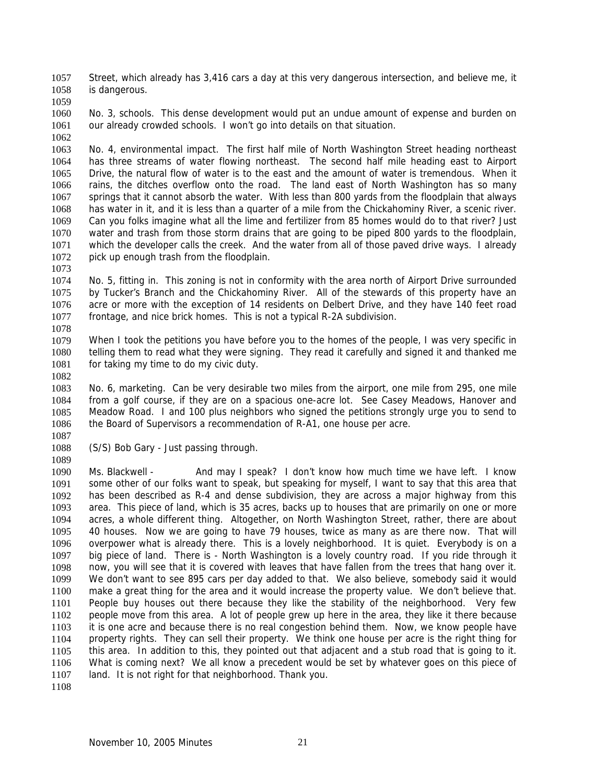Street, which already has 3,416 cars a day at this very dangerous intersection, and believe me, it is dangerous. 1057 1058

1059

1060 1061 1062 No. 3, schools. This dense development would put an undue amount of expense and burden on our already crowded schools. I won't go into details on that situation.

1063 1064 1065 1066 1067 1068 1069 1070 1071 1072 No. 4, environmental impact. The first half mile of North Washington Street heading northeast has three streams of water flowing northeast. The second half mile heading east to Airport Drive, the natural flow of water is to the east and the amount of water is tremendous. When it rains, the ditches overflow onto the road. The land east of North Washington has so many springs that it cannot absorb the water. With less than 800 yards from the floodplain that always has water in it, and it is less than a quarter of a mile from the Chickahominy River, a scenic river. Can you folks imagine what all the lime and fertilizer from 85 homes would do to that river? Just water and trash from those storm drains that are going to be piped 800 yards to the floodplain, which the developer calls the creek. And the water from all of those paved drive ways. I already pick up enough trash from the floodplain.

- 1074 1075 1076 1077 No. 5, fitting in. This zoning is not in conformity with the area north of Airport Drive surrounded by Tucker's Branch and the Chickahominy River. All of the stewards of this property have an acre or more with the exception of 14 residents on Delbert Drive, and they have 140 feet road frontage, and nice brick homes. This is not a typical R-2A subdivision.
- 1078 1079 1080 1081 When I took the petitions you have before you to the homes of the people, I was very specific in telling them to read what they were signing. They read it carefully and signed it and thanked me for taking my time to do my civic duty.
- 1082

1089

1073

1083 1084 1085 1086 1087 No. 6, marketing. Can be very desirable two miles from the airport, one mile from 295, one mile from a golf course, if they are on a spacious one-acre lot. See Casey Meadows, Hanover and Meadow Road. I and 100 plus neighbors who signed the petitions strongly urge you to send to the Board of Supervisors a recommendation of R-A1, one house per acre.

- 1088 (S/S) Bob Gary - Just passing through.
- 1090 1091 1092 1093 1094 1095 1096 1097 1098 1099 1100 1101 1102 1103 1104 1105 1106 1107 Ms. Blackwell - And may I speak? I don't know how much time we have left. I know some other of our folks want to speak, but speaking for myself, I want to say that this area that has been described as R-4 and dense subdivision, they are across a major highway from this area. This piece of land, which is 35 acres, backs up to houses that are primarily on one or more acres, a whole different thing. Altogether, on North Washington Street, rather, there are about 40 houses. Now we are going to have 79 houses, twice as many as are there now. That will overpower what is already there. This is a lovely neighborhood. It is quiet. Everybody is on a big piece of land. There is - North Washington is a lovely country road. If you ride through it now, you will see that it is covered with leaves that have fallen from the trees that hang over it. We don't want to see 895 cars per day added to that. We also believe, somebody said it would make a great thing for the area and it would increase the property value. We don't believe that. People buy houses out there because they like the stability of the neighborhood. Very few people move from this area. A lot of people grew up here in the area, they like it there because it is one acre and because there is no real congestion behind them. Now, we know people have property rights. They can sell their property. We think one house per acre is the right thing for this area. In addition to this, they pointed out that adjacent and a stub road that is going to it. What is coming next? We all know a precedent would be set by whatever goes on this piece of land. It is not right for that neighborhood. Thank you.
- 1108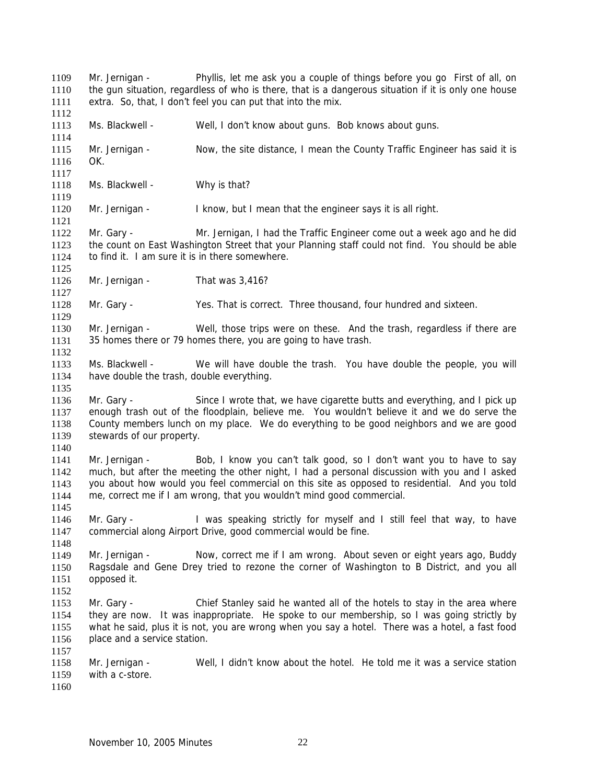Mr. Jernigan - Phyllis, let me ask you a couple of things before you go First of all, on the gun situation, regardless of who is there, that is a dangerous situation if it is only one house extra. So, that, I don't feel you can put that into the mix. 1109 1110 1111 1112 1113 1114 1115 1116 1117 1118 1119 1120 1121 1122 1123 1124 1125 1126 1127 1128 1129 1130 1131 1132 1133 1134 1135 1136 1137 1138 1139 1140 1141 1142 1143 1144 1145 1146 1147 1148 1149 1150 1151 1152 1153 1154 1155 1156 1157 1158 1159 1160 Ms. Blackwell - Well, I don't know about guns. Bob knows about guns. Mr. Jernigan - Now, the site distance, I mean the County Traffic Engineer has said it is OK. Ms. Blackwell - Why is that? Mr. Jernigan - I know, but I mean that the engineer says it is all right. Mr. Gary - Mr. Jernigan, I had the Traffic Engineer come out a week ago and he did the count on East Washington Street that your Planning staff could not find. You should be able to find it. I am sure it is in there somewhere. Mr. Jernigan - That was 3,416? Mr. Gary - Yes. That is correct. Three thousand, four hundred and sixteen. Mr. Jernigan - Well, those trips were on these. And the trash, regardless if there are 35 homes there or 79 homes there, you are going to have trash. Ms. Blackwell - We will have double the trash. You have double the people, you will have double the trash, double everything. Mr. Gary - Since I wrote that, we have cigarette butts and everything, and I pick up enough trash out of the floodplain, believe me. You wouldn't believe it and we do serve the County members lunch on my place. We do everything to be good neighbors and we are good stewards of our property. Mr. Jernigan - Bob, I know you can't talk good, so I don't want you to have to say much, but after the meeting the other night, I had a personal discussion with you and I asked you about how would you feel commercial on this site as opposed to residential. And you told me, correct me if I am wrong, that you wouldn't mind good commercial. Mr. Gary - I was speaking strictly for myself and I still feel that way, to have commercial along Airport Drive, good commercial would be fine. Mr. Jernigan - Now, correct me if I am wrong. About seven or eight years ago, Buddy Ragsdale and Gene Drey tried to rezone the corner of Washington to B District, and you all opposed it. Mr. Gary - Chief Stanley said he wanted all of the hotels to stay in the area where they are now. It was inappropriate. He spoke to our membership, so I was going strictly by what he said, plus it is not, you are wrong when you say a hotel. There was a hotel, a fast food place and a service station. Mr. Jernigan - Well, I didn't know about the hotel. He told me it was a service station with a c-store.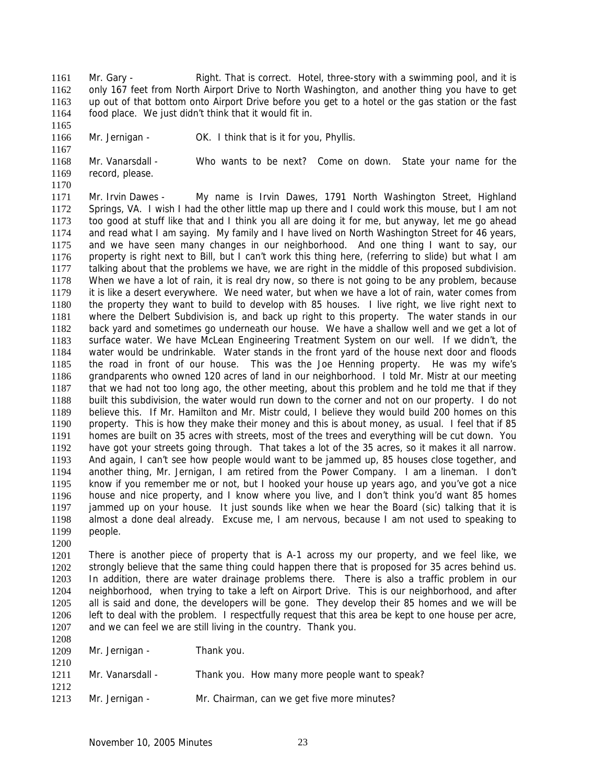Mr. Gary - That is correct. Hotel, three-story with a swimming pool, and it is only 167 feet from North Airport Drive to North Washington, and another thing you have to get up out of that bottom onto Airport Drive before you get to a hotel or the gas station or the fast food place. We just didn't think that it would fit in. 1161 1162 1163 1164

1166 Mr. Jernigan - OK. I think that is it for you, Phyllis.

1168 1169 1170 Mr. Vanarsdall - Who wants to be next? Come on down. State your name for the record, please.

1171 1172 1173 1174 1175 1176 1177 1178 1179 1180 1181 1182 1183 1184 1185 1186 1187 1188 1189 1190 1191 1192 1193 1194 1195 1196 1197 1198 1199 Mr. Irvin Dawes - My name is Irvin Dawes, 1791 North Washington Street, Highland Springs, VA. I wish I had the other little map up there and I could work this mouse, but I am not too good at stuff like that and I think you all are doing it for me, but anyway, let me go ahead and read what I am saying. My family and I have lived on North Washington Street for 46 years, and we have seen many changes in our neighborhood. And one thing I want to say, our property is right next to Bill, but I can't work this thing here, (referring to slide) but what I am talking about that the problems we have, we are right in the middle of this proposed subdivision. When we have a lot of rain, it is real dry now, so there is not going to be any problem, because it is like a desert everywhere. We need water, but when we have a lot of rain, water comes from the property they want to build to develop with 85 houses. I live right, we live right next to where the Delbert Subdivision is, and back up right to this property. The water stands in our back yard and sometimes go underneath our house. We have a shallow well and we get a lot of surface water. We have McLean Engineering Treatment System on our well. If we didn't, the water would be undrinkable. Water stands in the front yard of the house next door and floods the road in front of our house. This was the Joe Henning property. He was my wife's grandparents who owned 120 acres of land in our neighborhood. I told Mr. Mistr at our meeting that we had not too long ago, the other meeting, about this problem and he told me that if they built this subdivision, the water would run down to the corner and not on our property. I do not believe this. If Mr. Hamilton and Mr. Mistr could, I believe they would build 200 homes on this property. This is how they make their money and this is about money, as usual. I feel that if 85 homes are built on 35 acres with streets, most of the trees and everything will be cut down. You have got your streets going through. That takes a lot of the 35 acres, so it makes it all narrow. And again, I can't see how people would want to be jammed up, 85 houses close together, and another thing, Mr. Jernigan, I am retired from the Power Company. I am a lineman. I don't know if you remember me or not, but I hooked your house up years ago, and you've got a nice house and nice property, and I know where you live, and I don't think you'd want 85 homes jammed up on your house. It just sounds like when we hear the Board (sic) talking that it is almost a done deal already. Excuse me, I am nervous, because I am not used to speaking to people.

1200

1208

1210

1212

1165

1167

1201 1202 1203 1204 1205 1206 1207 There is another piece of property that is A-1 across my our property, and we feel like, we strongly believe that the same thing could happen there that is proposed for 35 acres behind us. In addition, there are water drainage problems there. There is also a traffic problem in our neighborhood, when trying to take a left on Airport Drive. This is our neighborhood, and after all is said and done, the developers will be gone. They develop their 85 homes and we will be left to deal with the problem. I respectfully request that this area be kept to one house per acre, and we can feel we are still living in the country. Thank you.

1209 Mr. Jernigan - Thank you.

- 1211 Mr. Vanarsdall - Thank you. How many more people want to speak?
- 1213 Mr. Jernigan - Mr. Chairman, can we get five more minutes?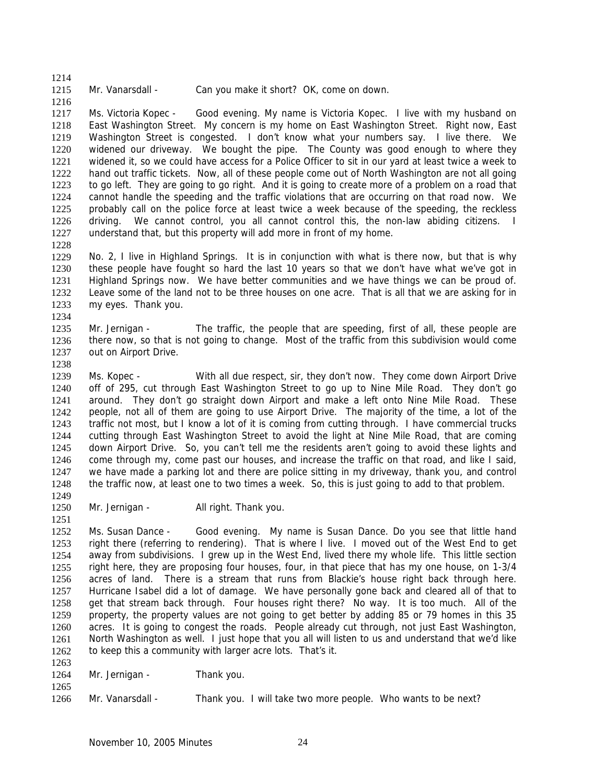1215 Mr. Vanarsdall - Can you make it short? OK, come on down.

1216 1217 1218 1219 1220 1221 1222 1223 1224 1225 1226 1227 Ms. Victoria Kopec - Good evening. My name is Victoria Kopec. I live with my husband on East Washington Street. My concern is my home on East Washington Street. Right now, East Washington Street is congested. I don't know what your numbers say. I live there. We widened our driveway. We bought the pipe. The County was good enough to where they widened it, so we could have access for a Police Officer to sit in our yard at least twice a week to hand out traffic tickets. Now, all of these people come out of North Washington are not all going to go left. They are going to go right. And it is going to create more of a problem on a road that cannot handle the speeding and the traffic violations that are occurring on that road now. We probably call on the police force at least twice a week because of the speeding, the reckless driving. We cannot control, you all cannot control this, the non-law abiding citizens. I understand that, but this property will add more in front of my home.

1228

1214

1229 1230 1231 1232 1233 1234 No. 2, I live in Highland Springs. It is in conjunction with what is there now, but that is why these people have fought so hard the last 10 years so that we don't have what we've got in Highland Springs now. We have better communities and we have things we can be proud of. Leave some of the land not to be three houses on one acre. That is all that we are asking for in my eyes. Thank you.

1235 1236 1237 Mr. Jernigan - The traffic, the people that are speeding, first of all, these people are there now, so that is not going to change. Most of the traffic from this subdivision would come out on Airport Drive.

1238

1239 1240 1241 1242 1243 1244 1245 1246 1247 1248 Ms. Kopec - With all due respect, sir, they don't now. They come down Airport Drive off of 295, cut through East Washington Street to go up to Nine Mile Road. They don't go around. They don't go straight down Airport and make a left onto Nine Mile Road. These people, not all of them are going to use Airport Drive. The majority of the time, a lot of the traffic not most, but I know a lot of it is coming from cutting through. I have commercial trucks cutting through East Washington Street to avoid the light at Nine Mile Road, that are coming down Airport Drive. So, you can't tell me the residents aren't going to avoid these lights and come through my, come past our houses, and increase the traffic on that road, and like I said, we have made a parking lot and there are police sitting in my driveway, thank you, and control the traffic now, at least one to two times a week. So, this is just going to add to that problem.

1249 1250

1251

1263

1265

Mr. Jernigan - All right. Thank you.

1252 1253 1254 1255 1256 1257 1258 1259 1260 1261 1262 Ms. Susan Dance - Good evening. My name is Susan Dance. Do you see that little hand right there (referring to rendering). That is where I live. I moved out of the West End to get away from subdivisions. I grew up in the West End, lived there my whole life. This little section right here, they are proposing four houses, four, in that piece that has my one house, on 1-3/4 acres of land. There is a stream that runs from Blackie's house right back through here. Hurricane Isabel did a lot of damage. We have personally gone back and cleared all of that to get that stream back through. Four houses right there? No way. It is too much. All of the property, the property values are not going to get better by adding 85 or 79 homes in this 35 acres. It is going to congest the roads. People already cut through, not just East Washington, North Washington as well. I just hope that you all will listen to us and understand that we'd like to keep this a community with larger acre lots. That's it.

- 1264 Mr. Jernigan - Thank you.
- 1266 Mr. Vanarsdall - Thank you. I will take two more people. Who wants to be next?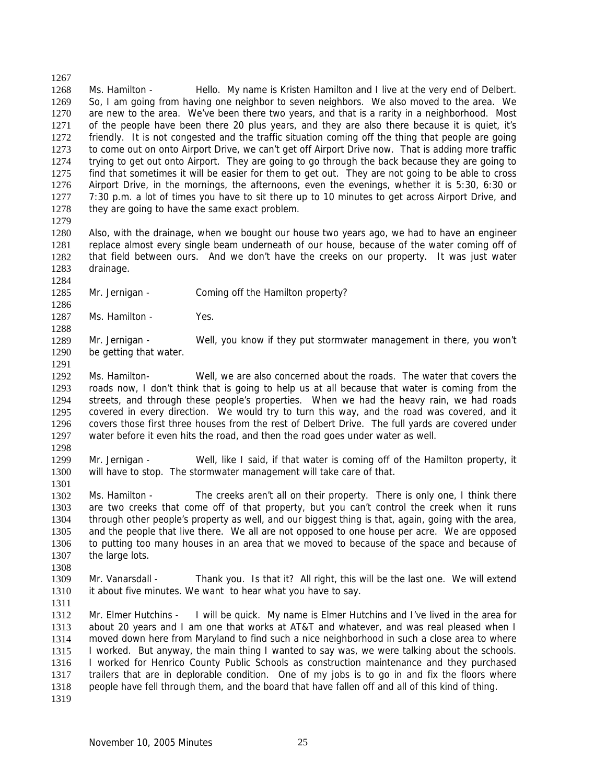1267 1268 1269 1270 1271 1272 1273 1274 1275 1276 1277 1278 1279 Ms. Hamilton - Hello. My name is Kristen Hamilton and I live at the very end of Delbert. So, I am going from having one neighbor to seven neighbors. We also moved to the area. We are new to the area. We've been there two years, and that is a rarity in a neighborhood. Most of the people have been there 20 plus years, and they are also there because it is quiet, it's friendly. It is not congested and the traffic situation coming off the thing that people are going to come out on onto Airport Drive, we can't get off Airport Drive now. That is adding more traffic trying to get out onto Airport. They are going to go through the back because they are going to find that sometimes it will be easier for them to get out. They are not going to be able to cross Airport Drive, in the mornings, the afternoons, even the evenings, whether it is 5:30, 6:30 or 7:30 p.m. a lot of times you have to sit there up to 10 minutes to get across Airport Drive, and they are going to have the same exact problem.

1280 1281 1282 1283 Also, with the drainage, when we bought our house two years ago, we had to have an engineer replace almost every single beam underneath of our house, because of the water coming off of that field between ours. And we don't have the creeks on our property. It was just water drainage.

1285 Mr. Jernigan - Coming off the Hamilton property?

1287 Ms. Hamilton - Yes.

1284

1286

1288

1291

1308

1311

1289 1290 Mr. Jernigan - Well, you know if they put stormwater management in there, you won't be getting that water.

1292 1293 1294 1295 1296 1297 1298 Ms. Hamilton- Well, we are also concerned about the roads. The water that covers the roads now, I don't think that is going to help us at all because that water is coming from the streets, and through these people's properties. When we had the heavy rain, we had roads covered in every direction. We would try to turn this way, and the road was covered, and it covers those first three houses from the rest of Delbert Drive. The full yards are covered under water before it even hits the road, and then the road goes under water as well.

1299 1300 1301 Mr. Jernigan - Well, like I said, if that water is coming off of the Hamilton property, it will have to stop. The stormwater management will take care of that.

1302 1303 1304 1305 1306 1307 Ms. Hamilton - The creeks aren't all on their property. There is only one, I think there are two creeks that come off of that property, but you can't control the creek when it runs through other people's property as well, and our biggest thing is that, again, going with the area, and the people that live there. We all are not opposed to one house per acre. We are opposed to putting too many houses in an area that we moved to because of the space and because of the large lots.

1309 1310 Mr. Vanarsdall - Thank you. Is that it? All right, this will be the last one. We will extend it about five minutes. We want to hear what you have to say.

1312 1313 1314 1315 1316 1317 1318 1319 Mr. Elmer Hutchins - I will be quick. My name is Elmer Hutchins and I've lived in the area for about 20 years and I am one that works at AT&T and whatever, and was real pleased when I moved down here from Maryland to find such a nice neighborhood in such a close area to where I worked. But anyway, the main thing I wanted to say was, we were talking about the schools. I worked for Henrico County Public Schools as construction maintenance and they purchased trailers that are in deplorable condition. One of my jobs is to go in and fix the floors where people have fell through them, and the board that have fallen off and all of this kind of thing.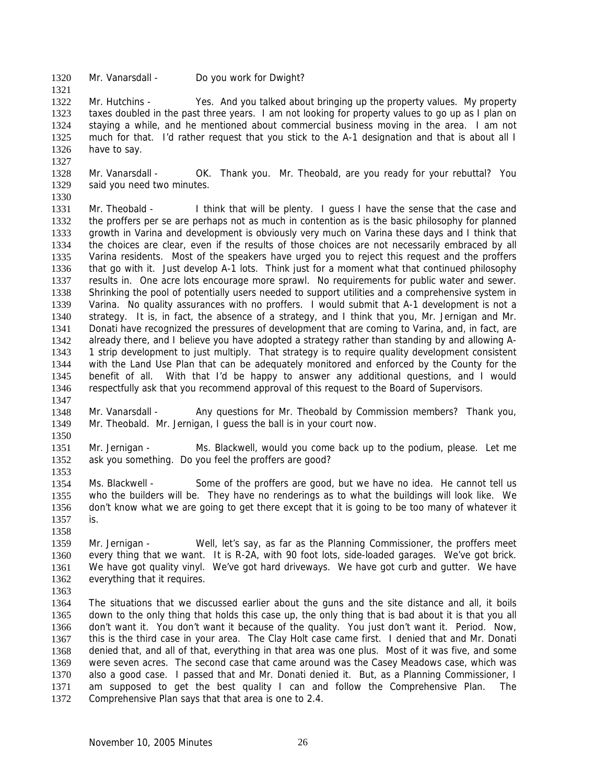1320 Mr. Vanarsdall - Do you work for Dwight?

1322 1323 1324 1325 1326 Mr. Hutchins - Yes. And you talked about bringing up the property values. My property taxes doubled in the past three years. I am not looking for property values to go up as I plan on staying a while, and he mentioned about commercial business moving in the area. I am not much for that. I'd rather request that you stick to the A-1 designation and that is about all I have to say.

1327 1328

1321

1329 Mr. Vanarsdall - OK. Thank you. Mr. Theobald, are you ready for your rebuttal? You said you need two minutes.

1330

1331 1332 1333 1334 1335 1336 1337 1338 1339 1340 1341 1342 1343 1344 1345 1346 1347 Mr. Theobald - I think that will be plenty. I guess I have the sense that the case and the proffers per se are perhaps not as much in contention as is the basic philosophy for planned growth in Varina and development is obviously very much on Varina these days and I think that the choices are clear, even if the results of those choices are not necessarily embraced by all Varina residents. Most of the speakers have urged you to reject this request and the proffers that go with it. Just develop A-1 lots. Think just for a moment what that continued philosophy results in. One acre lots encourage more sprawl. No requirements for public water and sewer. Shrinking the pool of potentially users needed to support utilities and a comprehensive system in Varina. No quality assurances with no proffers. I would submit that A-1 development is not a strategy. It is, in fact, the absence of a strategy, and I think that you, Mr. Jernigan and Mr. Donati have recognized the pressures of development that are coming to Varina, and, in fact, are already there, and I believe you have adopted a strategy rather than standing by and allowing A-1 strip development to just multiply. That strategy is to require quality development consistent with the Land Use Plan that can be adequately monitored and enforced by the County for the benefit of all. With that I'd be happy to answer any additional questions, and I would respectfully ask that you recommend approval of this request to the Board of Supervisors.

1348 1349 Mr. Vanarsdall - Any questions for Mr. Theobald by Commission members? Thank you, Mr. Theobald. Mr. Jernigan, I guess the ball is in your court now.

1351 1352 1353 Mr. Jernigan - Ms. Blackwell, would you come back up to the podium, please. Let me ask you something. Do you feel the proffers are good?

1354 1355 1356 1357 Ms. Blackwell - Some of the proffers are good, but we have no idea. He cannot tell us who the builders will be. They have no renderings as to what the buildings will look like. We don't know what we are going to get there except that it is going to be too many of whatever it is.

- 1359 1360 1361 1362 Mr. Jernigan - Well, let's say, as far as the Planning Commissioner, the proffers meet every thing that we want. It is R-2A, with 90 foot lots, side-loaded garages. We've got brick. We have got quality vinyl. We've got hard driveways. We have got curb and gutter. We have everything that it requires.
- 1363

1358

1350

1364 1365 1366 1367 1368 1369 1370 1371 1372 The situations that we discussed earlier about the guns and the site distance and all, it boils down to the only thing that holds this case up, the only thing that is bad about it is that you all don't want it. You don't want it because of the quality. You just don't want it. Period. Now, this is the third case in your area. The Clay Holt case came first. I denied that and Mr. Donati denied that, and all of that, everything in that area was one plus. Most of it was five, and some were seven acres. The second case that came around was the Casey Meadows case, which was also a good case. I passed that and Mr. Donati denied it. But, as a Planning Commissioner, I am supposed to get the best quality I can and follow the Comprehensive Plan. The Comprehensive Plan says that that area is one to 2.4.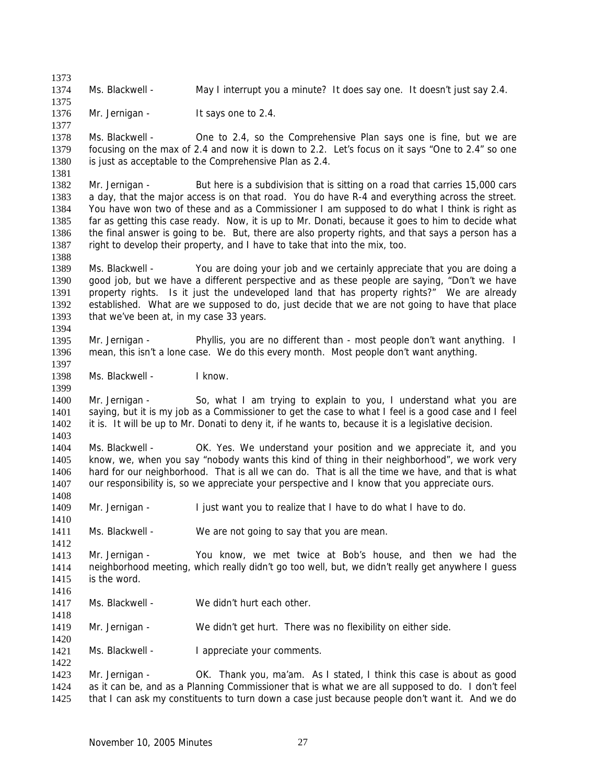1374 Ms. Blackwell - May I interrupt you a minute? It does say one. It doesn't just say 2.4.

1376 Mr. Jernigan - It says one to 2.4.

1373

1375

1377

1381

1388

1397

1399

1408

1410

1412

1418

1420

1422

1378 1379 1380 Ms. Blackwell - One to 2.4, so the Comprehensive Plan says one is fine, but we are focusing on the max of 2.4 and now it is down to 2.2. Let's focus on it says "One to 2.4" so one is just as acceptable to the Comprehensive Plan as 2.4.

1382 1383 1384 1385 1386 1387 Mr. Jernigan - But here is a subdivision that is sitting on a road that carries 15,000 cars a day, that the major access is on that road. You do have R-4 and everything across the street. You have won two of these and as a Commissioner I am supposed to do what I think is right as far as getting this case ready. Now, it is up to Mr. Donati, because it goes to him to decide what the final answer is going to be. But, there are also property rights, and that says a person has a right to develop their property, and I have to take that into the mix, too.

1389 1390 1391 1392 1393 1394 Ms. Blackwell - You are doing your job and we certainly appreciate that you are doing a good job, but we have a different perspective and as these people are saying, "Don't we have property rights. Is it just the undeveloped land that has property rights?" We are already established. What are we supposed to do, just decide that we are not going to have that place that we've been at, in my case 33 years.

1395 1396 Mr. Jernigan - Phyllis, you are no different than - most people don't want anything. I mean, this isn't a lone case. We do this every month. Most people don't want anything.

1398 Ms. Blackwell - I know.

1400 1401 1402 1403 Mr. Jernigan - So, what I am trying to explain to you, I understand what you are saying, but it is my job as a Commissioner to get the case to what I feel is a good case and I feel it is. It will be up to Mr. Donati to deny it, if he wants to, because it is a legislative decision.

1404 1405 1406 1407 Ms. Blackwell - OK. Yes. We understand your position and we appreciate it, and you know, we, when you say "nobody wants this kind of thing in their neighborhood", we work very hard for our neighborhood. That is all we can do. That is all the time we have, and that is what our responsibility is, so we appreciate your perspective and I know that you appreciate ours.

1409 Mr. Jernigan - I just want you to realize that I have to do what I have to do.

1411 Ms. Blackwell - We are not going to say that you are mean.

1413 1414 1415 1416 Mr. Jernigan - You know, we met twice at Bob's house, and then we had the neighborhood meeting, which really didn't go too well, but, we didn't really get anywhere I guess is the word.

- 1417 Ms. Blackwell - We didn't hurt each other.
- 1419 Mr. Jernigan - We didn't get hurt. There was no flexibility on either side.

1421 Ms. Blackwell - I appreciate your comments.

1423 1424 1425 Mr. Jernigan - OK. Thank you, ma'am. As I stated, I think this case is about as good as it can be, and as a Planning Commissioner that is what we are all supposed to do. I don't feel that I can ask my constituents to turn down a case just because people don't want it. And we do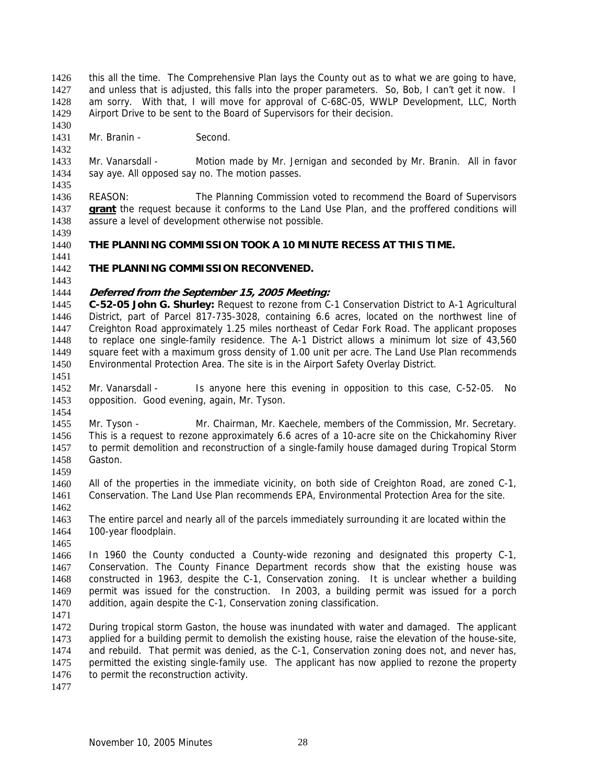this all the time. The Comprehensive Plan lays the County out as to what we are going to have, and unless that is adjusted, this falls into the proper parameters. So, Bob, I can't get it now. I am sorry. With that, I will move for approval of C-68C-05, WWLP Development, LLC, North Airport Drive to be sent to the Board of Supervisors for their decision. 1426 1427 1428 1429

1431 Mr. Branin - Second.

1433 1434 1435 Mr. Vanarsdall - Motion made by Mr. Jernigan and seconded by Mr. Branin. All in favor say aye. All opposed say no. The motion passes.

1436 REASON: The Planning Commission voted to recommend the Board of Supervisors **grant** the request because it conforms to the Land Use Plan, and the proffered conditions will assure a level of development otherwise not possible. 1437 1438

1439

1441

1430

1432

### 1440 **THE PLANNING COMMISSION TOOK A 10 MINUTE RECESS AT THIS TIME.**

1442 **THE PLANNING COMMISSION RECONVENED.** 

# 1443

### 1444 **Deferred from the September 15, 2005 Meeting:**

1445 1446 1447 1448 1449 1450 1451 **C-52-05 John G. Shurley:** Request to rezone from C-1 Conservation District to A-1 Agricultural District, part of Parcel 817-735-3028, containing 6.6 acres, located on the northwest line of Creighton Road approximately 1.25 miles northeast of Cedar Fork Road. The applicant proposes to replace one single-family residence. The A-1 District allows a minimum lot size of 43,560 square feet with a maximum gross density of 1.00 unit per acre. The Land Use Plan recommends Environmental Protection Area. The site is in the Airport Safety Overlay District.

1452 1453 Mr. Vanarsdall - Is anyone here this evening in opposition to this case, C-52-05. No opposition. Good evening, again, Mr. Tyson.

1455 1456 1457 1458 Mr. Tyson - Mr. Chairman, Mr. Kaechele, members of the Commission, Mr. Secretary. This is a request to rezone approximately 6.6 acres of a 10-acre site on the Chickahominy River to permit demolition and reconstruction of a single-family house damaged during Tropical Storm Gaston.

1459

1454

1460 1461 All of the properties in the immediate vicinity, on both side of Creighton Road, are zoned C-1, Conservation. The Land Use Plan recommends EPA, Environmental Protection Area for the site.

1462

1463 1464 The entire parcel and nearly all of the parcels immediately surrounding it are located within the 100-year floodplain.

1465

1466 1467 1468 1469 1470 In 1960 the County conducted a County-wide rezoning and designated this property C-1, Conservation. The County Finance Department records show that the existing house was constructed in 1963, despite the C-1, Conservation zoning. It is unclear whether a building permit was issued for the construction. In 2003, a building permit was issued for a porch addition, again despite the C-1, Conservation zoning classification.

1471

1472 1473 1474 1475 1476 During tropical storm Gaston, the house was inundated with water and damaged. The applicant applied for a building permit to demolish the existing house, raise the elevation of the house-site, and rebuild. That permit was denied, as the C-1, Conservation zoning does not, and never has, permitted the existing single-family use. The applicant has now applied to rezone the property to permit the reconstruction activity.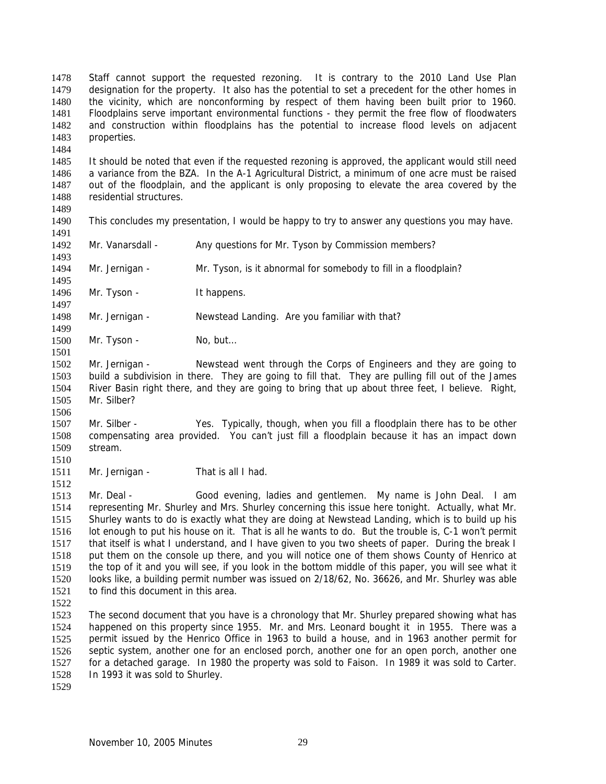Staff cannot support the requested rezoning. It is contrary to the 2010 Land Use Plan designation for the property. It also has the potential to set a precedent for the other homes in the vicinity, which are nonconforming by respect of them having been built prior to 1960. Floodplains serve important environmental functions - they permit the free flow of floodwaters and construction within floodplains has the potential to increase flood levels on adjacent properties. 1478 1479 1480 1481 1482 1483

1485 1486 1487 1488 1489 It should be noted that even if the requested rezoning is approved, the applicant would still need a variance from the BZA. In the A-1 Agricultural District, a minimum of one acre must be raised out of the floodplain, and the applicant is only proposing to elevate the area covered by the residential structures.

1490 1491 This concludes my presentation, I would be happy to try to answer any questions you may have.

1492 Mr. Vanarsdall - Any questions for Mr. Tyson by Commission members?

1494 Mr. Jernigan - Mr. Tyson, is it abnormal for somebody to fill in a floodplain?

1496 Mr. Tyson - It happens.

1498 Mr. Jernigan - Newstead Landing. Are you familiar with that?

1500 Mr. Tyson - No, but...

1502 1503 1504 1505 Mr. Jernigan - Newstead went through the Corps of Engineers and they are going to build a subdivision in there. They are going to fill that. They are pulling fill out of the James River Basin right there, and they are going to bring that up about three feet, I believe. Right, Mr. Silber?

1507 1508 1509 Mr. Silber - Yes. Typically, though, when you fill a floodplain there has to be other compensating area provided. You can't just fill a floodplain because it has an impact down stream.

1510 1511

1512

1484

1493

1495

1497

1499

1501

1506

Mr. Jernigan - That is all I had.

1513 1514 1515 1516 1517 1518 1519 1520 1521 Mr. Deal - Good evening, ladies and gentlemen. My name is John Deal. I am representing Mr. Shurley and Mrs. Shurley concerning this issue here tonight. Actually, what Mr. Shurley wants to do is exactly what they are doing at Newstead Landing, which is to build up his lot enough to put his house on it. That is all he wants to do. But the trouble is, C-1 won't permit that itself is what I understand, and I have given to you two sheets of paper. During the break I put them on the console up there, and you will notice one of them shows County of Henrico at the top of it and you will see, if you look in the bottom middle of this paper, you will see what it looks like, a building permit number was issued on 2/18/62, No. 36626, and Mr. Shurley was able to find this document in this area.

1522

1523 1524 1525 1526 1527 1528 The second document that you have is a chronology that Mr. Shurley prepared showing what has happened on this property since 1955. Mr. and Mrs. Leonard bought it in 1955. There was a permit issued by the Henrico Office in 1963 to build a house, and in 1963 another permit for septic system, another one for an enclosed porch, another one for an open porch, another one for a detached garage. In 1980 the property was sold to Faison. In 1989 it was sold to Carter. In 1993 it was sold to Shurley.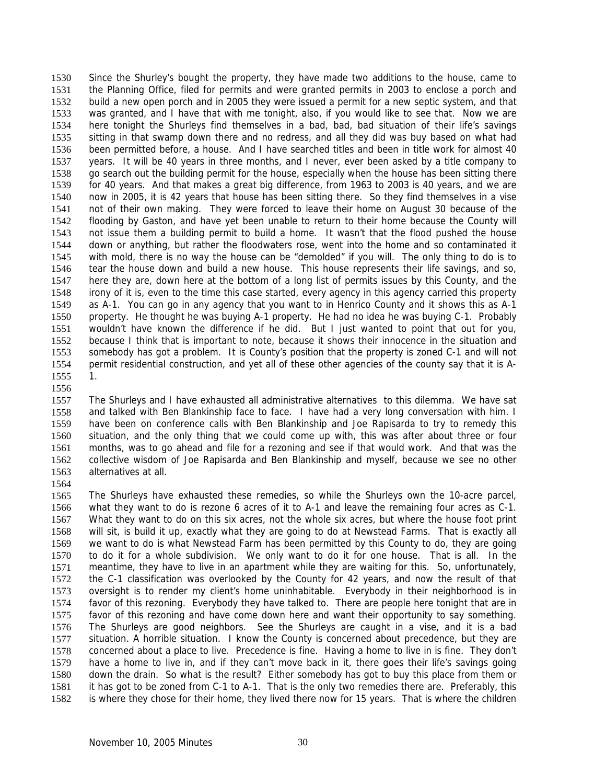Since the Shurley's bought the property, they have made two additions to the house, came to the Planning Office, filed for permits and were granted permits in 2003 to enclose a porch and build a new open porch and in 2005 they were issued a permit for a new septic system, and that was granted, and I have that with me tonight, also, if you would like to see that. Now we are here tonight the Shurleys find themselves in a bad, bad, bad situation of their life's savings sitting in that swamp down there and no redress, and all they did was buy based on what had been permitted before, a house. And I have searched titles and been in title work for almost 40 years. It will be 40 years in three months, and I never, ever been asked by a title company to go search out the building permit for the house, especially when the house has been sitting there for 40 years. And that makes a great big difference, from 1963 to 2003 is 40 years, and we are now in 2005, it is 42 years that house has been sitting there. So they find themselves in a vise not of their own making. They were forced to leave their home on August 30 because of the flooding by Gaston, and have yet been unable to return to their home because the County will not issue them a building permit to build a home. It wasn't that the flood pushed the house down or anything, but rather the floodwaters rose, went into the home and so contaminated it with mold, there is no way the house can be "demolded" if you will. The only thing to do is to tear the house down and build a new house. This house represents their life savings, and so, here they are, down here at the bottom of a long list of permits issues by this County, and the irony of it is, even to the time this case started, every agency in this agency carried this property as A-1. You can go in any agency that you want to in Henrico County and it shows this as A-1 property. He thought he was buying A-1 property. He had no idea he was buying C-1. Probably wouldn't have known the difference if he did. But I just wanted to point that out for you, because I think that is important to note, because it shows their innocence in the situation and somebody has got a problem. It is County's position that the property is zoned C-1 and will not permit residential construction, and yet all of these other agencies of the county say that it is A-1. 1530 1531 1532 1533 1534 1535 1536 1537 1538 1539 1540 1541 1542 1543 1544 1545 1546 1547 1548 1549 1550 1551 1552 1553 1554 1555

1556

1557 1558 1559 1560 1561 1562 1563 The Shurleys and I have exhausted all administrative alternatives to this dilemma. We have sat and talked with Ben Blankinship face to face. I have had a very long conversation with him. I have been on conference calls with Ben Blankinship and Joe Rapisarda to try to remedy this situation, and the only thing that we could come up with, this was after about three or four months, was to go ahead and file for a rezoning and see if that would work. And that was the collective wisdom of Joe Rapisarda and Ben Blankinship and myself, because we see no other alternatives at all.

1564

1565 1566 1567 1568 1569 1570 1571 1572 1573 1574 1575 1576 1577 1578 1579 1580 1581 1582 The Shurleys have exhausted these remedies, so while the Shurleys own the 10-acre parcel, what they want to do is rezone 6 acres of it to A-1 and leave the remaining four acres as C-1. What they want to do on this six acres, not the whole six acres, but where the house foot print will sit, is build it up, exactly what they are going to do at Newstead Farms. That is exactly all we want to do is what Newstead Farm has been permitted by this County to do, they are going to do it for a whole subdivision. We only want to do it for one house. That is all. In the meantime, they have to live in an apartment while they are waiting for this. So, unfortunately, the C-1 classification was overlooked by the County for 42 years, and now the result of that oversight is to render my client's home uninhabitable. Everybody in their neighborhood is in favor of this rezoning. Everybody they have talked to. There are people here tonight that are in favor of this rezoning and have come down here and want their opportunity to say something. The Shurleys are good neighbors. See the Shurleys are caught in a vise, and it is a bad situation. A horrible situation. I know the County is concerned about precedence, but they are concerned about a place to live. Precedence is fine. Having a home to live in is fine. They don't have a home to live in, and if they can't move back in it, there goes their life's savings going down the drain. So what is the result? Either somebody has got to buy this place from them or it has got to be zoned from C-1 to A-1. That is the only two remedies there are. Preferably, this is where they chose for their home, they lived there now for 15 years. That is where the children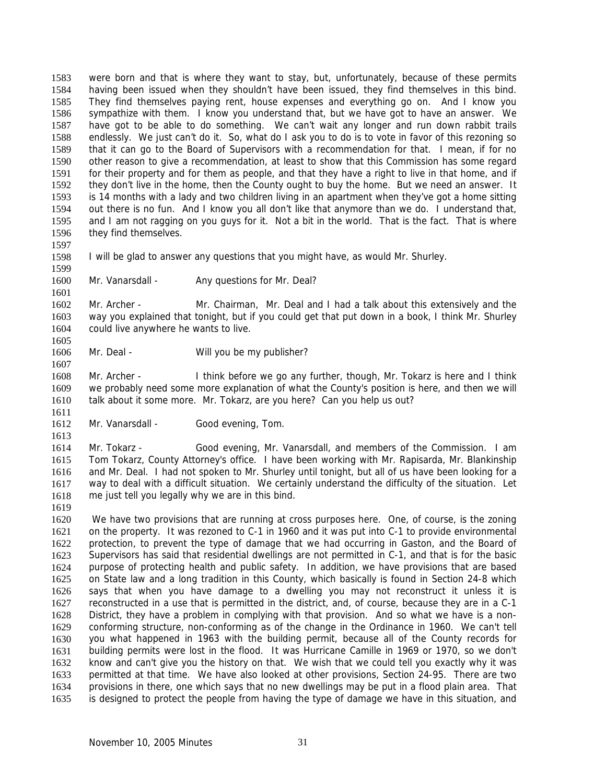were born and that is where they want to stay, but, unfortunately, because of these permits having been issued when they shouldn't have been issued, they find themselves in this bind. They find themselves paying rent, house expenses and everything go on. And I know you sympathize with them. I know you understand that, but we have got to have an answer. We have got to be able to do something. We can't wait any longer and run down rabbit trails endlessly. We just can't do it. So, what do I ask you to do is to vote in favor of this rezoning so that it can go to the Board of Supervisors with a recommendation for that. I mean, if for no other reason to give a recommendation, at least to show that this Commission has some regard for their property and for them as people, and that they have a right to live in that home, and if they don't live in the home, then the County ought to buy the home. But we need an answer. It is 14 months with a lady and two children living in an apartment when they've got a home sitting out there is no fun. And I know you all don't like that anymore than we do. I understand that, and I am not ragging on you guys for it. Not a bit in the world. That is the fact. That is where they find themselves. 1583 1584 1585 1586 1587 1588 1589 1590 1591 1592 1593 1594 1595 1596

1597

1598 I will be glad to answer any questions that you might have, as would Mr. Shurley.

1599

1601

1605

1607

1611

1613

1619

1600 Mr. Vanarsdall - Any questions for Mr. Deal?

1602 1603 1604 Mr. Archer - Mr. Chairman, Mr. Deal and I had a talk about this extensively and the way you explained that tonight, but if you could get that put down in a book, I think Mr. Shurley could live anywhere he wants to live.

1606 Mr. Deal - Will you be my publisher?

1608 1609 1610 Mr. Archer - I think before we go any further, though, Mr. Tokarz is here and I think we probably need some more explanation of what the County's position is here, and then we will talk about it some more. Mr. Tokarz, are you here? Can you help us out?

1612 Mr. Vanarsdall - Good evening, Tom.

1614 1615 1616 1617 1618 Mr. Tokarz - Good evening, Mr. Vanarsdall, and members of the Commission. I am Tom Tokarz, County Attorney's office. I have been working with Mr. Rapisarda, Mr. Blankinship and Mr. Deal. I had not spoken to Mr. Shurley until tonight, but all of us have been looking for a way to deal with a difficult situation. We certainly understand the difficulty of the situation. Let me just tell you legally why we are in this bind.

1620 1621 1622 1623 1624 1625 1626 1627 1628 1629 1630 1631 1632 1633 1634 1635 We have two provisions that are running at cross purposes here. One, of course, is the zoning on the property. It was rezoned to C-1 in 1960 and it was put into C-1 to provide environmental protection, to prevent the type of damage that we had occurring in Gaston, and the Board of Supervisors has said that residential dwellings are not permitted in C-1, and that is for the basic purpose of protecting health and public safety. In addition, we have provisions that are based on State law and a long tradition in this County, which basically is found in Section 24-8 which says that when you have damage to a dwelling you may not reconstruct it unless it is reconstructed in a use that is permitted in the district, and, of course, because they are in a C-1 District, they have a problem in complying with that provision. And so what we have is a nonconforming structure, non-conforming as of the change in the Ordinance in 1960. We can't tell you what happened in 1963 with the building permit, because all of the County records for building permits were lost in the flood. It was Hurricane Camille in 1969 or 1970, so we don't know and can't give you the history on that. We wish that we could tell you exactly why it was permitted at that time. We have also looked at other provisions, Section 24-95. There are two provisions in there, one which says that no new dwellings may be put in a flood plain area. That is designed to protect the people from having the type of damage we have in this situation, and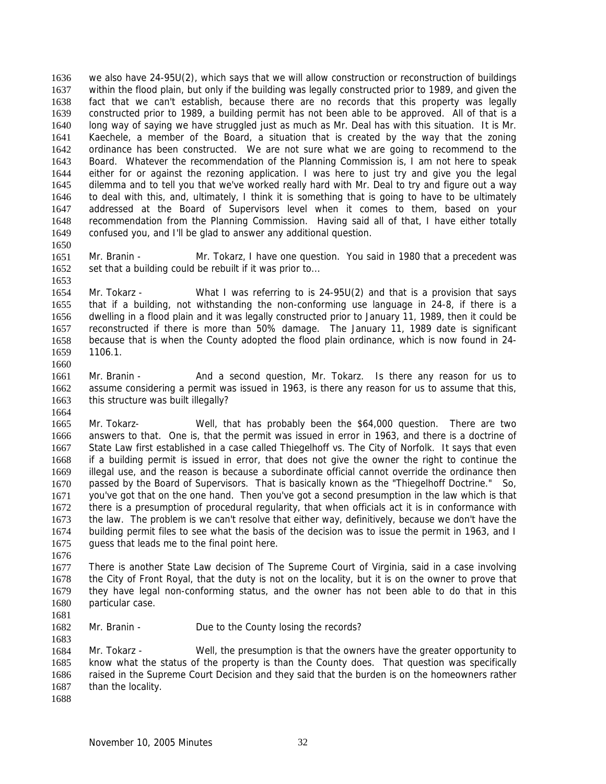we also have 24-95U(2), which says that we will allow construction or reconstruction of buildings within the flood plain, but only if the building was legally constructed prior to 1989, and given the fact that we can't establish, because there are no records that this property was legally constructed prior to 1989, a building permit has not been able to be approved. All of that is a long way of saying we have struggled just as much as Mr. Deal has with this situation. It is Mr. Kaechele, a member of the Board, a situation that is created by the way that the zoning ordinance has been constructed. We are not sure what we are going to recommend to the Board. Whatever the recommendation of the Planning Commission is, I am not here to speak either for or against the rezoning application. I was here to just try and give you the legal dilemma and to tell you that we've worked really hard with Mr. Deal to try and figure out a way to deal with this, and, ultimately, I think it is something that is going to have to be ultimately addressed at the Board of Supervisors level when it comes to them, based on your recommendation from the Planning Commission. Having said all of that, I have either totally confused you, and I'll be glad to answer any additional question. 1636 1637 1638 1639 1640 1641 1642 1643 1644 1645 1646 1647 1648 1649 1650

1651 1652 Mr. Branin - Mr. Tokarz, I have one question. You said in 1980 that a precedent was set that a building could be rebuilt if it was prior to...

1654 1655 1656 1657 1658 1659 1660 Mr. Tokarz - What I was referring to is 24-95U(2) and that is a provision that says that if a building, not withstanding the non-conforming use language in 24-8, if there is a dwelling in a flood plain and it was legally constructed prior to January 11, 1989, then it could be reconstructed if there is more than 50% damage. The January 11, 1989 date is significant because that is when the County adopted the flood plain ordinance, which is now found in 24- 1106.1.

1661 1662 1663 Mr. Branin - And a second question, Mr. Tokarz. Is there any reason for us to assume considering a permit was issued in 1963, is there any reason for us to assume that this, this structure was built illegally?

1665 1666 1667 1668 1669 1670 1671 1672 1673 1674 1675 Mr. Tokarz- Well, that has probably been the \$64,000 question. There are two answers to that. One is, that the permit was issued in error in 1963, and there is a doctrine of State Law first established in a case called Thiegelhoff vs. The City of Norfolk. It says that even if a building permit is issued in error, that does not give the owner the right to continue the illegal use, and the reason is because a subordinate official cannot override the ordinance then passed by the Board of Supervisors. That is basically known as the "Thiegelhoff Doctrine." So, you've got that on the one hand. Then you've got a second presumption in the law which is that there is a presumption of procedural regularity, that when officials act it is in conformance with the law. The problem is we can't resolve that either way, definitively, because we don't have the building permit files to see what the basis of the decision was to issue the permit in 1963, and I guess that leads me to the final point here.

1676

1653

1664

1677 1678 1679 1680 1681 There is another State Law decision of The Supreme Court of Virginia, said in a case involving the City of Front Royal, that the duty is not on the locality, but it is on the owner to prove that they have legal non-conforming status, and the owner has not been able to do that in this particular case.

1682 Mr. Branin - Due to the County losing the records?

1684 1685 1686 1687 Mr. Tokarz - Well, the presumption is that the owners have the greater opportunity to know what the status of the property is than the County does. That question was specifically raised in the Supreme Court Decision and they said that the burden is on the homeowners rather than the locality.

1688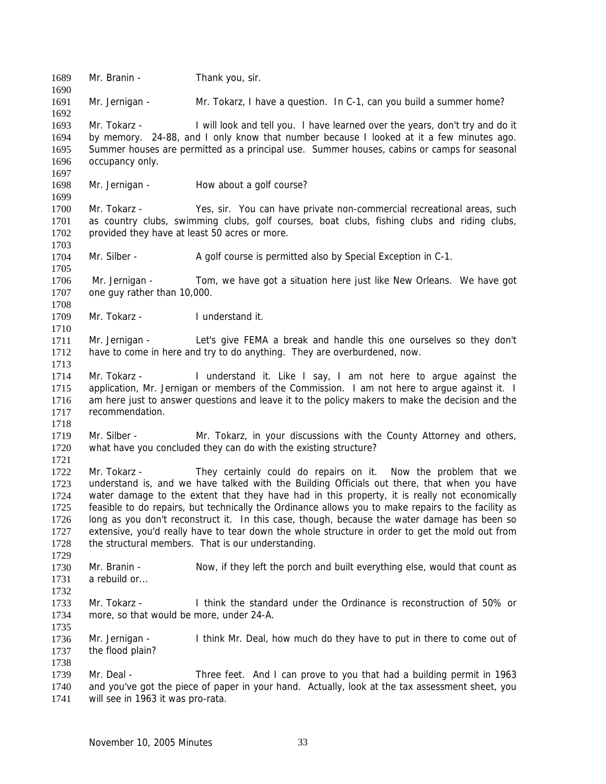1689 Mr. Branin - Thank you, sir. 1690 1691 1692 1693 1694 1695 1696 1697 1698 1699 1700 1701 1702 1703 1704 1705 1706 1707 1708 1709 1710 1711 1712 1713 1714 1715 1716 1717 1718 1719 1720 1721 1722 1723 1724 1725 1726 1727 1728 1729 1730 1731 1732 1733 1734 1735 1736 1737 1738 1739 1740 1741 Mr. Jernigan - Mr. Tokarz, I have a question. In C-1, can you build a summer home? Mr. Tokarz - I will look and tell you. I have learned over the years, don't try and do it by memory. 24-88, and I only know that number because I looked at it a few minutes ago. Summer houses are permitted as a principal use. Summer houses, cabins or camps for seasonal occupancy only. Mr. Jernigan - How about a golf course? Mr. Tokarz - Yes, sir. You can have private non-commercial recreational areas, such as country clubs, swimming clubs, golf courses, boat clubs, fishing clubs and riding clubs, provided they have at least 50 acres or more. Mr. Silber - A golf course is permitted also by Special Exception in C-1. Mr. Jernigan - Tom, we have got a situation here just like New Orleans. We have got one guy rather than 10,000. Mr. Tokarz - I understand it. Mr. Jernigan - Let's give FEMA a break and handle this one ourselves so they don't have to come in here and try to do anything. They are overburdened, now. Mr. Tokarz - I understand it. Like I say, I am not here to argue against the application, Mr. Jernigan or members of the Commission. I am not here to argue against it. I am here just to answer questions and leave it to the policy makers to make the decision and the recommendation. Mr. Silber - Mr. Tokarz, in your discussions with the County Attorney and others, what have you concluded they can do with the existing structure? Mr. Tokarz - They certainly could do repairs on it. Now the problem that we understand is, and we have talked with the Building Officials out there, that when you have water damage to the extent that they have had in this property, it is really not economically feasible to do repairs, but technically the Ordinance allows you to make repairs to the facility as long as you don't reconstruct it. In this case, though, because the water damage has been so extensive, you'd really have to tear down the whole structure in order to get the mold out from the structural members. That is our understanding. Mr. Branin - Now, if they left the porch and built everything else, would that count as a rebuild or... Mr. Tokarz - I think the standard under the Ordinance is reconstruction of 50% or more, so that would be more, under 24-A. Mr. Jernigan - I think Mr. Deal, how much do they have to put in there to come out of the flood plain? Mr. Deal - Three feet. And I can prove to you that had a building permit in 1963 and you've got the piece of paper in your hand. Actually, look at the tax assessment sheet, you will see in 1963 it was pro-rata.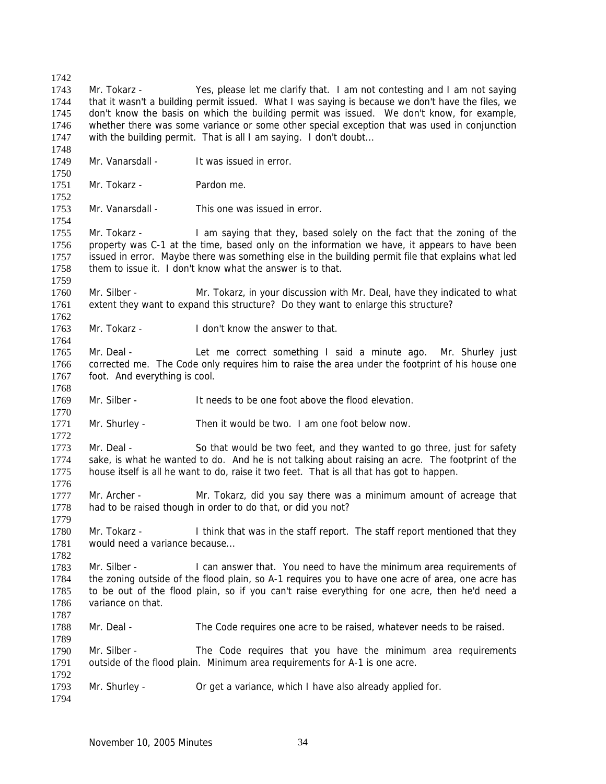1742 1743 1744 1745 1746 1747 1748 1749 1750 1751 1752 1753 1754 1755 1756 1757 1758 1759 1760 1761 1762 1763 1764 1765 1766 1767 1768 1769 1770 1771 1772 1773 1774 1775 1776 1777 1778 1779 1780 1781 1782 1783 1784 1785 1786 1787 1788 1789 1790 1791 1792 1793 1794 Mr. Tokarz - Yes, please let me clarify that. I am not contesting and I am not saying that it wasn't a building permit issued. What I was saying is because we don't have the files, we don't know the basis on which the building permit was issued. We don't know, for example, whether there was some variance or some other special exception that was used in conjunction with the building permit. That is all I am saying. I don't doubt... Mr. Vanarsdall - It was issued in error. Mr. Tokarz - Pardon me. Mr. Vanarsdall - This one was issued in error. Mr. Tokarz - I am saying that they, based solely on the fact that the zoning of the property was C-1 at the time, based only on the information we have, it appears to have been issued in error. Maybe there was something else in the building permit file that explains what led them to issue it. I don't know what the answer is to that. Mr. Silber - Mr. Tokarz, in your discussion with Mr. Deal, have they indicated to what extent they want to expand this structure? Do they want to enlarge this structure? Mr. Tokarz - I don't know the answer to that. Mr. Deal - Let me correct something I said a minute ago. Mr. Shurley just corrected me. The Code only requires him to raise the area under the footprint of his house one foot. And everything is cool. Mr. Silber - **It needs to be one foot above the flood elevation.** Mr. Shurley - Then it would be two. I am one foot below now. Mr. Deal - So that would be two feet, and they wanted to go three, just for safety sake, is what he wanted to do. And he is not talking about raising an acre. The footprint of the house itself is all he want to do, raise it two feet. That is all that has got to happen. Mr. Archer - Mr. Tokarz, did you say there was a minimum amount of acreage that had to be raised though in order to do that, or did you not? Mr. Tokarz - I think that was in the staff report. The staff report mentioned that they would need a variance because... Mr. Silber - I can answer that. You need to have the minimum area requirements of the zoning outside of the flood plain, so A-1 requires you to have one acre of area, one acre has to be out of the flood plain, so if you can't raise everything for one acre, then he'd need a variance on that. Mr. Deal - The Code requires one acre to be raised, whatever needs to be raised. Mr. Silber - The Code requires that you have the minimum area requirements outside of the flood plain. Minimum area requirements for A-1 is one acre. Mr. Shurley - Or get a variance, which I have also already applied for.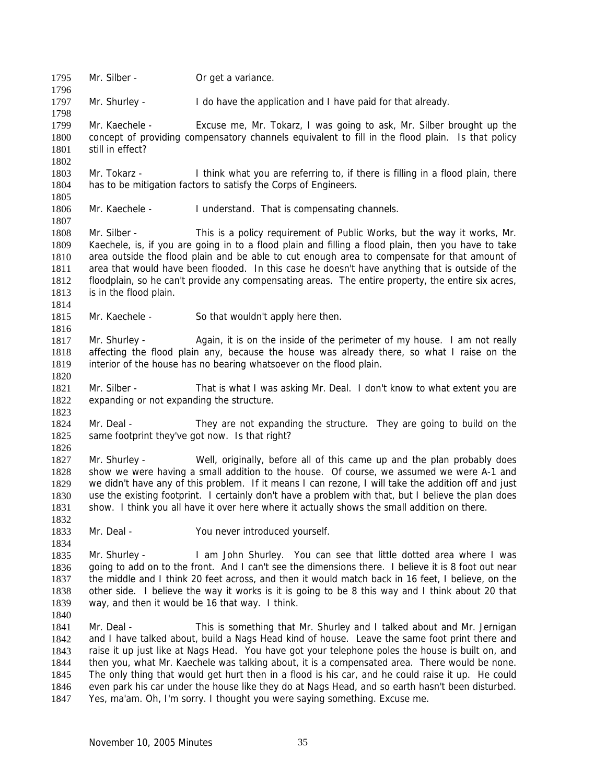1795 Mr. Silber - Or get a variance. 1796 1797 1798 1799 1800 1801 1802 1803 1804 1805 1806 1807 1808 1809 1810 1811 1812 1813 1814 1815 1816 1817 1818 1819 1820 1821 1822 1823 1824 1825 1826 1827 1828 1829 1830 1831 1832 1833 1834 1835 1836 1837 1838 1839 1840 1841 1842 1843 1844 1845 1846 1847 Mr. Shurley - I do have the application and I have paid for that already. Mr. Kaechele - Excuse me, Mr. Tokarz, I was going to ask, Mr. Silber brought up the concept of providing compensatory channels equivalent to fill in the flood plain. Is that policy still in effect? Mr. Tokarz - I think what you are referring to, if there is filling in a flood plain, there has to be mitigation factors to satisfy the Corps of Engineers. Mr. Kaechele - I understand. That is compensating channels. Mr. Silber - This is a policy requirement of Public Works, but the way it works, Mr. Kaechele, is, if you are going in to a flood plain and filling a flood plain, then you have to take area outside the flood plain and be able to cut enough area to compensate for that amount of area that would have been flooded. In this case he doesn't have anything that is outside of the floodplain, so he can't provide any compensating areas. The entire property, the entire six acres, is in the flood plain. Mr. Kaechele - So that wouldn't apply here then. Mr. Shurley - Again, it is on the inside of the perimeter of my house. I am not really affecting the flood plain any, because the house was already there, so what I raise on the interior of the house has no bearing whatsoever on the flood plain. Mr. Silber - That is what I was asking Mr. Deal. I don't know to what extent you are expanding or not expanding the structure. Mr. Deal - They are not expanding the structure. They are going to build on the same footprint they've got now. Is that right? Mr. Shurley - Well, originally, before all of this came up and the plan probably does show we were having a small addition to the house. Of course, we assumed we were A-1 and we didn't have any of this problem. If it means I can rezone, I will take the addition off and just use the existing footprint. I certainly don't have a problem with that, but I believe the plan does show. I think you all have it over here where it actually shows the small addition on there. Mr. Deal - You never introduced yourself. Mr. Shurley - I am John Shurley. You can see that little dotted area where I was going to add on to the front. And I can't see the dimensions there. I believe it is 8 foot out near the middle and I think 20 feet across, and then it would match back in 16 feet, I believe, on the other side. I believe the way it works is it is going to be 8 this way and I think about 20 that way, and then it would be 16 that way. I think. Mr. Deal - This is something that Mr. Shurley and I talked about and Mr. Jernigan and I have talked about, build a Nags Head kind of house. Leave the same foot print there and raise it up just like at Nags Head. You have got your telephone poles the house is built on, and then you, what Mr. Kaechele was talking about, it is a compensated area. There would be none. The only thing that would get hurt then in a flood is his car, and he could raise it up. He could even park his car under the house like they do at Nags Head, and so earth hasn't been disturbed. Yes, ma'am. Oh, I'm sorry. I thought you were saying something. Excuse me.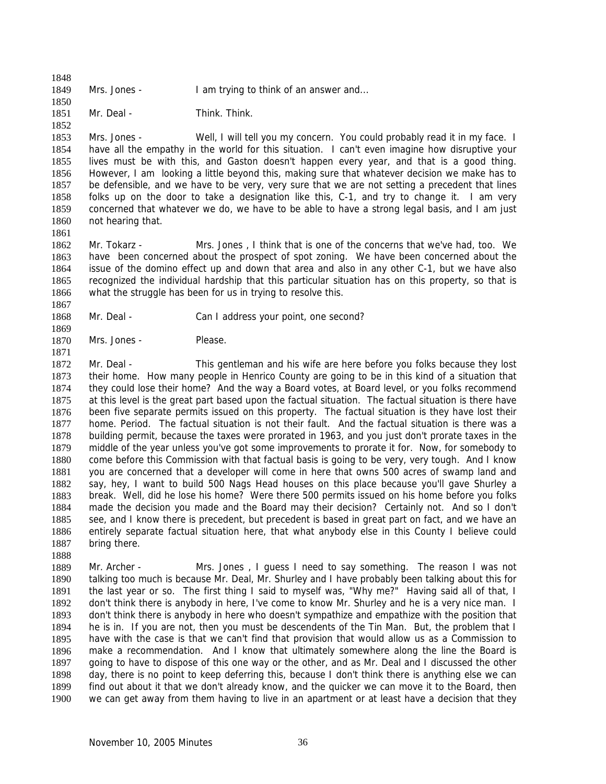1848 1849 Mrs. Jones - I am trying to think of an answer and...

1851 Mr. Deal - Think. Think.

1853 1854 1855 1856 1857 1858 1859 1860 Mrs. Jones - Well, I will tell you my concern. You could probably read it in my face. I have all the empathy in the world for this situation. I can't even imagine how disruptive your lives must be with this, and Gaston doesn't happen every year, and that is a good thing. However, I am looking a little beyond this, making sure that whatever decision we make has to be defensible, and we have to be very, very sure that we are not setting a precedent that lines folks up on the door to take a designation like this, C-1, and try to change it. I am very concerned that whatever we do, we have to be able to have a strong legal basis, and I am just not hearing that.

1861

1869

1871

1888

1850

1852

1862 1863 1864 1865 1866 1867 Mr. Tokarz - Mrs. Jones, I think that is one of the concerns that we've had, too. We have been concerned about the prospect of spot zoning. We have been concerned about the issue of the domino effect up and down that area and also in any other C-1, but we have also recognized the individual hardship that this particular situation has on this property, so that is what the struggle has been for us in trying to resolve this.

- 1868 Mr. Deal - Can I address your point, one second?
- 1870 Mrs. Jones - Please.

1872 1873 1874 1875 1876 1877 1878 1879 1880 1881 1882 1883 1884 1885 1886 1887 Mr. Deal - This gentleman and his wife are here before you folks because they lost their home. How many people in Henrico County are going to be in this kind of a situation that they could lose their home? And the way a Board votes, at Board level, or you folks recommend at this level is the great part based upon the factual situation. The factual situation is there have been five separate permits issued on this property. The factual situation is they have lost their home. Period. The factual situation is not their fault. And the factual situation is there was a building permit, because the taxes were prorated in 1963, and you just don't prorate taxes in the middle of the year unless you've got some improvements to prorate it for. Now, for somebody to come before this Commission with that factual basis is going to be very, very tough. And I know you are concerned that a developer will come in here that owns 500 acres of swamp land and say, hey, I want to build 500 Nags Head houses on this place because you'll gave Shurley a break. Well, did he lose his home? Were there 500 permits issued on his home before you folks made the decision you made and the Board may their decision? Certainly not. And so I don't see, and I know there is precedent, but precedent is based in great part on fact, and we have an entirely separate factual situation here, that what anybody else in this County I believe could bring there.

1889 1890 1891 1892 1893 1894 1895 1896 1897 1898 1899 1900 Mr. Archer - Mrs. Jones, I guess I need to say something. The reason I was not talking too much is because Mr. Deal, Mr. Shurley and I have probably been talking about this for the last year or so. The first thing I said to myself was, "Why me?" Having said all of that, I don't think there is anybody in here, I've come to know Mr. Shurley and he is a very nice man. I don't think there is anybody in here who doesn't sympathize and empathize with the position that he is in. If you are not, then you must be descendents of the Tin Man. But, the problem that I have with the case is that we can't find that provision that would allow us as a Commission to make a recommendation. And I know that ultimately somewhere along the line the Board is going to have to dispose of this one way or the other, and as Mr. Deal and I discussed the other day, there is no point to keep deferring this, because I don't think there is anything else we can find out about it that we don't already know, and the quicker we can move it to the Board, then we can get away from them having to live in an apartment or at least have a decision that they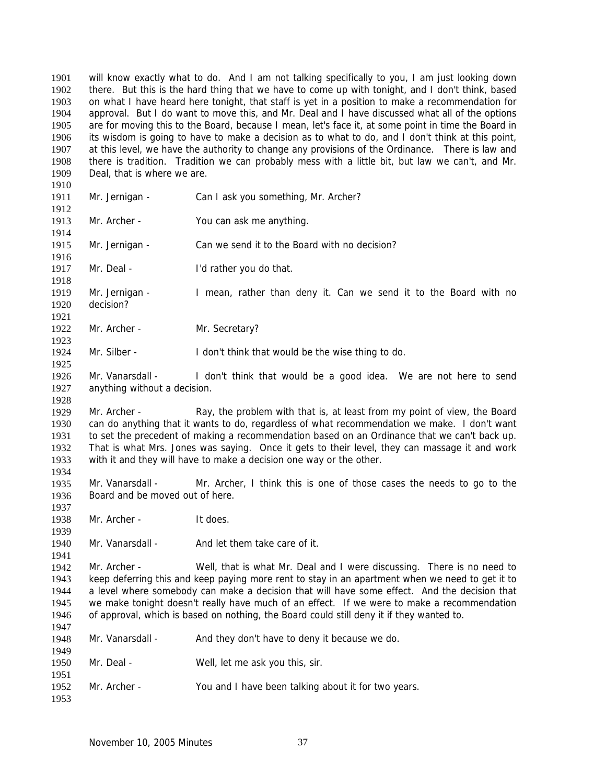will know exactly what to do. And I am not talking specifically to you, I am just looking down there. But this is the hard thing that we have to come up with tonight, and I don't think, based on what I have heard here tonight, that staff is yet in a position to make a recommendation for approval. But I do want to move this, and Mr. Deal and I have discussed what all of the options are for moving this to the Board, because I mean, let's face it, at some point in time the Board in its wisdom is going to have to make a decision as to what to do, and I don't think at this point, at this level, we have the authority to change any provisions of the Ordinance. There is law and there is tradition. Tradition we can probably mess with a little bit, but law we can't, and Mr. Deal, that is where we are. 1901 1902 1903 1904 1905 1906 1907 1908 1909 1910 1911 1912 1913 1914 1915 1916 1917 1918 1919 1920 1921 1922 1923 1924 1925 1926 1927 1928 1929 1930 1931 1932 1933 1934 1935 1936 1937 1938 1939 1940 1941 1942 1943 1944 1945 1946 1947 1948 1949 1950 1951 1952 1953 Mr. Jernigan - Can I ask you something, Mr. Archer? Mr. Archer - You can ask me anything. Mr. Jernigan - Can we send it to the Board with no decision? Mr. Deal - The I'd rather you do that. Mr. Jernigan - I mean, rather than deny it. Can we send it to the Board with no decision? Mr. Archer - Mr. Secretary? Mr. Silber - I don't think that would be the wise thing to do. Mr. Vanarsdall - I don't think that would be a good idea. We are not here to send anything without a decision. Mr. Archer - Ray, the problem with that is, at least from my point of view, the Board can do anything that it wants to do, regardless of what recommendation we make. I don't want to set the precedent of making a recommendation based on an Ordinance that we can't back up. That is what Mrs. Jones was saying. Once it gets to their level, they can massage it and work with it and they will have to make a decision one way or the other. Mr. Vanarsdall - Mr. Archer, I think this is one of those cases the needs to go to the Board and be moved out of here. Mr. Archer - It does. Mr. Vanarsdall - And let them take care of it. Mr. Archer - Well, that is what Mr. Deal and I were discussing. There is no need to keep deferring this and keep paying more rent to stay in an apartment when we need to get it to a level where somebody can make a decision that will have some effect. And the decision that we make tonight doesn't really have much of an effect. If we were to make a recommendation of approval, which is based on nothing, the Board could still deny it if they wanted to. Mr. Vanarsdall - And they don't have to deny it because we do. Mr. Deal - Well, let me ask you this, sir. Mr. Archer - You and I have been talking about it for two years.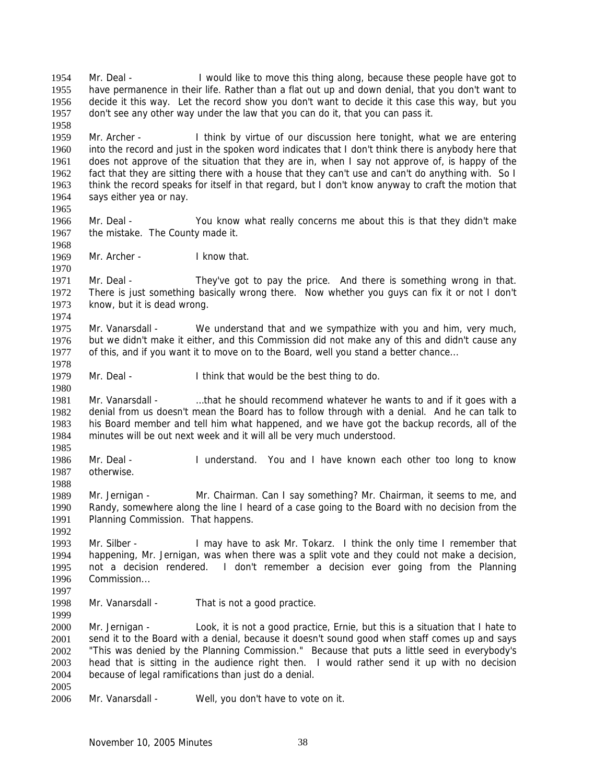Mr. Deal - I would like to move this thing along, because these people have got to have permanence in their life. Rather than a flat out up and down denial, that you don't want to decide it this way. Let the record show you don't want to decide it this case this way, but you don't see any other way under the law that you can do it, that you can pass it. 1954 1955 1956 1957 1958 1959 1960 1961 1962 1963 1964 1965 1966 1967 1968 1969 1970 1971 1972 1973 1974 1975 1976 1977 1978 1979 1980 1981 1982 1983 1984 1985 1986 1987 1988 1989 1990 1991 1992 1993 1994 1995 1996 1997 1998 1999 2000 2001 2002 2003 2004 2005 2006 Mr. Archer - I think by virtue of our discussion here tonight, what we are entering into the record and just in the spoken word indicates that I don't think there is anybody here that does not approve of the situation that they are in, when I say not approve of, is happy of the fact that they are sitting there with a house that they can't use and can't do anything with. So I think the record speaks for itself in that regard, but I don't know anyway to craft the motion that says either yea or nay. Mr. Deal - You know what really concerns me about this is that they didn't make the mistake. The County made it. Mr. Archer - I know that. Mr. Deal - They've got to pay the price. And there is something wrong in that. There is just something basically wrong there. Now whether you guys can fix it or not I don't know, but it is dead wrong. Mr. Vanarsdall - We understand that and we sympathize with you and him, very much, but we didn't make it either, and this Commission did not make any of this and didn't cause any of this, and if you want it to move on to the Board, well you stand a better chance... Mr. Deal - I think that would be the best thing to do. Mr. Vanarsdall - . ... that he should recommend whatever he wants to and if it goes with a denial from us doesn't mean the Board has to follow through with a denial. And he can talk to his Board member and tell him what happened, and we have got the backup records, all of the minutes will be out next week and it will all be very much understood. Mr. Deal - I understand. You and I have known each other too long to know otherwise. Mr. Jernigan - Mr. Chairman. Can I say something? Mr. Chairman, it seems to me, and Randy, somewhere along the line I heard of a case going to the Board with no decision from the Planning Commission. That happens. Mr. Silber - I may have to ask Mr. Tokarz. I think the only time I remember that happening, Mr. Jernigan, was when there was a split vote and they could not make a decision, not a decision rendered. I don't remember a decision ever going from the Planning Commission... Mr. Vanarsdall - That is not a good practice. Mr. Jernigan - Look, it is not a good practice, Ernie, but this is a situation that I hate to send it to the Board with a denial, because it doesn't sound good when staff comes up and says "This was denied by the Planning Commission." Because that puts a little seed in everybody's head that is sitting in the audience right then. I would rather send it up with no decision because of legal ramifications than just do a denial. Mr. Vanarsdall - Well, you don't have to vote on it.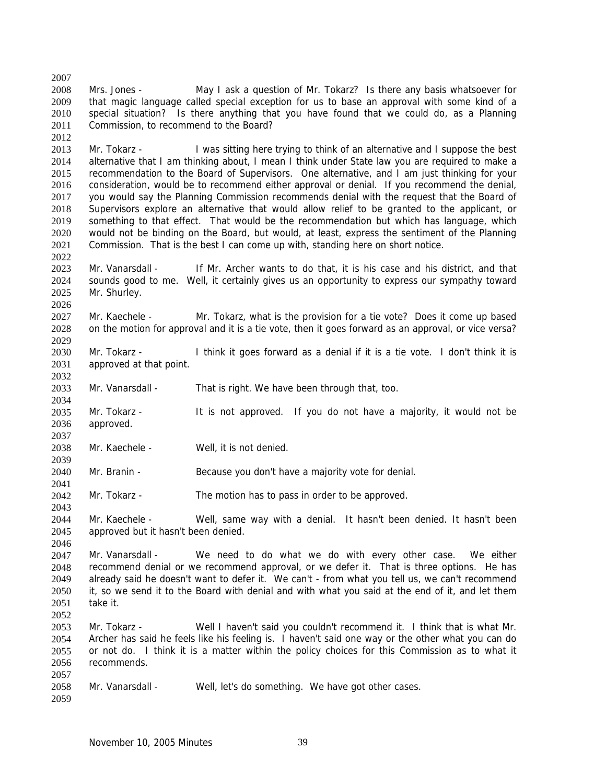2007 2008 2009 2010 2011 2012 Mrs. Jones - May I ask a question of Mr. Tokarz? Is there any basis whatsoever for that magic language called special exception for us to base an approval with some kind of a special situation? Is there anything that you have found that we could do, as a Planning Commission, to recommend to the Board?

2013 2014 2015 2016 2017 2018 2019 2020 2021 Mr. Tokarz - I was sitting here trying to think of an alternative and I suppose the best alternative that I am thinking about, I mean I think under State law you are required to make a recommendation to the Board of Supervisors. One alternative, and I am just thinking for your consideration, would be to recommend either approval or denial. If you recommend the denial, you would say the Planning Commission recommends denial with the request that the Board of Supervisors explore an alternative that would allow relief to be granted to the applicant, or something to that effect. That would be the recommendation but which has language, which would not be binding on the Board, but would, at least, express the sentiment of the Planning Commission. That is the best I can come up with, standing here on short notice.

2023 2024 2025 Mr. Vanarsdall - If Mr. Archer wants to do that, it is his case and his district, and that sounds good to me. Well, it certainly gives us an opportunity to express our sympathy toward Mr. Shurley.

2027 2028 Mr. Kaechele - Mr. Tokarz, what is the provision for a tie vote? Does it come up based on the motion for approval and it is a tie vote, then it goes forward as an approval, or vice versa?

2030 2031 Mr. Tokarz - I think it goes forward as a denial if it is a tie vote. I don't think it is approved at that point.

2033 Mr. Vanarsdall - That is right. We have been through that, too.

2035 2036 Mr. Tokarz - It is not approved. If you do not have a majority, it would not be approved.

2038 Mr. Kaechele - Well, it is not denied.

2040 Mr. Branin - Because you don't have a majority vote for denial.

2042 Mr. Tokarz - The motion has to pass in order to be approved.

2044 2045 Mr. Kaechele - Well, same way with a denial. It hasn't been denied. It hasn't been approved but it hasn't been denied.

2047 2048 2049 2050 2051 2052 Mr. Vanarsdall - We need to do what we do with every other case. We either recommend denial or we recommend approval, or we defer it. That is three options. He has already said he doesn't want to defer it. We can't - from what you tell us, we can't recommend it, so we send it to the Board with denial and with what you said at the end of it, and let them take it.

2053 2054 2055 2056 Mr. Tokarz - Well I haven't said you couldn't recommend it. I think that is what Mr. Archer has said he feels like his feeling is. I haven't said one way or the other what you can do or not do. I think it is a matter within the policy choices for this Commission as to what it recommends.

2058 Mr. Vanarsdall - Well, let's do something. We have got other cases.

2059

2057

2022

2026

2029

2032

2034

2037

2039

2041

2043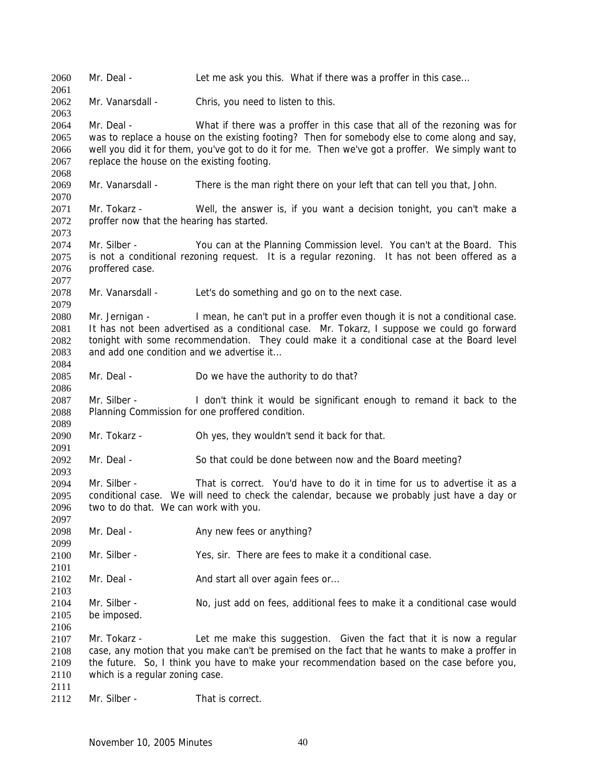2060 Mr. Deal - Let me ask you this. What if there was a proffer in this case... 2061 2062 2063 2064 2065 2066 2067 2068 2069 2070 2071 2072 2073 2074 2075 2076 2077 2078 2079 2080 2081 2082 2083 2084 2085 2086 2087 2088 2089 2090 2091 2092 2093 2094 2095 2096 2097 2098 2099 2100 2101 2102 2103 2104 2105 2106 2107 2108 2109 2110 2111 2112 Mr. Vanarsdall - Chris, you need to listen to this. Mr. Deal - What if there was a proffer in this case that all of the rezoning was for was to replace a house on the existing footing? Then for somebody else to come along and say, well you did it for them, you've got to do it for me. Then we've got a proffer. We simply want to replace the house on the existing footing. Mr. Vanarsdall - There is the man right there on your left that can tell you that, John. Mr. Tokarz - Well, the answer is, if you want a decision tonight, you can't make a proffer now that the hearing has started. Mr. Silber - You can at the Planning Commission level. You can't at the Board. This is not a conditional rezoning request. It is a regular rezoning. It has not been offered as a proffered case. Mr. Vanarsdall - Let's do something and go on to the next case. Mr. Jernigan - I mean, he can't put in a proffer even though it is not a conditional case. It has not been advertised as a conditional case. Mr. Tokarz, I suppose we could go forward tonight with some recommendation. They could make it a conditional case at the Board level and add one condition and we advertise it... Mr. Deal - Do we have the authority to do that? Mr. Silber - I don't think it would be significant enough to remand it back to the Planning Commission for one proffered condition. Mr. Tokarz - Oh yes, they wouldn't send it back for that. Mr. Deal - So that could be done between now and the Board meeting? Mr. Silber - That is correct. You'd have to do it in time for us to advertise it as a conditional case. We will need to check the calendar, because we probably just have a day or two to do that. We can work with you. Mr. Deal - Any new fees or anything? Mr. Silber - Yes, sir. There are fees to make it a conditional case. Mr. Deal - And start all over again fees or... Mr. Silber - No, just add on fees, additional fees to make it a conditional case would be imposed. Mr. Tokarz - Let me make this suggestion. Given the fact that it is now a regular case, any motion that you make can't be premised on the fact that he wants to make a proffer in the future. So, I think you have to make your recommendation based on the case before you, which is a regular zoning case. Mr. Silber - That is correct.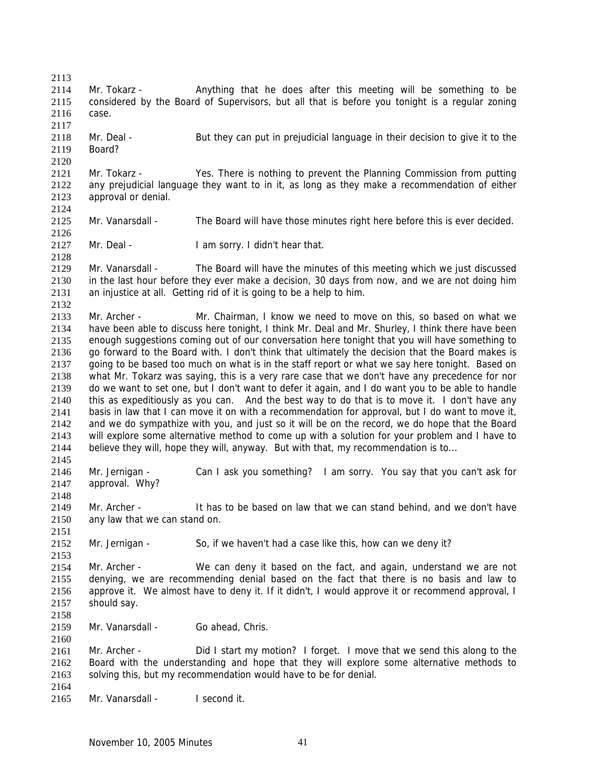2113 2114 2115 2116 2117 2118 2119 2120 2121 2122 2123 2124 2125 2126 2127 2128 2129 2130 2131 2132 2133 2134 2135 2136 2137 2138 2139 2140 2141 2142 2143 2144 2145 2146 2147 2148 2149 2150 2151 2152 2153 2154 2155 2156 2157 2158 2159 2160 2161 2162 2163 2164 2165 Mr. Tokarz - Anything that he does after this meeting will be something to be considered by the Board of Supervisors, but all that is before you tonight is a regular zoning case. Mr. Deal - But they can put in prejudicial language in their decision to give it to the Board? Mr. Tokarz - Yes. There is nothing to prevent the Planning Commission from putting any prejudicial language they want to in it, as long as they make a recommendation of either approval or denial. Mr. Vanarsdall - The Board will have those minutes right here before this is ever decided. Mr. Deal - I am sorry. I didn't hear that. Mr. Vanarsdall - The Board will have the minutes of this meeting which we just discussed in the last hour before they ever make a decision, 30 days from now, and we are not doing him an injustice at all. Getting rid of it is going to be a help to him. Mr. Archer - Mr. Chairman, I know we need to move on this, so based on what we have been able to discuss here tonight, I think Mr. Deal and Mr. Shurley, I think there have been enough suggestions coming out of our conversation here tonight that you will have something to go forward to the Board with. I don't think that ultimately the decision that the Board makes is going to be based too much on what is in the staff report or what we say here tonight. Based on what Mr. Tokarz was saying, this is a very rare case that we don't have any precedence for nor do we want to set one, but I don't want to defer it again, and I do want you to be able to handle this as expeditiously as you can. And the best way to do that is to move it. I don't have any basis in law that I can move it on with a recommendation for approval, but I do want to move it, and we do sympathize with you, and just so it will be on the record, we do hope that the Board will explore some alternative method to come up with a solution for your problem and I have to believe they will, hope they will, anyway. But with that, my recommendation is to... Mr. Jernigan - Can I ask you something? I am sorry. You say that you can't ask for approval. Why? Mr. Archer - It has to be based on law that we can stand behind, and we don't have any law that we can stand on. Mr. Jernigan - So, if we haven't had a case like this, how can we deny it? Mr. Archer - We can deny it based on the fact, and again, understand we are not denying, we are recommending denial based on the fact that there is no basis and law to approve it. We almost have to deny it. If it didn't, I would approve it or recommend approval, I should say. Mr. Vanarsdall - Go ahead, Chris. Mr. Archer - Did I start my motion? I forget. I move that we send this along to the Board with the understanding and hope that they will explore some alternative methods to solving this, but my recommendation would have to be for denial. Mr. Vanarsdall - I second it.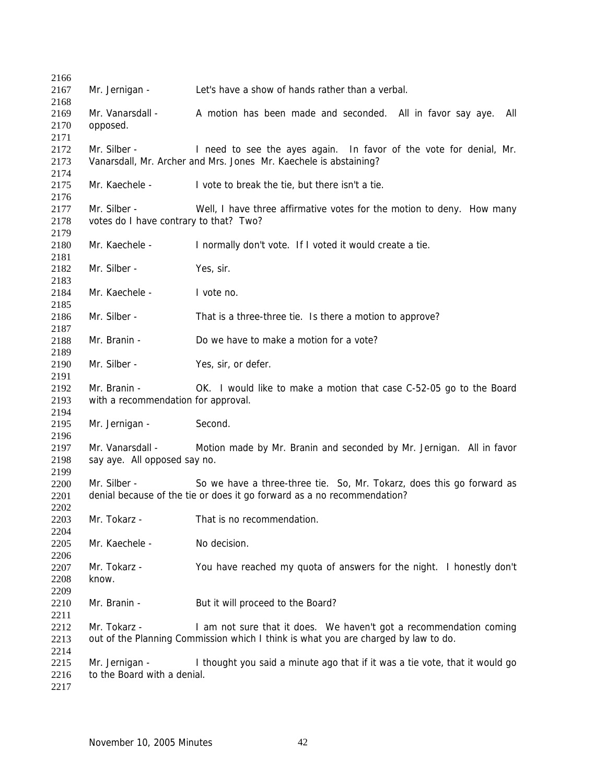| 2166         |                                        |                                                                                    |
|--------------|----------------------------------------|------------------------------------------------------------------------------------|
| 2167         | Mr. Jernigan -                         | Let's have a show of hands rather than a verbal.                                   |
| 2168         |                                        |                                                                                    |
| 2169         | Mr. Vanarsdall -                       | A motion has been made and seconded. All in favor say aye.<br>All                  |
| 2170         | opposed.                               |                                                                                    |
| 2171         |                                        |                                                                                    |
| 2172         | Mr. Silber -                           | I need to see the ayes again. In favor of the vote for denial, Mr.                 |
| 2173         |                                        | Vanarsdall, Mr. Archer and Mrs. Jones Mr. Kaechele is abstaining?                  |
| 2174         |                                        |                                                                                    |
| 2175         | Mr. Kaechele -                         | I vote to break the tie, but there isn't a tie.                                    |
| 2176         |                                        |                                                                                    |
| 2177         | Mr. Silber -                           | Well, I have three affirmative votes for the motion to deny. How many              |
| 2178         | votes do I have contrary to that? Two? |                                                                                    |
| 2179         |                                        |                                                                                    |
| 2180         | Mr. Kaechele -                         | I normally don't vote. If I voted it would create a tie.                           |
| 2181         |                                        |                                                                                    |
| 2182         | Mr. Silber -                           | Yes, sir.                                                                          |
| 2183         |                                        |                                                                                    |
| 2184         | Mr. Kaechele -                         | I vote no.                                                                         |
| 2185         |                                        |                                                                                    |
| 2186         | Mr. Silber -                           | That is a three-three tie. Is there a motion to approve?                           |
| 2187         |                                        |                                                                                    |
| 2188         | Mr. Branin -                           | Do we have to make a motion for a vote?                                            |
| 2189         |                                        |                                                                                    |
| 2190         | Mr. Silber -                           | Yes, sir, or defer.                                                                |
| 2191         |                                        |                                                                                    |
| 2192         | Mr. Branin -                           | OK. I would like to make a motion that case C-52-05 go to the Board                |
| 2193         | with a recommendation for approval.    |                                                                                    |
| 2194         |                                        |                                                                                    |
| 2195         | Mr. Jernigan -                         | Second.                                                                            |
| 2196         |                                        |                                                                                    |
| 2197         | Mr. Vanarsdall -                       | Motion made by Mr. Branin and seconded by Mr. Jernigan. All in favor               |
| 2198         | say aye. All opposed say no.           |                                                                                    |
| 2199         |                                        |                                                                                    |
| 2200         | Mr. Silber -                           | So we have a three-three tie. So, Mr. Tokarz, does this go forward as              |
| 2201         |                                        | denial because of the tie or does it go forward as a no recommendation?            |
| 2202         |                                        |                                                                                    |
| 2203         | Mr. Tokarz -                           | That is no recommendation.                                                         |
| 2204         |                                        |                                                                                    |
| 2205         | Mr. Kaechele -                         | No decision.                                                                       |
|              |                                        |                                                                                    |
| 2206<br>2207 | Mr. Tokarz -                           | You have reached my quota of answers for the night. I honestly don't               |
|              | know.                                  |                                                                                    |
| 2208         |                                        |                                                                                    |
| 2209         |                                        |                                                                                    |
| 2210         | Mr. Branin -                           | But it will proceed to the Board?                                                  |
| 2211         |                                        |                                                                                    |
| 2212         | Mr. Tokarz -                           | I am not sure that it does. We haven't got a recommendation coming                 |
| 2213         |                                        | out of the Planning Commission which I think is what you are charged by law to do. |
| 2214         |                                        |                                                                                    |
| 2215         | Mr. Jernigan -                         | I thought you said a minute ago that if it was a tie vote, that it would go        |
| 2216         | to the Board with a denial.            |                                                                                    |
| 2217         |                                        |                                                                                    |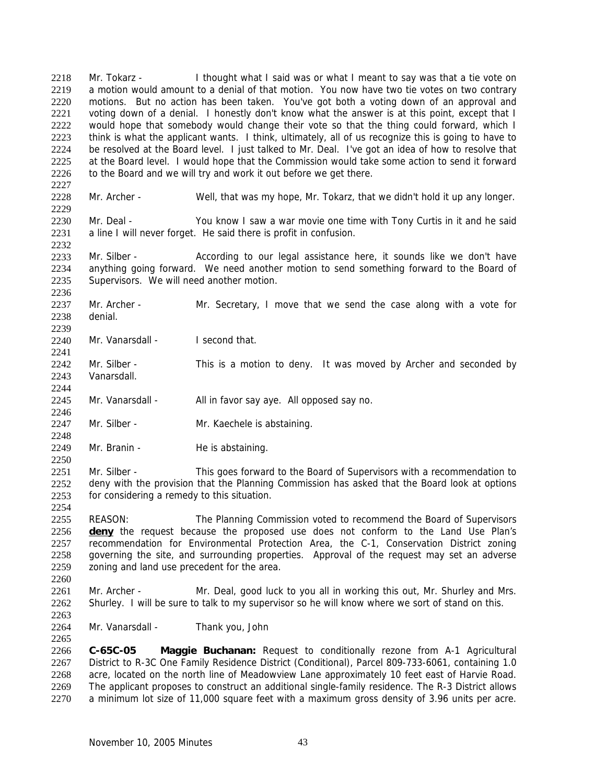Mr. Tokarz - I thought what I said was or what I meant to say was that a tie vote on a motion would amount to a denial of that motion. You now have two tie votes on two contrary motions. But no action has been taken. You've got both a voting down of an approval and voting down of a denial. I honestly don't know what the answer is at this point, except that I would hope that somebody would change their vote so that the thing could forward, which I think is what the applicant wants. I think, ultimately, all of us recognize this is going to have to be resolved at the Board level. I just talked to Mr. Deal. I've got an idea of how to resolve that at the Board level. I would hope that the Commission would take some action to send it forward to the Board and we will try and work it out before we get there. 2218 2219 2220 2221 2222 2223 2224 2225 2226

2228

2227

2236

2241

2244

2246

2248

2250

2254

2265

2229 Mr. Archer - Well, that was my hope, Mr. Tokarz, that we didn't hold it up any longer.

2230 2231 2232 Mr. Deal - You know I saw a war movie one time with Tony Curtis in it and he said a line I will never forget. He said there is profit in confusion.

2233 2234 2235 Mr. Silber - According to our legal assistance here, it sounds like we don't have anything going forward. We need another motion to send something forward to the Board of Supervisors. We will need another motion.

2237 2238 2239 Mr. Archer - Mr. Secretary, I move that we send the case along with a vote for denial.

2240 Mr. Vanarsdall - I second that.

2242 2243 Mr. Silber - This is a motion to deny. It was moved by Archer and seconded by Vanarsdall.

2245 Mr. Vanarsdall - All in favor say aye. All opposed say no.

- 2247 Mr. Silber - Mr. Kaechele is abstaining.
- 2249 Mr. Branin - He is abstaining.

2251 2252 2253 Mr. Silber - This goes forward to the Board of Supervisors with a recommendation to deny with the provision that the Planning Commission has asked that the Board look at options for considering a remedy to this situation.

2255 REASON: The Planning Commission voted to recommend the Board of Supervisors **deny** the request because the proposed use does not conform to the Land Use Plan's recommendation for Environmental Protection Area, the C-1, Conservation District zoning governing the site, and surrounding properties. Approval of the request may set an adverse zoning and land use precedent for the area. 2256 2257 2258 2259 2260

2261 2262 2263 Mr. Archer - Mr. Deal, good luck to you all in working this out, Mr. Shurley and Mrs. Shurley. I will be sure to talk to my supervisor so he will know where we sort of stand on this.

2264 Mr. Vanarsdall - Thank you, John

2266 2267 2268 2269 2270 **C-65C-05 Maggie Buchanan:** Request to conditionally rezone from A-1 Agricultural District to R-3C One Family Residence District (Conditional), Parcel 809-733-6061, containing 1.0 acre, located on the north line of Meadowview Lane approximately 10 feet east of Harvie Road. The applicant proposes to construct an additional single-family residence. The R-3 District allows a minimum lot size of 11,000 square feet with a maximum gross density of 3.96 units per acre.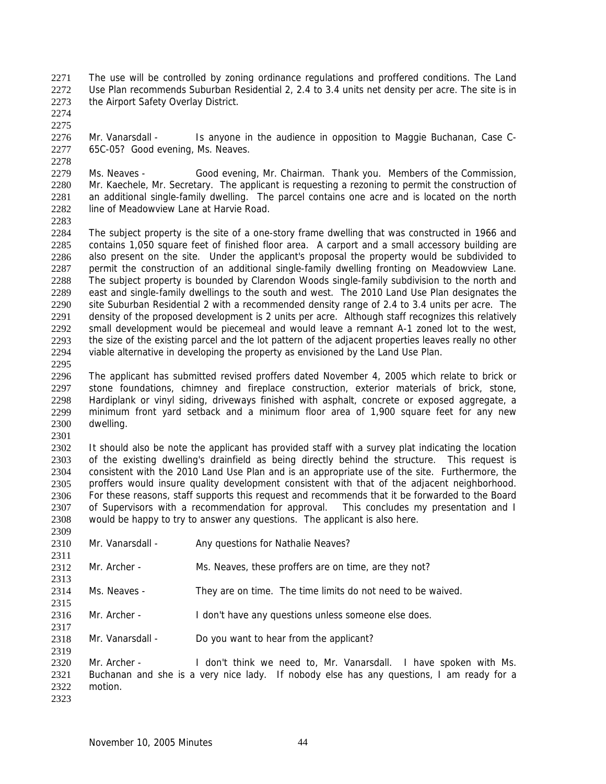The use will be controlled by zoning ordinance regulations and proffered conditions. The Land Use Plan recommends Suburban Residential 2, 2.4 to 3.4 units net density per acre. The site is in the Airport Safety Overlay District. 2271 2272 2273

2274 2275

2278

2276 2277 Mr. Vanarsdall - Is anyone in the audience in opposition to Maggie Buchanan, Case C-65C-05? Good evening, Ms. Neaves.

2279 2280 2281 2282 Ms. Neaves - Good evening, Mr. Chairman. Thank you. Members of the Commission, Mr. Kaechele, Mr. Secretary. The applicant is requesting a rezoning to permit the construction of an additional single-family dwelling. The parcel contains one acre and is located on the north line of Meadowview Lane at Harvie Road.

2283

2284 2285 2286 2287 2288 2289 2290 2291 2292 2293 2294 The subject property is the site of a one-story frame dwelling that was constructed in 1966 and contains 1,050 square feet of finished floor area. A carport and a small accessory building are also present on the site. Under the applicant's proposal the property would be subdivided to permit the construction of an additional single-family dwelling fronting on Meadowview Lane. The subject property is bounded by Clarendon Woods single-family subdivision to the north and east and single-family dwellings to the south and west. The 2010 Land Use Plan designates the site Suburban Residential 2 with a recommended density range of 2.4 to 3.4 units per acre. The density of the proposed development is 2 units per acre. Although staff recognizes this relatively small development would be piecemeal and would leave a remnant A-1 zoned lot to the west, the size of the existing parcel and the lot pattern of the adjacent properties leaves really no other viable alternative in developing the property as envisioned by the Land Use Plan.

2295

2296 2297 2298 2299 2300 The applicant has submitted revised proffers dated November 4, 2005 which relate to brick or stone foundations, chimney and fireplace construction, exterior materials of brick, stone, Hardiplank or vinyl siding, driveways finished with asphalt, concrete or exposed aggregate, a minimum front yard setback and a minimum floor area of 1,900 square feet for any new dwelling.

2301

2302 2303 2304 2305 2306 2307 2308 It should also be note the applicant has provided staff with a survey plat indicating the location of the existing dwelling's drainfield as being directly behind the structure. This request is consistent with the 2010 Land Use Plan and is an appropriate use of the site. Furthermore, the proffers would insure quality development consistent with that of the adjacent neighborhood. For these reasons, staff supports this request and recommends that it be forwarded to the Board of Supervisors with a recommendation for approval. This concludes my presentation and I would be happy to try to answer any questions. The applicant is also here.

| 2309 |                  |                                                                                          |
|------|------------------|------------------------------------------------------------------------------------------|
| 2310 | Mr. Vanarsdall - | Any questions for Nathalie Neaves?                                                       |
| 2311 |                  |                                                                                          |
| 2312 | Mr. Archer -     | Ms. Neaves, these proffers are on time, are they not?                                    |
| 2313 |                  |                                                                                          |
| 2314 | Ms. Neaves -     | They are on time. The time limits do not need to be waived.                              |
| 2315 |                  |                                                                                          |
| 2316 | Mr. Archer -     | I don't have any questions unless someone else does.                                     |
| 2317 |                  |                                                                                          |
| 2318 | Mr. Vanarsdall - | Do you want to hear from the applicant?                                                  |
| 2319 |                  |                                                                                          |
| 2320 | Mr. Archer -     | I don't think we need to, Mr. Vanarsdall. I have spoken with Ms.                         |
| 2321 |                  | Buchanan and she is a very nice lady. If nobody else has any questions, I am ready for a |
| 2322 | motion.          |                                                                                          |
| 2323 |                  |                                                                                          |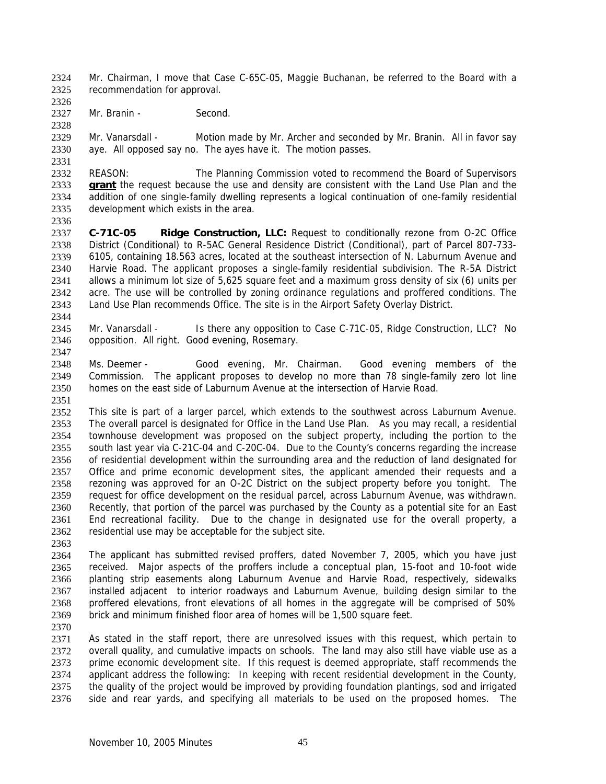Mr. Chairman, I move that Case C-65C-05, Maggie Buchanan, be referred to the Board with a recommendation for approval. 2324 2325

2327 Mr. Branin - Second.

2329 2330 Mr. Vanarsdall - Motion made by Mr. Archer and seconded by Mr. Branin. All in favor say aye. All opposed say no. The ayes have it. The motion passes.

2332 REASON: The Planning Commission voted to recommend the Board of Supervisors **grant** the request because the use and density are consistent with the Land Use Plan and the addition of one single-family dwelling represents a logical continuation of one-family residential development which exists in the area. 2333 2334 2335

2336

2344

2347

2326

2328

2331

2337 2338 2339 2340 2341 2342 2343 **C-71C-05 Ridge Construction, LLC:** Request to conditionally rezone from O-2C Office District (Conditional) to R-5AC General Residence District (Conditional), part of Parcel 807-733- 6105, containing 18.563 acres, located at the southeast intersection of N. Laburnum Avenue and Harvie Road. The applicant proposes a single-family residential subdivision. The R-5A District allows a minimum lot size of 5,625 square feet and a maximum gross density of six (6) units per acre. The use will be controlled by zoning ordinance regulations and proffered conditions. The Land Use Plan recommends Office. The site is in the Airport Safety Overlay District.

2345 2346 Mr. Vanarsdall - Is there any opposition to Case C-71C-05, Ridge Construction, LLC? No opposition. All right. Good evening, Rosemary.

2348 2349 2350 2351 Ms. Deemer - Good evening, Mr. Chairman. Good evening members of the Commission. The applicant proposes to develop no more than 78 single-family zero lot line homes on the east side of Laburnum Avenue at the intersection of Harvie Road.

2352 2353 2354 2355 2356 2357 2358 2359 2360 2361 2362 This site is part of a larger parcel, which extends to the southwest across Laburnum Avenue. The overall parcel is designated for Office in the Land Use Plan. As you may recall, a residential townhouse development was proposed on the subject property, including the portion to the south last year via C-21C-04 and C-20C-04. Due to the County's concerns regarding the increase of residential development within the surrounding area and the reduction of land designated for Office and prime economic development sites, the applicant amended their requests and a rezoning was approved for an O-2C District on the subject property before you tonight. The request for office development on the residual parcel, across Laburnum Avenue, was withdrawn. Recently, that portion of the parcel was purchased by the County as a potential site for an East End recreational facility. Due to the change in designated use for the overall property, a residential use may be acceptable for the subject site.

2363

2364 2365 2366 2367 2368 2369 The applicant has submitted revised proffers, dated November 7, 2005, which you have just received. Major aspects of the proffers include a conceptual plan, 15-foot and 10-foot wide planting strip easements along Laburnum Avenue and Harvie Road, respectively, sidewalks installed adjacent to interior roadways and Laburnum Avenue, building design similar to the proffered elevations, front elevations of all homes in the aggregate will be comprised of 50% brick and minimum finished floor area of homes will be 1,500 square feet.

2370

2371 2372 2373 2374 2375 2376 As stated in the staff report, there are unresolved issues with this request, which pertain to overall quality, and cumulative impacts on schools. The land may also still have viable use as a prime economic development site. If this request is deemed appropriate, staff recommends the applicant address the following: In keeping with recent residential development in the County, the quality of the project would be improved by providing foundation plantings, sod and irrigated side and rear yards, and specifying all materials to be used on the proposed homes. The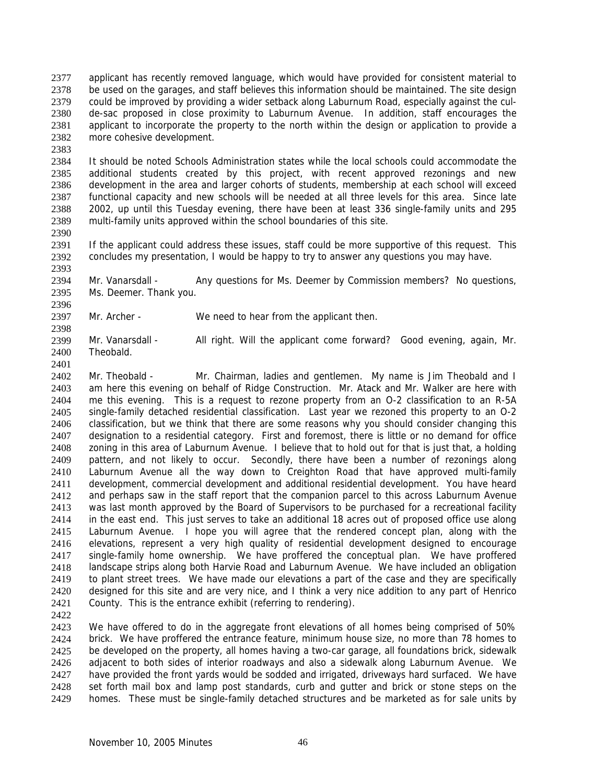applicant has recently removed language, which would have provided for consistent material to be used on the garages, and staff believes this information should be maintained. The site design could be improved by providing a wider setback along Laburnum Road, especially against the culde-sac proposed in close proximity to Laburnum Avenue. In addition, staff encourages the applicant to incorporate the property to the north within the design or application to provide a more cohesive development. 2377 2378 2379 2380 2381 2382

2383

2384 2385 2386 2387 2388 2389 It should be noted Schools Administration states while the local schools could accommodate the additional students created by this project, with recent approved rezonings and new development in the area and larger cohorts of students, membership at each school will exceed functional capacity and new schools will be needed at all three levels for this area. Since late 2002, up until this Tuesday evening, there have been at least 336 single-family units and 295 multi-family units approved within the school boundaries of this site.

2390

2396

2391 2392 2393 If the applicant could address these issues, staff could be more supportive of this request. This concludes my presentation, I would be happy to try to answer any questions you may have.

2394 2395 Mr. Vanarsdall - Any questions for Ms. Deemer by Commission members? No questions, Ms. Deemer. Thank you.

2397 2398 Mr. Archer - We need to hear from the applicant then.

- 2399 2400 2401 Mr. Vanarsdall - All right. Will the applicant come forward? Good evening, again, Mr. Theobald.
- 2402 2403 2404 2405 2406 2407 2408 2409 2410 2411 2412 2413 2414 2415 2416 2417 2418 2419 2420 2421 Mr. Theobald - Mr. Chairman, ladies and gentlemen. My name is Jim Theobald and I am here this evening on behalf of Ridge Construction. Mr. Atack and Mr. Walker are here with me this evening. This is a request to rezone property from an O-2 classification to an R-5A single-family detached residential classification. Last year we rezoned this property to an O-2 classification, but we think that there are some reasons why you should consider changing this designation to a residential category. First and foremost, there is little or no demand for office zoning in this area of Laburnum Avenue. I believe that to hold out for that is just that, a holding pattern, and not likely to occur. Secondly, there have been a number of rezonings along Laburnum Avenue all the way down to Creighton Road that have approved multi-family development, commercial development and additional residential development. You have heard and perhaps saw in the staff report that the companion parcel to this across Laburnum Avenue was last month approved by the Board of Supervisors to be purchased for a recreational facility in the east end. This just serves to take an additional 18 acres out of proposed office use along Laburnum Avenue. I hope you will agree that the rendered concept plan, along with the elevations, represent a very high quality of residential development designed to encourage single-family home ownership. We have proffered the conceptual plan. We have proffered landscape strips along both Harvie Road and Laburnum Avenue. We have included an obligation to plant street trees. We have made our elevations a part of the case and they are specifically designed for this site and are very nice, and I think a very nice addition to any part of Henrico County. This is the entrance exhibit (referring to rendering).
- 2422

2423 2424 2425 2426 2427 2428 2429 We have offered to do in the aggregate front elevations of all homes being comprised of 50% brick. We have proffered the entrance feature, minimum house size, no more than 78 homes to be developed on the property, all homes having a two-car garage, all foundations brick, sidewalk adjacent to both sides of interior roadways and also a sidewalk along Laburnum Avenue. We have provided the front yards would be sodded and irrigated, driveways hard surfaced. We have set forth mail box and lamp post standards, curb and gutter and brick or stone steps on the homes. These must be single-family detached structures and be marketed as for sale units by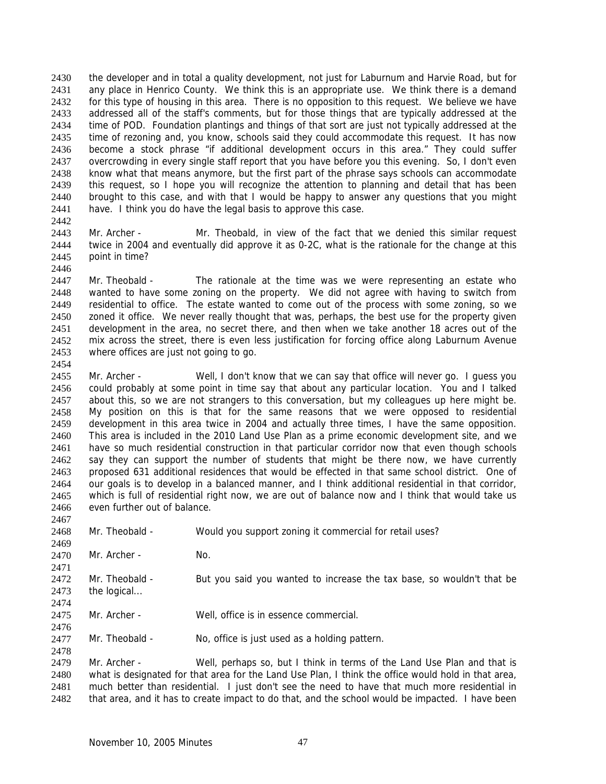the developer and in total a quality development, not just for Laburnum and Harvie Road, but for any place in Henrico County. We think this is an appropriate use. We think there is a demand for this type of housing in this area. There is no opposition to this request. We believe we have addressed all of the staff's comments, but for those things that are typically addressed at the time of POD. Foundation plantings and things of that sort are just not typically addressed at the time of rezoning and, you know, schools said they could accommodate this request. It has now become a stock phrase "if additional development occurs in this area." They could suffer overcrowding in every single staff report that you have before you this evening. So, I don't even know what that means anymore, but the first part of the phrase says schools can accommodate this request, so I hope you will recognize the attention to planning and detail that has been brought to this case, and with that I would be happy to answer any questions that you might have. I think you do have the legal basis to approve this case. 2430 2431 2432 2433 2434 2435 2436 2437 2438 2439 2440 2441

2442

2446

2454

2467

2476

2478

2443 2444 2445 Mr. Archer - Mr. Theobald, in view of the fact that we denied this similar request twice in 2004 and eventually did approve it as 0-2C, what is the rationale for the change at this point in time?

2447 2448 2449 2450 2451 2452 2453 Mr. Theobald - The rationale at the time was we were representing an estate who wanted to have some zoning on the property. We did not agree with having to switch from residential to office. The estate wanted to come out of the process with some zoning, so we zoned it office. We never really thought that was, perhaps, the best use for the property given development in the area, no secret there, and then when we take another 18 acres out of the mix across the street, there is even less justification for forcing office along Laburnum Avenue where offices are just not going to go.

2455 2456 2457 2458 2459 2460 2461 2462 2463 2464 2465 2466 Mr. Archer - Well, I don't know that we can say that office will never go. I guess you could probably at some point in time say that about any particular location. You and I talked about this, so we are not strangers to this conversation, but my colleagues up here might be. My position on this is that for the same reasons that we were opposed to residential development in this area twice in 2004 and actually three times, I have the same opposition. This area is included in the 2010 Land Use Plan as a prime economic development site, and we have so much residential construction in that particular corridor now that even though schools say they can support the number of students that might be there now, we have currently proposed 631 additional residences that would be effected in that same school district. One of our goals is to develop in a balanced manner, and I think additional residential in that corridor, which is full of residential right now, we are out of balance now and I think that would take us even further out of balance.

- 2468 2469 2470 2471 Mr. Theobald - Would you support zoning it commercial for retail uses? Mr. Archer - No.
- 2472 2473 2474 Mr. Theobald - But you said you wanted to increase the tax base, so wouldn't that be the logical...
- 2475 Mr. Archer - Well, office is in essence commercial.

2477 Mr. Theobald - No, office is just used as a holding pattern.

2479 2480 2481 2482 Mr. Archer - Well, perhaps so, but I think in terms of the Land Use Plan and that is what is designated for that area for the Land Use Plan, I think the office would hold in that area, much better than residential. I just don't see the need to have that much more residential in that area, and it has to create impact to do that, and the school would be impacted. I have been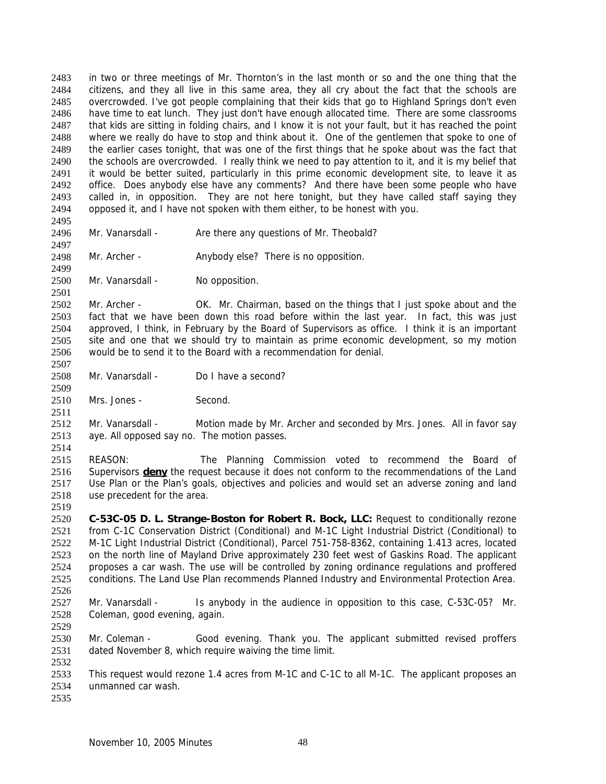in two or three meetings of Mr. Thornton's in the last month or so and the one thing that the citizens, and they all live in this same area, they all cry about the fact that the schools are overcrowded. I've got people complaining that their kids that go to Highland Springs don't even have time to eat lunch. They just don't have enough allocated time. There are some classrooms that kids are sitting in folding chairs, and I know it is not your fault, but it has reached the point where we really do have to stop and think about it. One of the gentlemen that spoke to one of the earlier cases tonight, that was one of the first things that he spoke about was the fact that the schools are overcrowded. I really think we need to pay attention to it, and it is my belief that it would be better suited, particularly in this prime economic development site, to leave it as office. Does anybody else have any comments? And there have been some people who have called in, in opposition. They are not here tonight, but they have called staff saying they opposed it, and I have not spoken with them either, to be honest with you. 2483 2484 2485 2486 2487 2488 2489 2490 2491 2492 2493 2494

2495 2496 2497

2499

2501

2507

2509

2511

Mr. Vanarsdall - Are there any questions of Mr. Theobald?

2498 Mr. Archer - Anybody else? There is no opposition.

2500 Mr. Vanarsdall - No opposition.

2502 2503 2504 2505 2506 Mr. Archer - OK. Mr. Chairman, based on the things that I just spoke about and the fact that we have been down this road before within the last year. In fact, this was just approved, I think, in February by the Board of Supervisors as office. I think it is an important site and one that we should try to maintain as prime economic development, so my motion would be to send it to the Board with a recommendation for denial.

2508 Mr. Vanarsdall - Do I have a second?

2510 Mrs. Jones - Second.

2512 2513 Mr. Vanarsdall - Motion made by Mr. Archer and seconded by Mrs. Jones. All in favor say aye. All opposed say no. The motion passes.

2514

2515 REASON: The Planning Commission voted to recommend the Board of Supervisors **deny** the request because it does not conform to the recommendations of the Land Use Plan or the Plan's goals, objectives and policies and would set an adverse zoning and land use precedent for the area. 2516 2517 2518

2519

2520 2521 2522 2523 2524 2525 2526 **C-53C-05 D. L. Strange-Boston for Robert R. Bock, LLC:** Request to conditionally rezone from C-1C Conservation District (Conditional) and M-1C Light Industrial District (Conditional) to M-1C Light Industrial District (Conditional), Parcel 751-758-8362, containing 1.413 acres, located on the north line of Mayland Drive approximately 230 feet west of Gaskins Road. The applicant proposes a car wash. The use will be controlled by zoning ordinance regulations and proffered conditions. The Land Use Plan recommends Planned Industry and Environmental Protection Area.

2527 2528 Mr. Vanarsdall - Is anybody in the audience in opposition to this case, C-53C-05? Mr. Coleman, good evening, again.

2530 2531 Mr. Coleman - Good evening. Thank you. The applicant submitted revised proffers dated November 8, which require waiving the time limit.

2533 2534 This request would rezone 1.4 acres from M-1C and C-1C to all M-1C. The applicant proposes an unmanned car wash.

2535

2529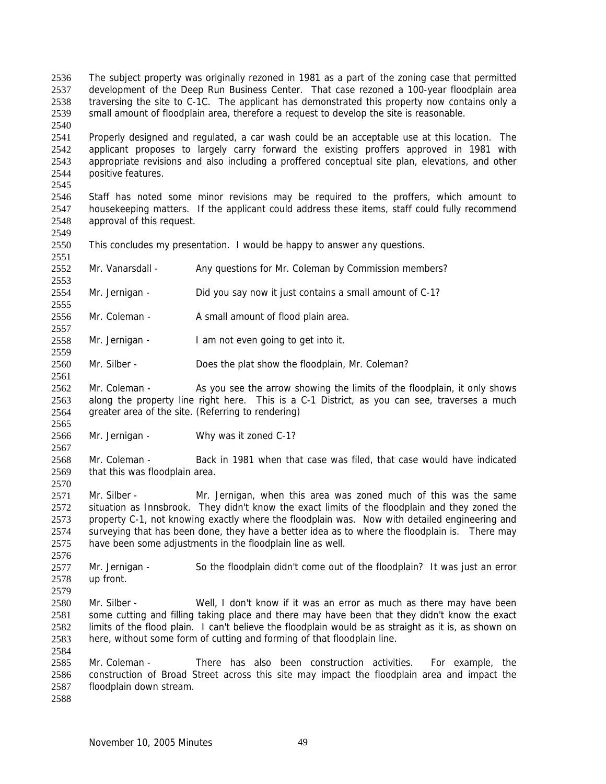The subject property was originally rezoned in 1981 as a part of the zoning case that permitted development of the Deep Run Business Center. That case rezoned a 100-year floodplain area traversing the site to C-1C. The applicant has demonstrated this property now contains only a small amount of floodplain area, therefore a request to develop the site is reasonable. 2536 2537 2538 2539

2541 2542 2543 2544 2545 Properly designed and regulated, a car wash could be an acceptable use at this location. The applicant proposes to largely carry forward the existing proffers approved in 1981 with appropriate revisions and also including a proffered conceptual site plan, elevations, and other positive features.

2546 2547 2548 2549 Staff has noted some minor revisions may be required to the proffers, which amount to housekeeping matters. If the applicant could address these items, staff could fully recommend approval of this request.

2550 This concludes my presentation. I would be happy to answer any questions.

2552 Mr. Vanarsdall - Any questions for Mr. Coleman by Commission members?

2554 Mr. Jernigan - Did you say now it just contains a small amount of C-1?

2556 Mr. Coleman - A small amount of flood plain area.

2558 Mr. Jernigan - I am not even going to get into it.

2560 Mr. Silber - Does the plat show the floodplain, Mr. Coleman?

2562 2563 2564 Mr. Coleman - As you see the arrow showing the limits of the floodplain, it only shows along the property line right here. This is a C-1 District, as you can see, traverses a much greater area of the site. (Referring to rendering)

2566 Mr. Jernigan - Why was it zoned C-1?

2568 2569 Mr. Coleman - Back in 1981 when that case was filed, that case would have indicated that this was floodplain area.

2571 2572 2573 2574 2575 Mr. Silber - Mr. Jernigan, when this area was zoned much of this was the same situation as Innsbrook. They didn't know the exact limits of the floodplain and they zoned the property C-1, not knowing exactly where the floodplain was. Now with detailed engineering and surveying that has been done, they have a better idea as to where the floodplain is. There may have been some adjustments in the floodplain line as well.

2577 2578 Mr. Jernigan - So the floodplain didn't come out of the floodplain? It was just an error up front.

2580 2581 2582 2583 Mr. Silber - Well, I don't know if it was an error as much as there may have been some cutting and filling taking place and there may have been that they didn't know the exact limits of the flood plain. I can't believe the floodplain would be as straight as it is, as shown on here, without some form of cutting and forming of that floodplain line.

2585 2586 2587 Mr. Coleman - There has also been construction activities. For example, the construction of Broad Street across this site may impact the floodplain area and impact the floodplain down stream.

2588

2584

2540

2551

2553

2555

2557

2559

2561

2565

2567

2570

2576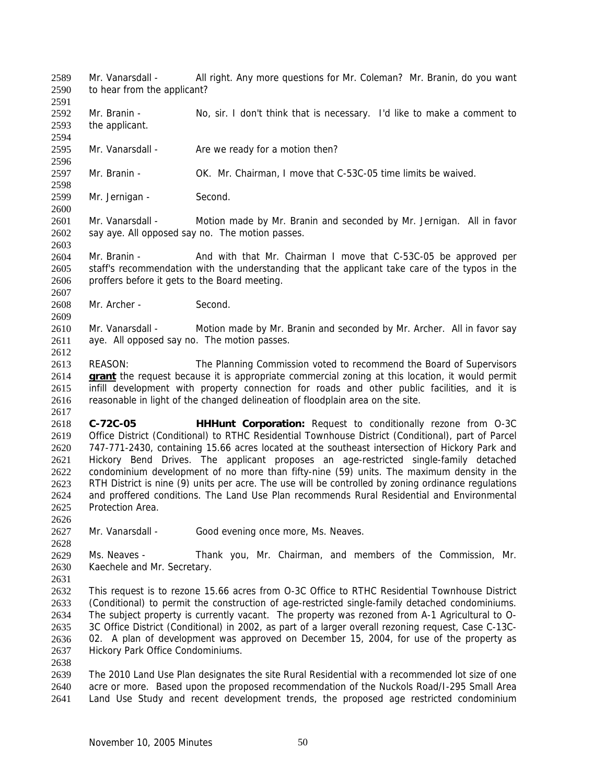Mr. Vanarsdall - All right. Any more questions for Mr. Coleman? Mr. Branin, do you want to hear from the applicant? 2589 2590

- 2591 2592 2593 Mr. Branin - No, sir. I don't think that is necessary. I'd like to make a comment to the applicant.
- 2595 Mr. Vanarsdall - Are we ready for a motion then?

2597 Mr. Branin - OK. Mr. Chairman, I move that C-53C-05 time limits be waived.

2599 Mr. Jernigan - Second.

2601 2602 Mr. Vanarsdall - Motion made by Mr. Branin and seconded by Mr. Jernigan. All in favor say aye. All opposed say no. The motion passes.

2604 2605 2606 Mr. Branin - And with that Mr. Chairman I move that C-53C-05 be approved per staff's recommendation with the understanding that the applicant take care of the typos in the proffers before it gets to the Board meeting.

2608 Mr. Archer - Second.

2610 2611 2612 Mr. Vanarsdall - Motion made by Mr. Branin and seconded by Mr. Archer. All in favor say aye. All opposed say no. The motion passes.

2613 REASON: The Planning Commission voted to recommend the Board of Supervisors **grant** the request because it is appropriate commercial zoning at this location, it would permit infill development with property connection for roads and other public facilities, and it is reasonable in light of the changed delineation of floodplain area on the site. 2614 2615 2616

2618 2619 2620 2621 2622 2623 2624 2625 **C-72C-05 HHHunt Corporation:** Request to conditionally rezone from O-3C Office District (Conditional) to RTHC Residential Townhouse District (Conditional), part of Parcel 747-771-2430, containing 15.66 acres located at the southeast intersection of Hickory Park and Hickory Bend Drives. The applicant proposes an age-restricted single-family detached condominium development of no more than fifty-nine (59) units. The maximum density in the RTH District is nine (9) units per acre. The use will be controlled by zoning ordinance regulations and proffered conditions. The Land Use Plan recommends Rural Residential and Environmental Protection Area.

2627 Mr. Vanarsdall - Good evening once more, Ms. Neaves.

2629 2630 Ms. Neaves - Thank you, Mr. Chairman, and members of the Commission, Mr. Kaechele and Mr. Secretary.

2631

2626

2628

2594

2596

2598

2600

2603

2607

2609

2617

2632 2633 2634 2635 2636 2637 This request is to rezone 15.66 acres from O-3C Office to RTHC Residential Townhouse District (Conditional) to permit the construction of age-restricted single-family detached condominiums. The subject property is currently vacant. The property was rezoned from A-1 Agricultural to O-3C Office District (Conditional) in 2002, as part of a larger overall rezoning request, Case C-13C-02. A plan of development was approved on December 15, 2004, for use of the property as Hickory Park Office Condominiums.

2638

2639 2640 2641 The 2010 Land Use Plan designates the site Rural Residential with a recommended lot size of one acre or more. Based upon the proposed recommendation of the Nuckols Road/I-295 Small Area Land Use Study and recent development trends, the proposed age restricted condominium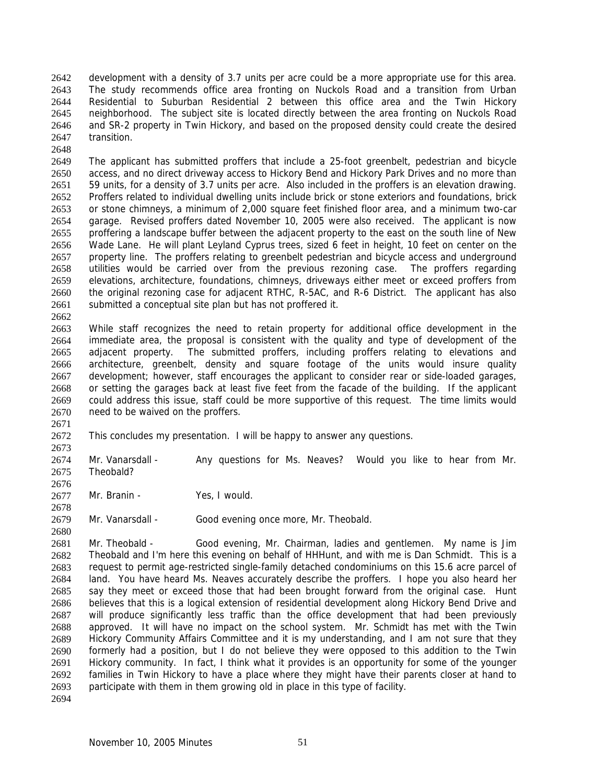development with a density of 3.7 units per acre could be a more appropriate use for this area. The study recommends office area fronting on Nuckols Road and a transition from Urban Residential to Suburban Residential 2 between this office area and the Twin Hickory neighborhood. The subject site is located directly between the area fronting on Nuckols Road and SR-2 property in Twin Hickory, and based on the proposed density could create the desired transition. 2642 2643 2644 2645 2646 2647

2649 2650 2651 2652 2653 2654 2655 2656 2657 2658 2659 2660 2661 The applicant has submitted proffers that include a 25-foot greenbelt, pedestrian and bicycle access, and no direct driveway access to Hickory Bend and Hickory Park Drives and no more than 59 units, for a density of 3.7 units per acre. Also included in the proffers is an elevation drawing. Proffers related to individual dwelling units include brick or stone exteriors and foundations, brick or stone chimneys, a minimum of 2,000 square feet finished floor area, and a minimum two-car garage. Revised proffers dated November 10, 2005 were also received. The applicant is now proffering a landscape buffer between the adjacent property to the east on the south line of New Wade Lane. He will plant Leyland Cyprus trees, sized 6 feet in height, 10 feet on center on the property line. The proffers relating to greenbelt pedestrian and bicycle access and underground utilities would be carried over from the previous rezoning case. The proffers regarding elevations, architecture, foundations, chimneys, driveways either meet or exceed proffers from the original rezoning case for adjacent RTHC, R-5AC, and R-6 District. The applicant has also submitted a conceptual site plan but has not proffered it.

2662

2671

2676

2678

2648

2663 2664 2665 2666 2667 2668 2669 2670 While staff recognizes the need to retain property for additional office development in the immediate area, the proposal is consistent with the quality and type of development of the adjacent property. The submitted proffers, including proffers relating to elevations and architecture, greenbelt, density and square footage of the units would insure quality development; however, staff encourages the applicant to consider rear or side-loaded garages, or setting the garages back at least five feet from the facade of the building. If the applicant could address this issue, staff could be more supportive of this request. The time limits would need to be waived on the proffers.

2672 2673 This concludes my presentation. I will be happy to answer any questions.

2674 2675 Mr. Vanarsdall - Any questions for Ms. Neaves? Would you like to hear from Mr. Theobald?

2677 Mr. Branin - Yes, I would.

2679 Mr. Vanarsdall - Good evening once more, Mr. Theobald.

2680 2681 2682 2683 2684 2685 2686 2687 2688 2689 2690 2691 2692 2693 Mr. Theobald - Good evening, Mr. Chairman, ladies and gentlemen. My name is Jim Theobald and I'm here this evening on behalf of HHHunt, and with me is Dan Schmidt. This is a request to permit age-restricted single-family detached condominiums on this 15.6 acre parcel of land. You have heard Ms. Neaves accurately describe the proffers. I hope you also heard her say they meet or exceed those that had been brought forward from the original case. Hunt believes that this is a logical extension of residential development along Hickory Bend Drive and will produce significantly less traffic than the office development that had been previously approved. It will have no impact on the school system. Mr. Schmidt has met with the Twin Hickory Community Affairs Committee and it is my understanding, and I am not sure that they formerly had a position, but I do not believe they were opposed to this addition to the Twin Hickory community. In fact, I think what it provides is an opportunity for some of the younger families in Twin Hickory to have a place where they might have their parents closer at hand to participate with them in them growing old in place in this type of facility.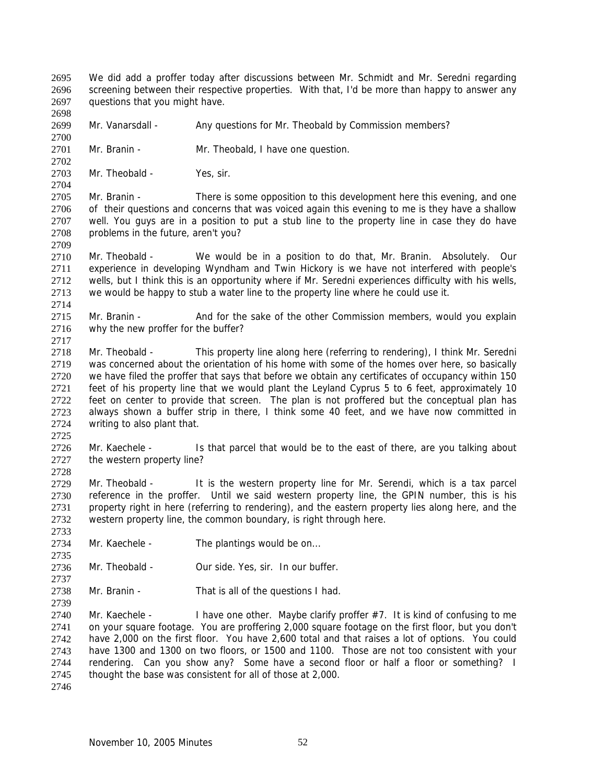We did add a proffer today after discussions between Mr. Schmidt and Mr. Seredni regarding screening between their respective properties. With that, I'd be more than happy to answer any questions that you might have. 2695 2696 2697

2699 Mr. Vanarsdall - Any questions for Mr. Theobald by Commission members?

2701 Mr. Branin - Mr. Theobald, I have one question.

2703 Mr. Theobald - Yes, sir.

2698

2700

2702

2704

2709

2714

2717

2725

2728

2733

2735

2737

2739

2705 2706 2707 2708 Mr. Branin - There is some opposition to this development here this evening, and one of their questions and concerns that was voiced again this evening to me is they have a shallow well. You guys are in a position to put a stub line to the property line in case they do have problems in the future, aren't you?

2710 2711 2712 2713 Mr. Theobald - We would be in a position to do that, Mr. Branin. Absolutely. Our experience in developing Wyndham and Twin Hickory is we have not interfered with people's wells, but I think this is an opportunity where if Mr. Seredni experiences difficulty with his wells, we would be happy to stub a water line to the property line where he could use it.

2715 2716 Mr. Branin - And for the sake of the other Commission members, would you explain why the new proffer for the buffer?

2718 2719 2720 2721 2722 2723 2724 Mr. Theobald - This property line along here (referring to rendering), I think Mr. Seredni was concerned about the orientation of his home with some of the homes over here, so basically we have filed the proffer that says that before we obtain any certificates of occupancy within 150 feet of his property line that we would plant the Leyland Cyprus 5 to 6 feet, approximately 10 feet on center to provide that screen. The plan is not proffered but the conceptual plan has always shown a buffer strip in there, I think some 40 feet, and we have now committed in writing to also plant that.

2726 2727 Mr. Kaechele - Is that parcel that would be to the east of there, are you talking about the western property line?

2729 2730 2731 2732 Mr. Theobald - It is the western property line for Mr. Serendi, which is a tax parcel reference in the proffer. Until we said western property line, the GPIN number, this is his property right in here (referring to rendering), and the eastern property lies along here, and the western property line, the common boundary, is right through here.

- 2734 Mr. Kaechele - The plantings would be on...
- 2736 Mr. Theobald - Our side. Yes, sir. In our buffer.
- 2738 Mr. Branin - That is all of the questions I had.

2740 2741 2742 2743 2744 2745 Mr. Kaechele - I have one other. Maybe clarify proffer  $#7$ . It is kind of confusing to me on your square footage. You are proffering 2,000 square footage on the first floor, but you don't have 2,000 on the first floor. You have 2,600 total and that raises a lot of options. You could have 1300 and 1300 on two floors, or 1500 and 1100. Those are not too consistent with your rendering. Can you show any? Some have a second floor or half a floor or something? I thought the base was consistent for all of those at 2,000.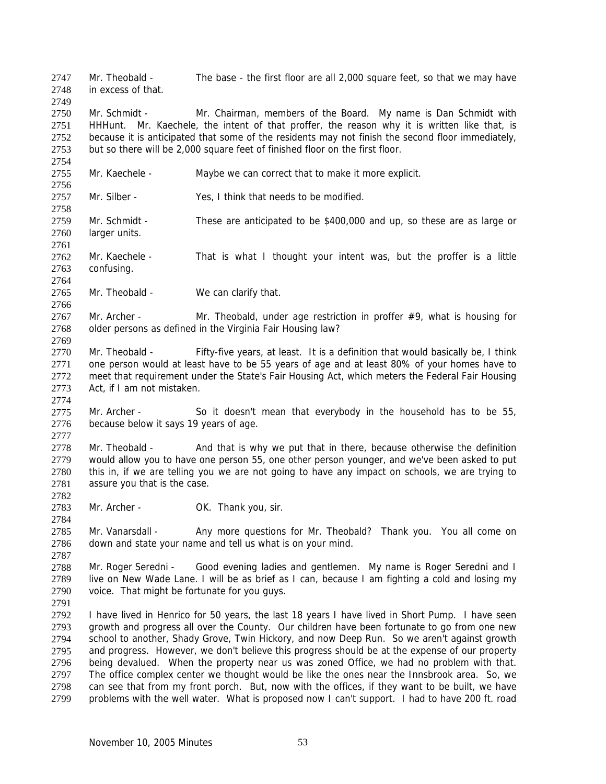Mr. Theobald - The base - the first floor are all 2,000 square feet, so that we may have in excess of that. 2747 2748

2750 2751 2752 2753 Mr. Schmidt - Mr. Chairman, members of the Board. My name is Dan Schmidt with HHHunt. Mr. Kaechele, the intent of that proffer, the reason why it is written like that, is because it is anticipated that some of the residents may not finish the second floor immediately, but so there will be 2,000 square feet of finished floor on the first floor.

2755 Mr. Kaechele - Maybe we can correct that to make it more explicit.

2757 Mr. Silber - Yes, I think that needs to be modified.

2759 2760 Mr. Schmidt - These are anticipated to be \$400,000 and up, so these are as large or larger units.

2761 2762 2763 Mr. Kaechele - That is what I thought your intent was, but the proffer is a little confusing.

2765 Mr. Theobald - We can clarify that.

2767 2768 Mr. Archer - Mr. Theobald, under age restriction in proffer  $#9$ , what is housing for older persons as defined in the Virginia Fair Housing law?

2770 2771 2772 2773 Mr. Theobald - Fifty-five years, at least. It is a definition that would basically be, I think one person would at least have to be 55 years of age and at least 80% of your homes have to meet that requirement under the State's Fair Housing Act, which meters the Federal Fair Housing Act, if I am not mistaken.

2775 2776 Mr. Archer - So it doesn't mean that everybody in the household has to be 55, because below it says 19 years of age.

2778 2779 2780 2781 Mr. Theobald - And that is why we put that in there, because otherwise the definition would allow you to have one person 55, one other person younger, and we've been asked to put this in, if we are telling you we are not going to have any impact on schools, we are trying to assure you that is the case.

2783 Mr. Archer - **OK.** Thank you, sir.

2785 2786 Mr. Vanarsdall - Any more questions for Mr. Theobald? Thank you. You all come on down and state your name and tell us what is on your mind.

2788 2789 2790 Mr. Roger Seredni - Good evening ladies and gentlemen. My name is Roger Seredni and I live on New Wade Lane. I will be as brief as I can, because I am fighting a cold and losing my voice. That might be fortunate for you guys.

2791

2749

2754

2756

2758

2764

2766

2769

2774

2777

2782

2784

2787

2792 2793 2794 2795 2796 2797 2798 2799 I have lived in Henrico for 50 years, the last 18 years I have lived in Short Pump. I have seen growth and progress all over the County. Our children have been fortunate to go from one new school to another, Shady Grove, Twin Hickory, and now Deep Run. So we aren't against growth and progress. However, we don't believe this progress should be at the expense of our property being devalued. When the property near us was zoned Office, we had no problem with that. The office complex center we thought would be like the ones near the Innsbrook area. So, we can see that from my front porch. But, now with the offices, if they want to be built, we have problems with the well water. What is proposed now I can't support. I had to have 200 ft. road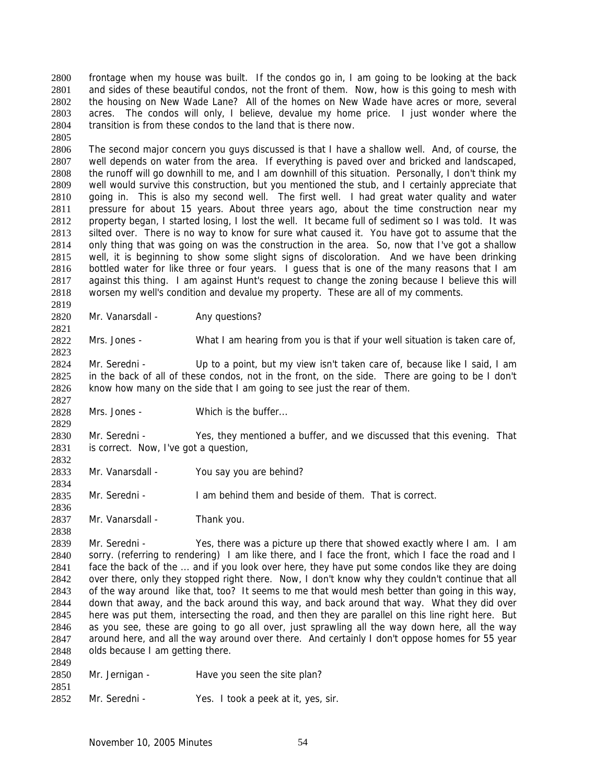frontage when my house was built. If the condos go in, I am going to be looking at the back and sides of these beautiful condos, not the front of them. Now, how is this going to mesh with the housing on New Wade Lane? All of the homes on New Wade have acres or more, several acres. The condos will only, I believe, devalue my home price. I just wonder where the transition is from these condos to the land that is there now. 2800 2801 2802 2803 2804

2806 2807 2808 2809 2810 2811 2812 2813 2814 2815 2816 2817 2818 2819 The second major concern you guys discussed is that I have a shallow well. And, of course, the well depends on water from the area. If everything is paved over and bricked and landscaped, the runoff will go downhill to me, and I am downhill of this situation. Personally, I don't think my well would survive this construction, but you mentioned the stub, and I certainly appreciate that going in. This is also my second well. The first well. I had great water quality and water pressure for about 15 years. About three years ago, about the time construction near my property began, I started losing, I lost the well. It became full of sediment so I was told. It was silted over. There is no way to know for sure what caused it. You have got to assume that the only thing that was going on was the construction in the area. So, now that I've got a shallow well, it is beginning to show some slight signs of discoloration. And we have been drinking bottled water for like three or four years. I guess that is one of the many reasons that I am against this thing. I am against Hunt's request to change the zoning because I believe this will worsen my well's condition and devalue my property. These are all of my comments.

2820 Mr. Vanarsdall - Any questions?

2805

2821

2823

2827

2829

2832

2834

2836

2838

2849

2851

2822 Mrs. Jones - What I am hearing from you is that if your well situation is taken care of,

2824 2825 2826 Mr. Seredni - Up to a point, but my view isn't taken care of, because like I said, I am in the back of all of these condos, not in the front, on the side. There are going to be I don't know how many on the side that I am going to see just the rear of them.

2828 Mrs. Jones - Which is the buffer...

2830 2831 Mr. Seredni - Yes, they mentioned a buffer, and we discussed that this evening. That is correct. Now, I've got a question,

2833 Mr. Vanarsdall - You say you are behind?

2835 Mr. Seredni - I am behind them and beside of them. That is correct.

2837 Mr. Vanarsdall - Thank you.

2839 2840 2841 2842 2843 2844 2845 2846 2847 2848 Mr. Seredni - Yes, there was a picture up there that showed exactly where I am. I am sorry. (referring to rendering) I am like there, and I face the front, which I face the road and I face the back of the ... and if you look over here, they have put some condos like they are doing over there, only they stopped right there. Now, I don't know why they couldn't continue that all of the way around like that, too? It seems to me that would mesh better than going in this way, down that away, and the back around this way, and back around that way. What they did over here was put them, intersecting the road, and then they are parallel on this line right here. But as you see, these are going to go all over, just sprawling all the way down here, all the way around here, and all the way around over there. And certainly I don't oppose homes for 55 year olds because I am getting there.

| 2850 | Mr. Jernigan - | Have you seen the site plan? |
|------|----------------|------------------------------|
|      |                |                              |

2852 Mr. Seredni - Yes. I took a peek at it, yes, sir.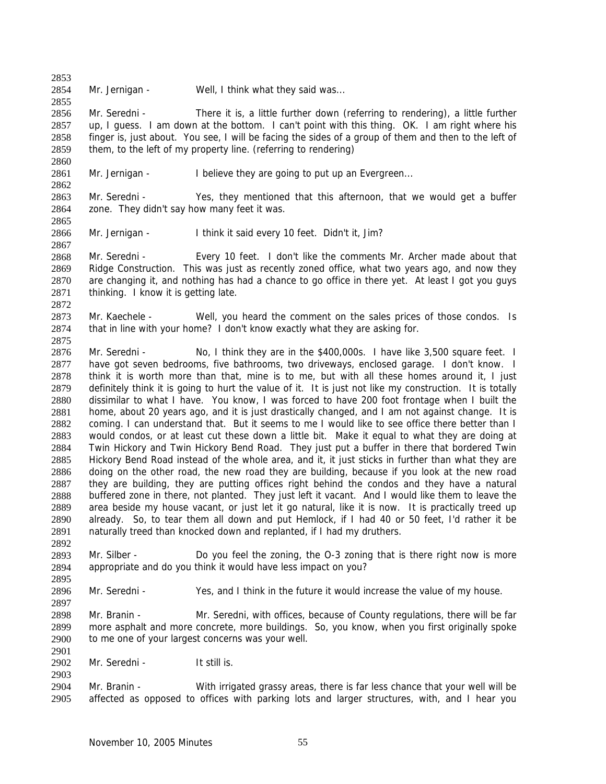2854 Mr. Jernigan - Well, I think what they said was...

2853

2855

2860

2862

2865

2867

2875

2892

2895

2897

2901

2903

2856 2857 2858 2859 Mr. Seredni - There it is, a little further down (referring to rendering), a little further up, I guess. I am down at the bottom. I can't point with this thing. OK. I am right where his finger is, just about. You see, I will be facing the sides of a group of them and then to the left of them, to the left of my property line. (referring to rendering)

2861 Mr. Jernigan - I believe they are going to put up an Evergreen...

2863 2864 Mr. Seredni - Yes, they mentioned that this afternoon, that we would get a buffer zone. They didn't say how many feet it was.

2866 Mr. Jernigan - I think it said every 10 feet. Didn't it, Jim?

2868 2869 2870 2871 2872 Mr. Seredni - Every 10 feet. I don't like the comments Mr. Archer made about that Ridge Construction. This was just as recently zoned office, what two years ago, and now they are changing it, and nothing has had a chance to go office in there yet. At least I got you guys thinking. I know it is getting late.

2873 2874 Mr. Kaechele - Well, you heard the comment on the sales prices of those condos. Is that in line with your home? I don't know exactly what they are asking for.

2876 2877 2878 2879 2880 2881 2882 2883 2884 2885 2886 2887 2888 2889 2890 2891 Mr. Seredni - No, I think they are in the \$400,000s. I have like 3,500 square feet. I have got seven bedrooms, five bathrooms, two driveways, enclosed garage. I don't know. I think it is worth more than that, mine is to me, but with all these homes around it, I just definitely think it is going to hurt the value of it. It is just not like my construction. It is totally dissimilar to what I have. You know, I was forced to have 200 foot frontage when I built the home, about 20 years ago, and it is just drastically changed, and I am not against change. It is coming. I can understand that. But it seems to me I would like to see office there better than I would condos, or at least cut these down a little bit. Make it equal to what they are doing at Twin Hickory and Twin Hickory Bend Road. They just put a buffer in there that bordered Twin Hickory Bend Road instead of the whole area, and it, it just sticks in further than what they are doing on the other road, the new road they are building, because if you look at the new road they are building, they are putting offices right behind the condos and they have a natural buffered zone in there, not planted. They just left it vacant. And I would like them to leave the area beside my house vacant, or just let it go natural, like it is now. It is practically treed up already. So, to tear them all down and put Hemlock, if I had 40 or 50 feet, I'd rather it be naturally treed than knocked down and replanted, if I had my druthers.

2893 2894 Mr. Silber - Do you feel the zoning, the O-3 zoning that is there right now is more appropriate and do you think it would have less impact on you?

2896 Mr. Seredni - Yes, and I think in the future it would increase the value of my house.

2898 2899 2900 Mr. Branin - Mr. Seredni, with offices, because of County regulations, there will be far more asphalt and more concrete, more buildings. So, you know, when you first originally spoke to me one of your largest concerns was your well.

2902 Mr. Seredni - It still is.

2904 2905 Mr. Branin - With irrigated grassy areas, there is far less chance that your well will be affected as opposed to offices with parking lots and larger structures, with, and I hear you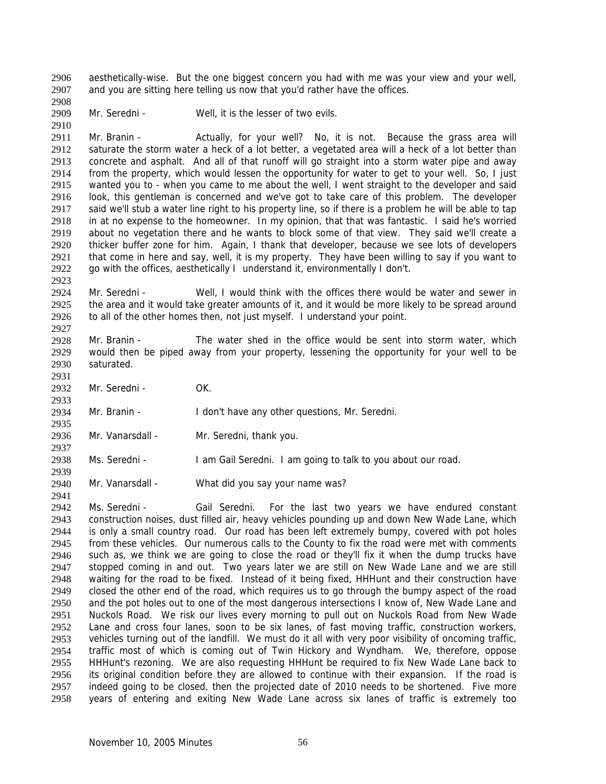aesthetically-wise. But the one biggest concern you had with me was your view and your well, and you are sitting here telling us now that you'd rather have the offices. 2906 2907

2909 Mr. Seredni - Well, it is the lesser of two evils.

2911 2912 2913 2914 2915 2916 2917 2918 2919 2920 2921 2922 Mr. Branin - The Actually, for your well? No, it is not. Because the grass area will saturate the storm water a heck of a lot better, a vegetated area will a heck of a lot better than concrete and asphalt. And all of that runoff will go straight into a storm water pipe and away from the property, which would lessen the opportunity for water to get to your well. So, I just wanted you to - when you came to me about the well, I went straight to the developer and said look, this gentleman is concerned and we've got to take care of this problem. The developer said we'll stub a water line right to his property line, so if there is a problem he will be able to tap in at no expense to the homeowner. In my opinion, that that was fantastic. I said he's worried about no vegetation there and he wants to block some of that view. They said we'll create a thicker buffer zone for him. Again, I thank that developer, because we see lots of developers that come in here and say, well, it is my property. They have been willing to say if you want to go with the offices, aesthetically I understand it, environmentally I don't.

2924 2925 2926 2927 Mr. Seredni - Well, I would think with the offices there would be water and sewer in the area and it would take greater amounts of it, and it would be more likely to be spread around to all of the other homes then, not just myself. I understand your point.

2928 2929 2930 Mr. Branin - The water shed in the office would be sent into storm water, which would then be piped away from your property, lessening the opportunity for your well to be saturated.

2932 Mr. Seredni - OK.

2908

2910

2923

2931

2933

2935

2939

2941

2934 Mr. Branin - The Muslim Con't have any other questions, Mr. Seredni.

2936 2937 Mr. Vanarsdall - Mr. Seredni, thank you.

2938 Ms. Seredni - I am Gail Seredni. I am going to talk to you about our road.

2940 Mr. Vanarsdall - What did you say your name was?

2942 2943 2944 2945 2946 2947 2948 2949 2950 2951 2952 2953 2954 2955 2956 2957 2958 Ms. Seredni - Gail Seredni. For the last two years we have endured constant construction noises, dust filled air, heavy vehicles pounding up and down New Wade Lane, which is only a small country road. Our road has been left extremely bumpy, covered with pot holes from these vehicles. Our numerous calls to the County to fix the road were met with comments such as, we think we are going to close the road or they'll fix it when the dump trucks have stopped coming in and out. Two years later we are still on New Wade Lane and we are still waiting for the road to be fixed. Instead of it being fixed, HHHunt and their construction have closed the other end of the road, which requires us to go through the bumpy aspect of the road and the pot holes out to one of the most dangerous intersections I know of, New Wade Lane and Nuckols Road. We risk our lives every morning to pull out on Nuckols Road from New Wade Lane and cross four lanes, soon to be six lanes, of fast moving traffic, construction workers, vehicles turning out of the landfill. We must do it all with very poor visibility of oncoming traffic, traffic most of which is coming out of Twin Hickory and Wyndham. We, therefore, oppose HHHunt's rezoning. We are also requesting HHHunt be required to fix New Wade Lane back to its original condition before they are allowed to continue with their expansion. If the road is indeed going to be closed, then the projected date of 2010 needs to be shortened. Five more years of entering and exiting New Wade Lane across six lanes of traffic is extremely too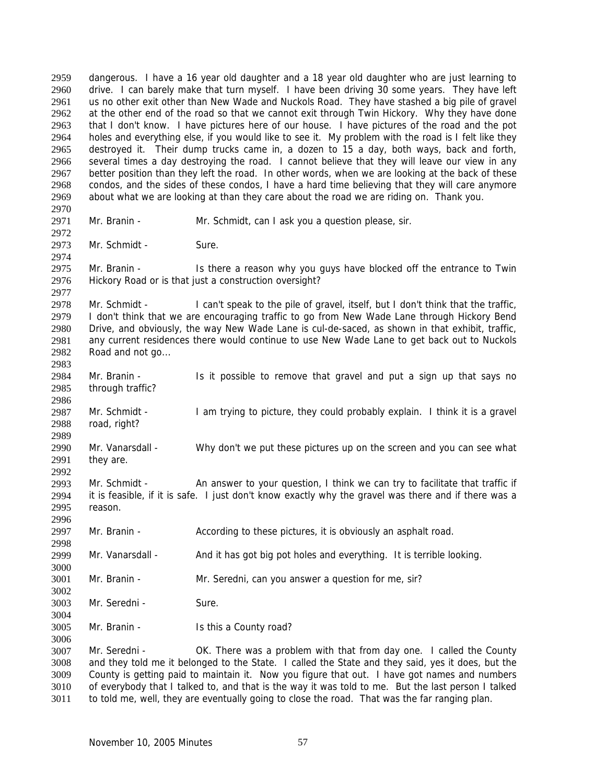dangerous. I have a 16 year old daughter and a 18 year old daughter who are just learning to drive. I can barely make that turn myself. I have been driving 30 some years. They have left us no other exit other than New Wade and Nuckols Road. They have stashed a big pile of gravel at the other end of the road so that we cannot exit through Twin Hickory. Why they have done that I don't know. I have pictures here of our house. I have pictures of the road and the pot holes and everything else, if you would like to see it. My problem with the road is I felt like they destroyed it. Their dump trucks came in, a dozen to 15 a day, both ways, back and forth, several times a day destroying the road. I cannot believe that they will leave our view in any better position than they left the road. In other words, when we are looking at the back of these condos, and the sides of these condos, I have a hard time believing that they will care anymore about what we are looking at than they care about the road we are riding on. Thank you. 2959 2960 2961 2962 2963 2964 2965 2966 2967 2968 2969 2970 2971 2972 2973 2974 2975 2976 2977 2978 2979 2980 2981 2982 2983 2984 2985 2986 2987 2988 2989 2990 2991 2992 2993 2994 2995 2996 2997 2998 2999 3000 3001 3002 3003 3004 3005 3006 3007 3008 3009 3010 Mr. Branin - Mr. Schmidt, can I ask you a question please, sir. Mr. Schmidt - Sure. Mr. Branin - Is there a reason why you guys have blocked off the entrance to Twin Hickory Road or is that just a construction oversight? Mr. Schmidt - I can't speak to the pile of gravel, itself, but I don't think that the traffic, I don't think that we are encouraging traffic to go from New Wade Lane through Hickory Bend Drive, and obviously, the way New Wade Lane is cul-de-saced, as shown in that exhibit, traffic, any current residences there would continue to use New Wade Lane to get back out to Nuckols Road and not go... Mr. Branin - Is it possible to remove that gravel and put a sign up that says no through traffic? Mr. Schmidt - I am trying to picture, they could probably explain. I think it is a gravel road, right? Mr. Vanarsdall - Why don't we put these pictures up on the screen and you can see what they are. Mr. Schmidt - An answer to your question, I think we can try to facilitate that traffic if it is feasible, if it is safe. I just don't know exactly why the gravel was there and if there was a reason. Mr. Branin - According to these pictures, it is obviously an asphalt road. Mr. Vanarsdall - And it has got big pot holes and everything. It is terrible looking. Mr. Branin - Mr. Seredni, can you answer a question for me, sir? Mr. Seredni - Sure. Mr. Branin - Is this a County road? Mr. Seredni - **OK.** There was a problem with that from day one. I called the County and they told me it belonged to the State. I called the State and they said, yes it does, but the County is getting paid to maintain it. Now you figure that out. I have got names and numbers of everybody that I talked to, and that is the way it was told to me. But the last person I talked

3011 to told me, well, they are eventually going to close the road. That was the far ranging plan.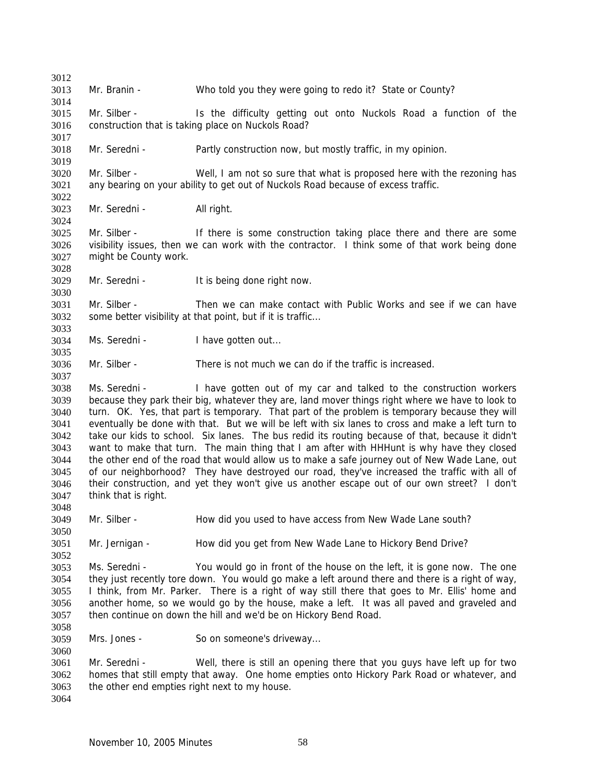3012 3013 3014 3015 3016 3017 3018 3019 3020 3021 3022 3023 3024 3025 3026 3027 3028 3029 3030 3031 3032 3033 3034 3035 3036 3037 3038 3039 3040 3041 3042 3043 3044 3045 3046 3047 3048 3049 3050 3051 3052 3053 3054 3055 3056 3057 3058 3059 3060 3061 3062 3063 3064 Mr. Branin - Who told you they were going to redo it? State or County? Mr. Silber - Is the difficulty getting out onto Nuckols Road a function of the construction that is taking place on Nuckols Road? Mr. Seredni - Partly construction now, but mostly traffic, in my opinion. Mr. Silber - Well, I am not so sure that what is proposed here with the rezoning has any bearing on your ability to get out of Nuckols Road because of excess traffic. Mr. Seredni - All right. Mr. Silber - If there is some construction taking place there and there are some visibility issues, then we can work with the contractor. I think some of that work being done might be County work. Mr. Seredni - It is being done right now. Mr. Silber - Then we can make contact with Public Works and see if we can have some better visibility at that point, but if it is traffic... Ms. Seredni - I have gotten out... Mr. Silber - There is not much we can do if the traffic is increased. Ms. Seredni - I have gotten out of my car and talked to the construction workers because they park their big, whatever they are, land mover things right where we have to look to turn. OK. Yes, that part is temporary. That part of the problem is temporary because they will eventually be done with that. But we will be left with six lanes to cross and make a left turn to take our kids to school. Six lanes. The bus redid its routing because of that, because it didn't want to make that turn. The main thing that I am after with HHHunt is why have they closed the other end of the road that would allow us to make a safe journey out of New Wade Lane, out of our neighborhood? They have destroyed our road, they've increased the traffic with all of their construction, and yet they won't give us another escape out of our own street? I don't think that is right. Mr. Silber - How did you used to have access from New Wade Lane south? Mr. Jernigan - How did you get from New Wade Lane to Hickory Bend Drive? Ms. Seredni - You would go in front of the house on the left, it is gone now. The one they just recently tore down. You would go make a left around there and there is a right of way, I think, from Mr. Parker. There is a right of way still there that goes to Mr. Ellis' home and another home, so we would go by the house, make a left. It was all paved and graveled and then continue on down the hill and we'd be on Hickory Bend Road. Mrs. Jones - So on someone's driveway... Mr. Seredni - Well, there is still an opening there that you guys have left up for two homes that still empty that away. One home empties onto Hickory Park Road or whatever, and the other end empties right next to my house.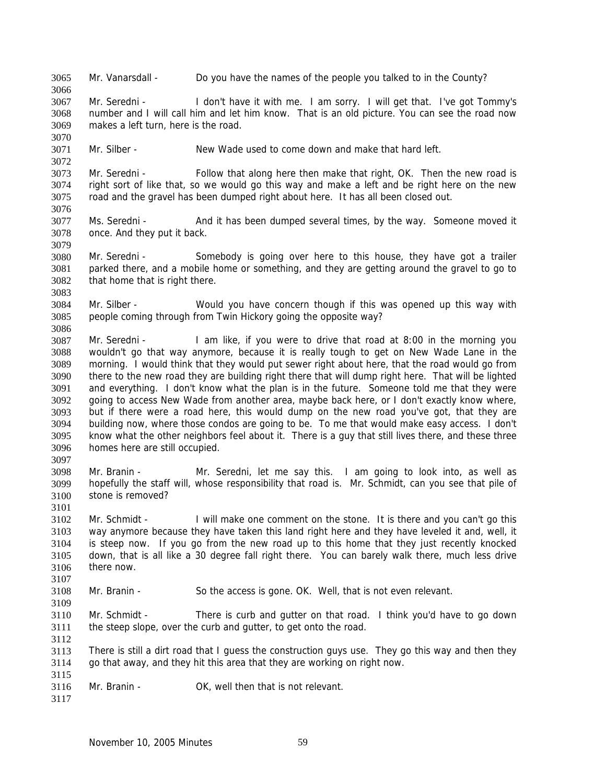3065 Mr. Vanarsdall - Do you have the names of the people you talked to in the County?

3067 3068 3069 Mr. Seredni - I don't have it with me. I am sorry. I will get that. I've got Tommy's number and I will call him and let him know. That is an old picture. You can see the road now makes a left turn, here is the road.

3071 Mr. Silber - New Wade used to come down and make that hard left.

3073 3074 3075 3076 Mr. Seredni - Follow that along here then make that right, OK. Then the new road is right sort of like that, so we would go this way and make a left and be right here on the new road and the gravel has been dumped right about here. It has all been closed out.

3077 3078 Ms. Seredni - And it has been dumped several times, by the way. Someone moved it once. And they put it back.

3080 3081 3082 Mr. Seredni - Somebody is going over here to this house, they have got a trailer parked there, and a mobile home or something, and they are getting around the gravel to go to that home that is right there.

3084 3085 Mr. Silber - Would you have concern though if this was opened up this way with people coming through from Twin Hickory going the opposite way?

3087 3088 3089 3090 3091 3092 3093 3094 3095 3096 Mr. Seredni - I am like, if you were to drive that road at 8:00 in the morning you wouldn't go that way anymore, because it is really tough to get on New Wade Lane in the morning. I would think that they would put sewer right about here, that the road would go from there to the new road they are building right there that will dump right here. That will be lighted and everything. I don't know what the plan is in the future. Someone told me that they were going to access New Wade from another area, maybe back here, or I don't exactly know where, but if there were a road here, this would dump on the new road you've got, that they are building now, where those condos are going to be. To me that would make easy access. I don't know what the other neighbors feel about it. There is a guy that still lives there, and these three homes here are still occupied.

3097

3101

3107

3109

3112

3066

3070

3072

3079

3083

3086

3098 3099 3100 Mr. Branin - Mr. Seredni, let me say this. I am going to look into, as well as hopefully the staff will, whose responsibility that road is. Mr. Schmidt, can you see that pile of stone is removed?

3102 3103 3104 3105 3106 Mr. Schmidt - I will make one comment on the stone. It is there and you can't go this way anymore because they have taken this land right here and they have leveled it and, well, it is steep now. If you go from the new road up to this home that they just recently knocked down, that is all like a 30 degree fall right there. You can barely walk there, much less drive there now.

3108 Mr. Branin - So the access is gone. OK. Well, that is not even relevant.

3110 3111 Mr. Schmidt - There is curb and gutter on that road. I think you'd have to go down the steep slope, over the curb and gutter, to get onto the road.

3113 3114 There is still a dirt road that I guess the construction guys use. They go this way and then they go that away, and they hit this area that they are working on right now.

3116 Mr. Branin - **OK, well then that is not relevant.** 

3117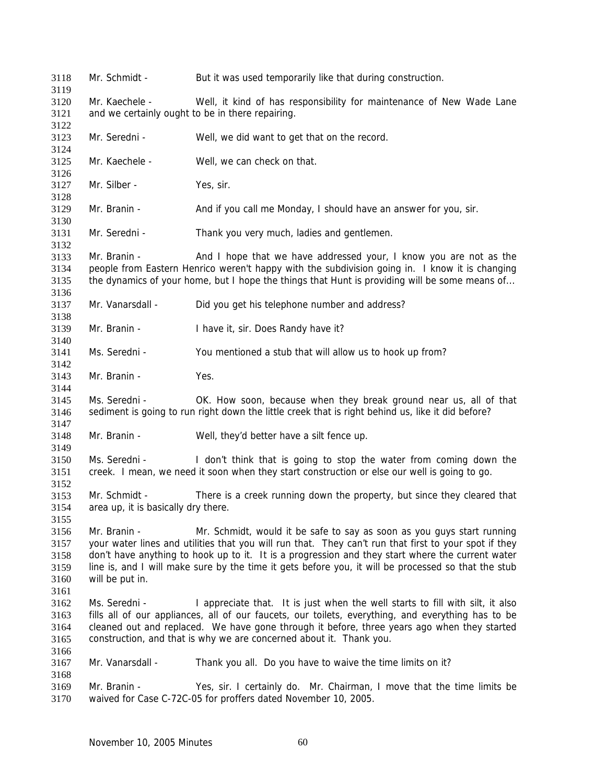Mr. Schmidt - But it was used temporarily like that during construction. Mr. Kaechele - Well, it kind of has responsibility for maintenance of New Wade Lane and we certainly ought to be in there repairing. Mr. Seredni - Well, we did want to get that on the record. Mr. Kaechele - Well, we can check on that. Mr. Silber - Yes, sir. Mr. Branin - And if you call me Monday, I should have an answer for you, sir. Mr. Seredni - Thank you very much, ladies and gentlemen. Mr. Branin - And I hope that we have addressed your, I know you are not as the people from Eastern Henrico weren't happy with the subdivision going in. I know it is changing the dynamics of your home, but I hope the things that Hunt is providing will be some means of... Mr. Vanarsdall - Did you get his telephone number and address? Mr. Branin - I have it, sir. Does Randy have it? Ms. Seredni - You mentioned a stub that will allow us to hook up from? Mr. Branin - Yes. Ms. Seredni - **OK.** How soon, because when they break ground near us, all of that sediment is going to run right down the little creek that is right behind us, like it did before? Mr. Branin - Well, they'd better have a silt fence up. Ms. Seredni - I don't think that is going to stop the water from coming down the creek. I mean, we need it soon when they start construction or else our well is going to go. Mr. Schmidt - There is a creek running down the property, but since they cleared that area up, it is basically dry there. Mr. Branin - Mr. Schmidt, would it be safe to say as soon as you guys start running your water lines and utilities that you will run that. They can't run that first to your spot if they don't have anything to hook up to it. It is a progression and they start where the current water line is, and I will make sure by the time it gets before you, it will be processed so that the stub will be put in. Ms. Seredni - I appreciate that. It is just when the well starts to fill with silt, it also fills all of our appliances, all of our faucets, our toilets, everything, and everything has to be cleaned out and replaced. We have gone through it before, three years ago when they started construction, and that is why we are concerned about it. Thank you. Mr. Vanarsdall - Thank you all. Do you have to waive the time limits on it? Mr. Branin - Yes, sir. I certainly do. Mr. Chairman, I move that the time limits be waived for Case C-72C-05 for proffers dated November 10, 2005.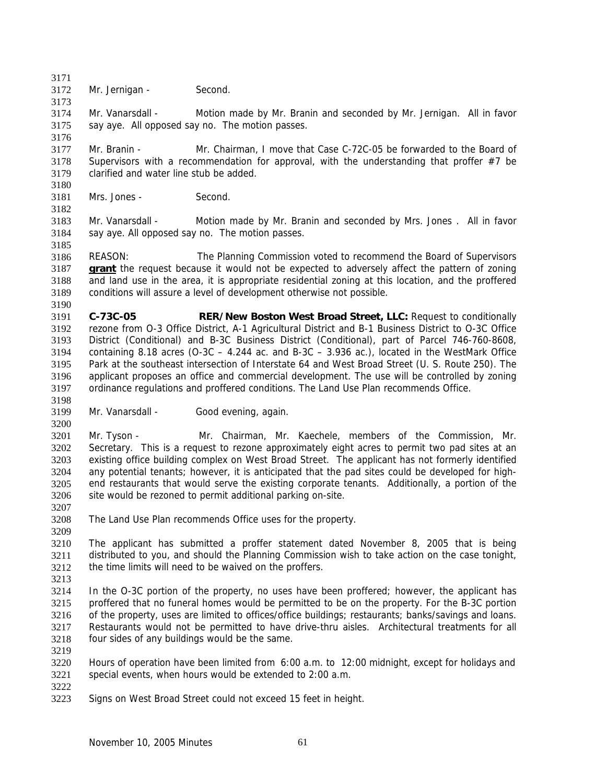3171 3172 Mr. Jernigan - Second.

3174 3175 3176 Mr. Vanarsdall - Motion made by Mr. Branin and seconded by Mr. Jernigan. All in favor say aye. All opposed say no. The motion passes.

3177 3178 3179 Mr. Branin - Mr. Chairman, I move that Case C-72C-05 be forwarded to the Board of Supervisors with a recommendation for approval, with the understanding that proffer  $#7$  be clarified and water line stub be added.

3181 Mrs. Jones - Second.

3183 3184 3185 Mr. Vanarsdall - Motion made by Mr. Branin and seconded by Mrs. Jones . All in favor say aye. All opposed say no. The motion passes.

3186 REASON: The Planning Commission voted to recommend the Board of Supervisors **grant** the request because it would not be expected to adversely affect the pattern of zoning and land use in the area, it is appropriate residential zoning at this location, and the proffered conditions will assure a level of development otherwise not possible. 3187 3188 3189 3190

3191 3192 3193 3194 3195 3196 3197 **C-73C-05 RER/New Boston West Broad Street, LLC:** Request to conditionally rezone from O-3 Office District, A-1 Agricultural District and B-1 Business District to O-3C Office District (Conditional) and B-3C Business District (Conditional), part of Parcel 746-760-8608, containing 8.18 acres ( $O-3C - 4.244$  ac. and  $B-3C - 3.936$  ac.), located in the WestMark Office Park at the southeast intersection of Interstate 64 and West Broad Street (U. S. Route 250). The applicant proposes an office and commercial development. The use will be controlled by zoning ordinance regulations and proffered conditions. The Land Use Plan recommends Office.

3198

3200

3173

3180

3182

3199 Mr. Vanarsdall - Good evening, again.

3201 3202 3203 3204 3205 3206 Mr. Tyson - Mr. Chairman, Mr. Kaechele, members of the Commission, Mr. Secretary. This is a request to rezone approximately eight acres to permit two pad sites at an existing office building complex on West Broad Street. The applicant has not formerly identified any potential tenants; however, it is anticipated that the pad sites could be developed for highend restaurants that would serve the existing corporate tenants. Additionally, a portion of the site would be rezoned to permit additional parking on-site.

3208 The Land Use Plan recommends Office uses for the property.

3210 3211 3212 The applicant has submitted a proffer statement dated November 8, 2005 that is being distributed to you, and should the Planning Commission wish to take action on the case tonight, the time limits will need to be waived on the proffers.

3213

3207

3209

3214 3215 3216 3217 3218 In the O-3C portion of the property, no uses have been proffered; however, the applicant has proffered that no funeral homes would be permitted to be on the property. For the B-3C portion of the property, uses are limited to offices/office buildings; restaurants; banks/savings and loans. Restaurants would not be permitted to have drive-thru aisles. Architectural treatments for all four sides of any buildings would be the same.

3220 3221 Hours of operation have been limited from6:00 a.m. to 12:00 midnight, except for holidays and special events, when hours would be extended to 2:00 a.m.

3222

3219

3223 Signs on West Broad Street could not exceed 15 feet in height.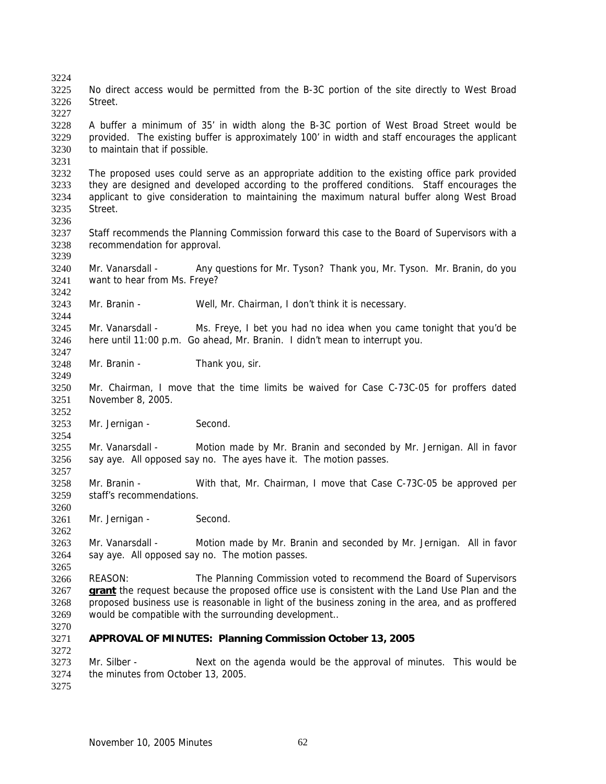3225 3226 3227 3228 3229 3230 3231 3232 3233 3234 3235 3236 3237 3238 3239 3240 3241 3242 3243 3244 3245 3246 3247 3248 3249 3250 3251 3252 3253 3254 3255 3256 3257 3258 3259 3260 3261 3262 3263 3264 3265 3266 No direct access would be permitted from the B-3C portion of the site directly to West Broad Street. A buffer a minimum of 35' in width along the B-3C portion of West Broad Street would be provided. The existing buffer is approximately 100' in width and staff encourages the applicant to maintain that if possible. The proposed uses could serve as an appropriate addition to the existing office park provided they are designed and developed according to the proffered conditions. Staff encourages the applicant to give consideration to maintaining the maximum natural buffer along West Broad Street. Staff recommends the Planning Commission forward this case to the Board of Supervisors with a recommendation for approval. Mr. Vanarsdall - Any questions for Mr. Tyson? Thank you, Mr. Tyson. Mr. Branin, do you want to hear from Ms. Freye? Mr. Branin - Well, Mr. Chairman, I don't think it is necessary. Mr. Vanarsdall - Ms. Freye, I bet you had no idea when you came tonight that you'd be here until 11:00 p.m. Go ahead, Mr. Branin. I didn't mean to interrupt you. Mr. Branin - Thank you, sir. Mr. Chairman, I move that the time limits be waived for Case C-73C-05 for proffers dated November 8, 2005. Mr. Jernigan - Second. Mr. Vanarsdall - Motion made by Mr. Branin and seconded by Mr. Jernigan. All in favor say aye. All opposed say no. The ayes have it. The motion passes. Mr. Branin - With that, Mr. Chairman, I move that Case C-73C-05 be approved per staff's recommendations. Mr. Jernigan - Second. Mr. Vanarsdall - Motion made by Mr. Branin and seconded by Mr. Jernigan. All in favor say aye. All opposed say no. The motion passes. REASON: The Planning Commission voted to recommend the Board of Supervisors **grant** the request because the proposed office use is consistent with the Land Use Plan and the proposed business use is reasonable in light of the business zoning in the area, and as proffered would be compatible with the surrounding development.. 3267 3268 3269 3270 3271 3272 3273 3274 3275 **APPROVAL OF MINUTES: Planning Commission October 13, 2005**  Mr. Silber - Next on the agenda would be the approval of minutes. This would be the minutes from October 13, 2005.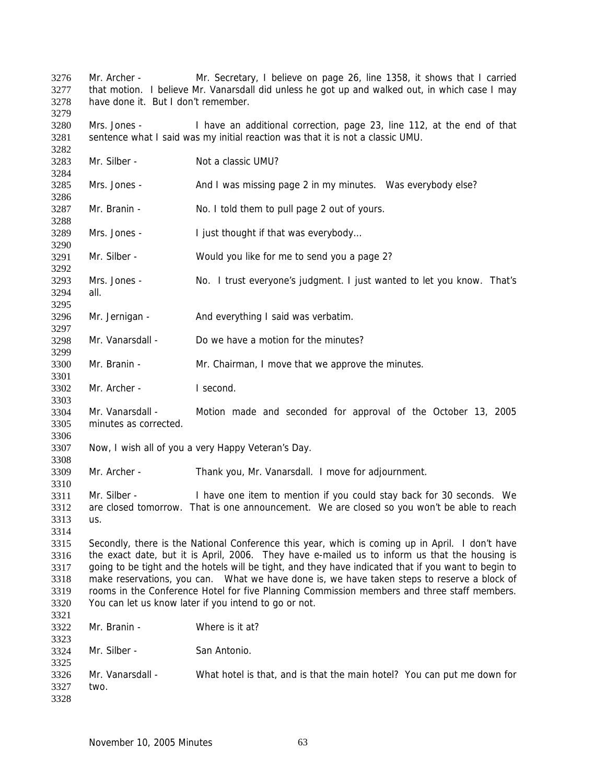Mr. Archer - Mr. Secretary, I believe on page 26, line 1358, it shows that I carried that motion. I believe Mr. Vanarsdall did unless he got up and walked out, in which case I may have done it. But I don't remember. Mrs. Jones - I have an additional correction, page 23, line 112, at the end of that sentence what I said was my initial reaction was that it is not a classic UMU. Mr. Silber - Not a classic UMU? Mrs. Jones - And I was missing page 2 in my minutes. Was everybody else? Mr. Branin - No. I told them to pull page 2 out of yours. Mrs. Jones - I just thought if that was everybody... Mr. Silber - Would you like for me to send you a page 2? Mrs. Jones - No. I trust everyone's judgment. I just wanted to let you know. That's all. Mr. Jernigan - And everything I said was verbatim. Mr. Vanarsdall - Do we have a motion for the minutes? Mr. Branin - Mr. Chairman, I move that we approve the minutes. Mr. Archer - I second Mr. Vanarsdall - Motion made and seconded for approval of the October 13, 2005 minutes as corrected. Now, I wish all of you a very Happy Veteran's Day. Mr. Archer - Thank you, Mr. Vanarsdall. I move for adjournment. Mr. Silber - I have one item to mention if you could stay back for 30 seconds. We are closed tomorrow. That is one announcement. We are closed so you won't be able to reach us. Secondly, there is the National Conference this year, which is coming up in April. I don't have the exact date, but it is April, 2006. They have e-mailed us to inform us that the housing is going to be tight and the hotels will be tight, and they have indicated that if you want to begin to make reservations, you can. What we have done is, we have taken steps to reserve a block of rooms in the Conference Hotel for five Planning Commission members and three staff members. You can let us know later if you intend to go or not. Mr. Branin - Where is it at? Mr. Silber - San Antonio. Mr. Vanarsdall - What hotel is that, and is that the main hotel? You can put me down for two.